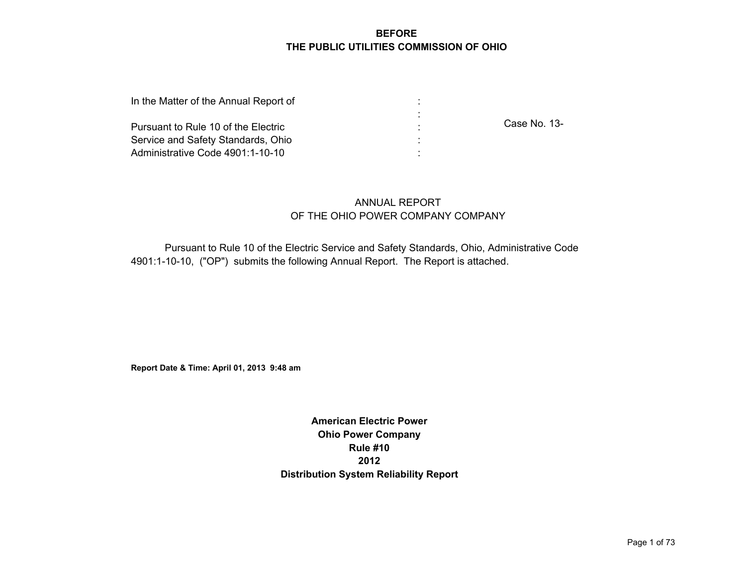#### **BEFORE THE PUBLIC UTILITIES COMMISSION OF OHIO**

| In the Matter of the Annual Report of |              |
|---------------------------------------|--------------|
|                                       |              |
| Pursuant to Rule 10 of the Electric   | Case No. 13- |
| Service and Safety Standards, Ohio    |              |
| Administrative Code 4901:1-10-10      |              |

## ANNUAL REPORT OF THE OHIO POWER COMPANY COMPANY

Pursuant to Rule 10 of the Electric Service and Safety Standards, Ohio, Administrative Code 4901:1-10-10, ("OP") submits the following Annual Report. The Report is attached.

**Report Date & Time: April 01, 2013 9:48 am**

**American Electric Power Ohio Power Company Rule #10 2012 Distribution System Reliability Report**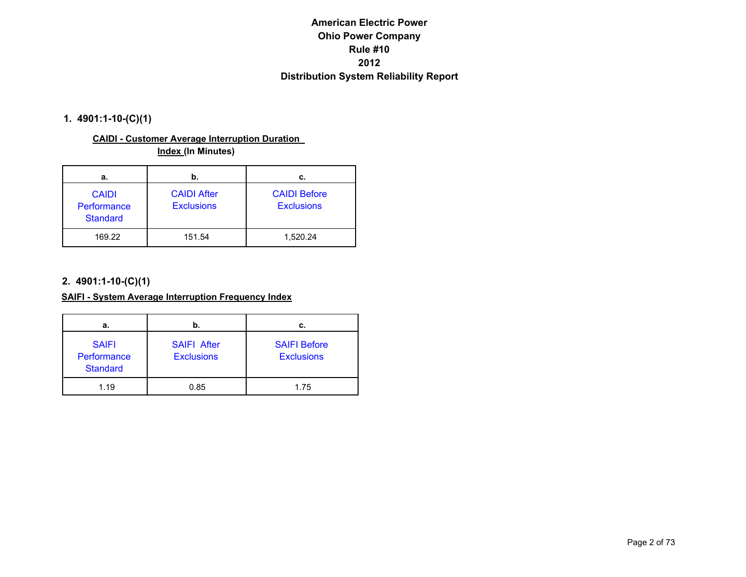#### **1. 4901:1-10-(C)(1)**

#### **CAIDI - Customer Average Interruption Duration Index (In Minutes)**

| а.                                             | b.                                      | с.                                       |
|------------------------------------------------|-----------------------------------------|------------------------------------------|
| <b>CAIDI</b><br>Performance<br><b>Standard</b> | <b>CAIDI After</b><br><b>Exclusions</b> | <b>CAIDI Before</b><br><b>Exclusions</b> |
| 169.22                                         | 151.54                                  | 1,520.24                                 |

#### **2. 4901:1-10-(C)(1)**

#### **SAIFI - System Average Interruption Frequency Index**

| а.                                             | b.                                      | с.                                       |
|------------------------------------------------|-----------------------------------------|------------------------------------------|
| <b>SAIFI</b><br>Performance<br><b>Standard</b> | <b>SAIFI After</b><br><b>Exclusions</b> | <b>SAIFI Before</b><br><b>Exclusions</b> |
| 1.19                                           | 0.85                                    | 1.75                                     |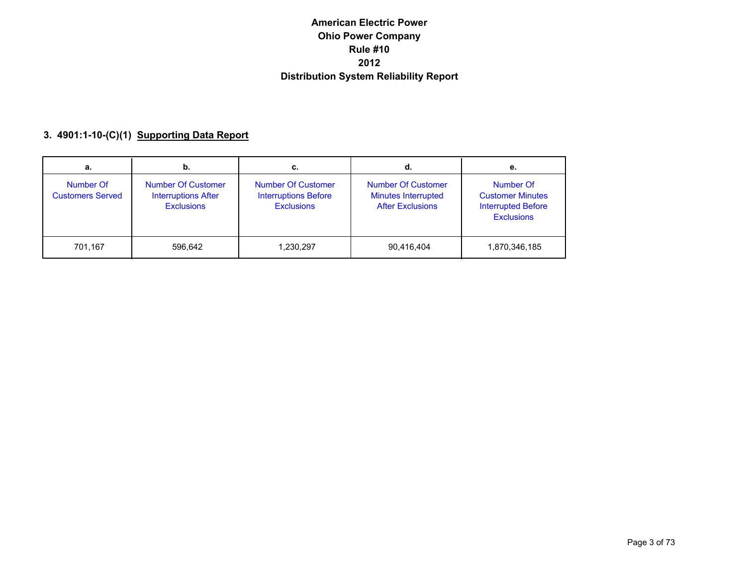# **3. 4901:1-10-(C)(1) Supporting Data Report**

| а.                                   | b.                                                                    | c.                                                                            | d.                                                                                 | е.                                                                                     |
|--------------------------------------|-----------------------------------------------------------------------|-------------------------------------------------------------------------------|------------------------------------------------------------------------------------|----------------------------------------------------------------------------------------|
| Number Of<br><b>Customers Served</b> | Number Of Customer<br><b>Interruptions After</b><br><b>Exclusions</b> | <b>Number Of Customer</b><br><b>Interruptions Before</b><br><b>Exclusions</b> | <b>Number Of Customer</b><br><b>Minutes Interrupted</b><br><b>After Exclusions</b> | Number Of<br><b>Customer Minutes</b><br><b>Interrupted Before</b><br><b>Exclusions</b> |
| 701.167                              | 596.642                                                               | 1,230,297                                                                     | 90,416,404                                                                         | 1,870,346,185                                                                          |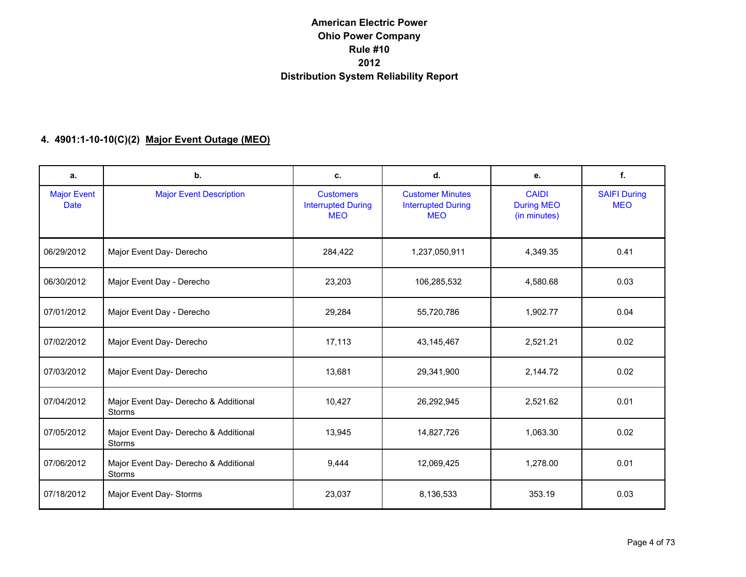#### **4. 4901:1-10-10(C)(2) Major Event Outage (MEO)**

| а.                                | b.                                                     | c.                                                          | d.                                                                 | е.                                                | f.                                |
|-----------------------------------|--------------------------------------------------------|-------------------------------------------------------------|--------------------------------------------------------------------|---------------------------------------------------|-----------------------------------|
| <b>Major Event</b><br><b>Date</b> | <b>Major Event Description</b>                         | <b>Customers</b><br><b>Interrupted During</b><br><b>MEO</b> | <b>Customer Minutes</b><br><b>Interrupted During</b><br><b>MEO</b> | <b>CAIDI</b><br><b>During MEO</b><br>(in minutes) | <b>SAIFI During</b><br><b>MEO</b> |
| 06/29/2012                        | Major Event Day- Derecho                               | 284,422                                                     | 1,237,050,911                                                      | 4,349.35                                          | 0.41                              |
| 06/30/2012                        | Major Event Day - Derecho                              | 23,203                                                      | 106,285,532                                                        | 4,580.68                                          | 0.03                              |
| 07/01/2012                        | Major Event Day - Derecho                              | 29,284                                                      | 55,720,786                                                         | 1,902.77                                          | 0.04                              |
| 07/02/2012                        | Major Event Day- Derecho                               | 17,113                                                      | 43, 145, 467                                                       | 2,521.21                                          | 0.02                              |
| 07/03/2012                        | Major Event Day- Derecho                               | 13,681                                                      | 29,341,900                                                         | 2,144.72                                          | 0.02                              |
| 07/04/2012                        | Major Event Day- Derecho & Additional<br>Storms        | 10,427                                                      | 26,292,945                                                         | 2,521.62                                          | 0.01                              |
| 07/05/2012                        | Major Event Day- Derecho & Additional<br><b>Storms</b> | 13,945                                                      | 14,827,726                                                         | 1,063.30                                          | 0.02                              |
| 07/06/2012                        | Major Event Day- Derecho & Additional<br>Storms        | 9,444                                                       | 12,069,425                                                         | 1,278.00                                          | 0.01                              |
| 07/18/2012                        | Major Event Day- Storms                                | 23,037                                                      | 8,136,533                                                          | 353.19                                            | 0.03                              |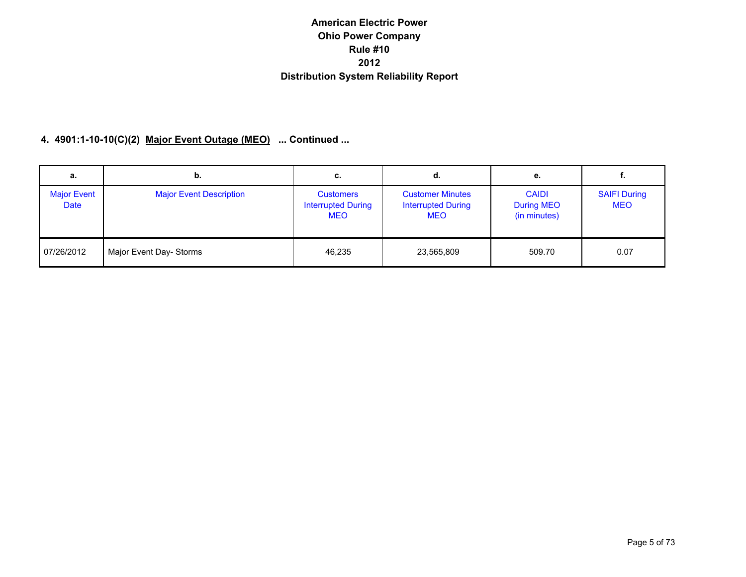#### **4. 4901:1-10-10(C)(2) Major Event Outage (MEO) ... Continued ...**

| а.                         | b.                             | С.                                                          | α.                                                                 | е.                                                | ٠.                                |
|----------------------------|--------------------------------|-------------------------------------------------------------|--------------------------------------------------------------------|---------------------------------------------------|-----------------------------------|
| <b>Major Event</b><br>Date | <b>Major Event Description</b> | <b>Customers</b><br><b>Interrupted During</b><br><b>MEO</b> | <b>Customer Minutes</b><br><b>Interrupted During</b><br><b>MEO</b> | <b>CAIDI</b><br><b>During MEO</b><br>(in minutes) | <b>SAIFI During</b><br><b>MEO</b> |
| 07/26/2012                 | Major Event Day- Storms        | 46,235                                                      | 23,565,809                                                         | 509.70                                            | 0.07                              |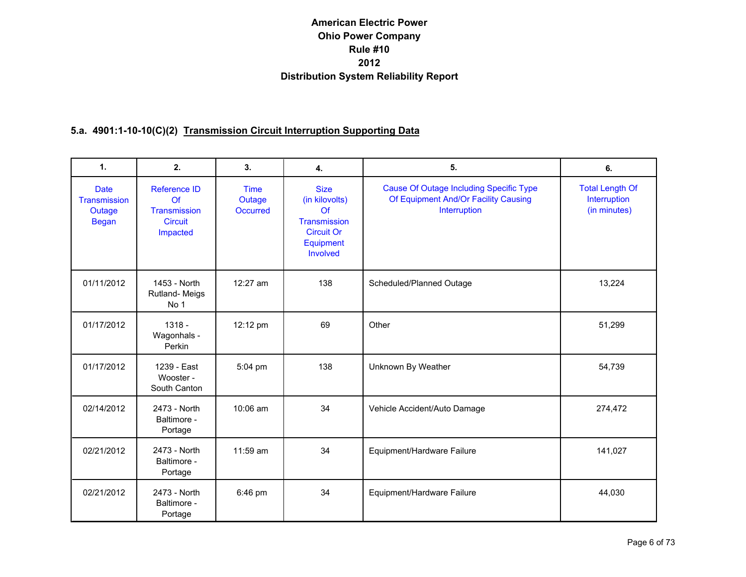## **5.a. 4901:1-10-10(C)(2) Transmission Circuit Interruption Supporting Data**

| $\mathbf{1}$ .                                               | 2.                                                                             | 3.                                | 4.                                                                                                | 5.                                                                                                     | 6.                                                     |
|--------------------------------------------------------------|--------------------------------------------------------------------------------|-----------------------------------|---------------------------------------------------------------------------------------------------|--------------------------------------------------------------------------------------------------------|--------------------------------------------------------|
| <b>Date</b><br><b>Transmission</b><br>Outage<br><b>Began</b> | <b>Reference ID</b><br>Of<br><b>Transmission</b><br><b>Circuit</b><br>Impacted | <b>Time</b><br>Outage<br>Occurred | <b>Size</b><br>(in kilovolts)<br>Of<br>Transmission<br><b>Circuit Or</b><br>Equipment<br>Involved | <b>Cause Of Outage Including Specific Type</b><br>Of Equipment And/Or Facility Causing<br>Interruption | <b>Total Length Of</b><br>Interruption<br>(in minutes) |
| 01/11/2012                                                   | 1453 - North<br>Rutland-Meigs<br>No 1                                          | 12:27 am                          | 138                                                                                               | Scheduled/Planned Outage                                                                               | 13,224                                                 |
| 01/17/2012                                                   | $1318 -$<br>Wagonhals -<br>Perkin                                              | 12:12 pm                          | 69                                                                                                | Other                                                                                                  | 51,299                                                 |
| 01/17/2012                                                   | 1239 - East<br>Wooster -<br>South Canton                                       | 5:04 pm                           | 138                                                                                               | Unknown By Weather                                                                                     | 54,739                                                 |
| 02/14/2012                                                   | 2473 - North<br>Baltimore -<br>Portage                                         | 10:06 am                          | 34                                                                                                | Vehicle Accident/Auto Damage                                                                           | 274,472                                                |
| 02/21/2012                                                   | 2473 - North<br>Baltimore -<br>Portage                                         | $11:59$ am                        | 34                                                                                                | Equipment/Hardware Failure                                                                             | 141,027                                                |
| 02/21/2012                                                   | 2473 - North<br>Baltimore -<br>Portage                                         | 6:46 pm                           | 34                                                                                                | Equipment/Hardware Failure                                                                             | 44,030                                                 |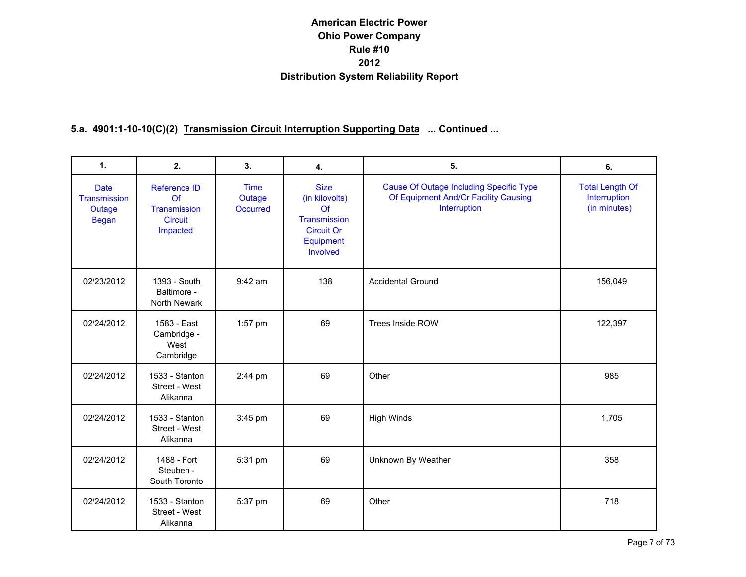| $\mathbf{1}$ .                                        | 2.                                                               | 3.                                | 4.                                                                                                | 5.                                                                                                     | 6.                                                     |
|-------------------------------------------------------|------------------------------------------------------------------|-----------------------------------|---------------------------------------------------------------------------------------------------|--------------------------------------------------------------------------------------------------------|--------------------------------------------------------|
| <b>Date</b><br>Transmission<br>Outage<br><b>Began</b> | Reference ID<br>Of<br>Transmission<br><b>Circuit</b><br>Impacted | <b>Time</b><br>Outage<br>Occurred | <b>Size</b><br>(in kilovolts)<br>Of<br>Transmission<br><b>Circuit Or</b><br>Equipment<br>Involved | <b>Cause Of Outage Including Specific Type</b><br>Of Equipment And/Or Facility Causing<br>Interruption | <b>Total Length Of</b><br>Interruption<br>(in minutes) |
| 02/23/2012                                            | 1393 - South<br>Baltimore -<br>North Newark                      | $9:42$ am                         | 138                                                                                               | <b>Accidental Ground</b>                                                                               | 156,049                                                |
| 02/24/2012                                            | 1583 - East<br>Cambridge -<br>West<br>Cambridge                  | 1:57 pm                           | 69                                                                                                | Trees Inside ROW                                                                                       | 122,397                                                |
| 02/24/2012                                            | 1533 - Stanton<br>Street - West<br>Alikanna                      | 2:44 pm                           | 69                                                                                                | Other                                                                                                  | 985                                                    |
| 02/24/2012                                            | 1533 - Stanton<br>Street - West<br>Alikanna                      | 3:45 pm                           | 69                                                                                                | <b>High Winds</b>                                                                                      | 1,705                                                  |
| 02/24/2012                                            | 1488 - Fort<br>Steuben -<br>South Toronto                        | 5:31 pm                           | 69                                                                                                | Unknown By Weather                                                                                     | 358                                                    |
| 02/24/2012                                            | 1533 - Stanton<br>Street - West<br>Alikanna                      | 5:37 pm                           | 69                                                                                                | Other                                                                                                  | 718                                                    |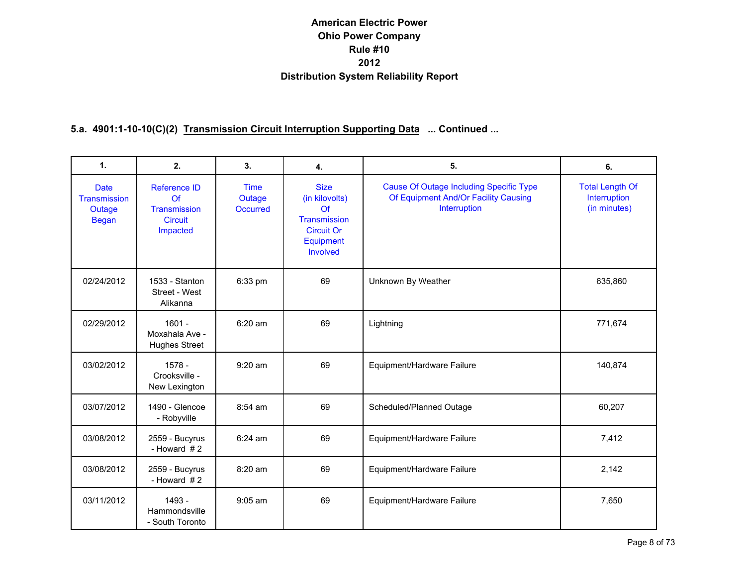| $\mathbf{1}$ .                                        | 2.                                                                      | 3.                                       | 4.                                                                                                | 5.                                                                                                     | 6.                                                     |
|-------------------------------------------------------|-------------------------------------------------------------------------|------------------------------------------|---------------------------------------------------------------------------------------------------|--------------------------------------------------------------------------------------------------------|--------------------------------------------------------|
| <b>Date</b><br>Transmission<br>Outage<br><b>Began</b> | <b>Reference ID</b><br>Of<br>Transmission<br><b>Circuit</b><br>Impacted | <b>Time</b><br>Outage<br><b>Occurred</b> | <b>Size</b><br>(in kilovolts)<br>Of<br>Transmission<br><b>Circuit Or</b><br>Equipment<br>Involved | <b>Cause Of Outage Including Specific Type</b><br>Of Equipment And/Or Facility Causing<br>Interruption | <b>Total Length Of</b><br>Interruption<br>(in minutes) |
| 02/24/2012                                            | 1533 - Stanton<br>Street - West<br>Alikanna                             | 6:33 pm                                  | 69                                                                                                | Unknown By Weather                                                                                     | 635,860                                                |
| 02/29/2012                                            | $1601 -$<br>Moxahala Ave -<br><b>Hughes Street</b>                      | 6:20 am                                  | 69                                                                                                | Lightning                                                                                              | 771,674                                                |
| 03/02/2012                                            | 1578 -<br>Crooksville -<br>New Lexington                                | $9:20$ am                                | 69                                                                                                | Equipment/Hardware Failure                                                                             | 140,874                                                |
| 03/07/2012                                            | 1490 - Glencoe<br>- Robyville                                           | $8:54$ am                                | 69                                                                                                | Scheduled/Planned Outage                                                                               | 60,207                                                 |
| 03/08/2012                                            | 2559 - Bucyrus<br>- Howard $#2$                                         | 6:24 am                                  | 69                                                                                                | Equipment/Hardware Failure                                                                             | 7,412                                                  |
| 03/08/2012                                            | 2559 - Bucyrus<br>- Howard $#2$                                         | 8:20 am                                  | 69                                                                                                | Equipment/Hardware Failure                                                                             | 2,142                                                  |
| 03/11/2012                                            | 1493 -<br>Hammondsville<br>- South Toronto                              | $9:05$ am                                | 69                                                                                                | Equipment/Hardware Failure                                                                             | 7,650                                                  |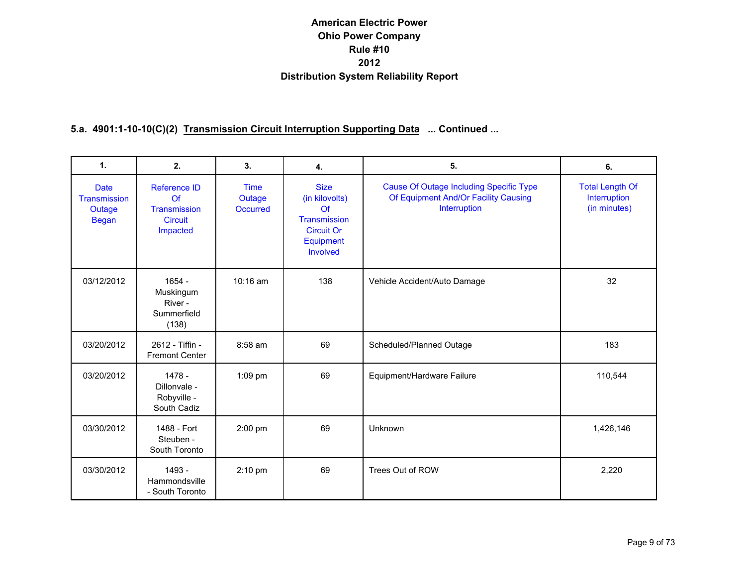| $\mathbf{1}$ .                                        | 2.                                                               | 3.                                       | 4.                                                                                                | 5.                                                                                                     | 6.                                                     |
|-------------------------------------------------------|------------------------------------------------------------------|------------------------------------------|---------------------------------------------------------------------------------------------------|--------------------------------------------------------------------------------------------------------|--------------------------------------------------------|
| <b>Date</b><br>Transmission<br>Outage<br><b>Began</b> | Reference ID<br>Of<br>Transmission<br><b>Circuit</b><br>Impacted | <b>Time</b><br>Outage<br><b>Occurred</b> | <b>Size</b><br>(in kilovolts)<br>Of<br>Transmission<br><b>Circuit Or</b><br>Equipment<br>Involved | <b>Cause Of Outage Including Specific Type</b><br>Of Equipment And/Or Facility Causing<br>Interruption | <b>Total Length Of</b><br>Interruption<br>(in minutes) |
| 03/12/2012                                            | $1654 -$<br>Muskingum<br>River -<br>Summerfield<br>(138)         | $10:16$ am                               | 138                                                                                               | Vehicle Accident/Auto Damage                                                                           | 32                                                     |
| 03/20/2012                                            | 2612 - Tiffin -<br><b>Fremont Center</b>                         | $8:58$ am                                | 69                                                                                                | Scheduled/Planned Outage                                                                               | 183                                                    |
| 03/20/2012                                            | $1478 -$<br>Dillonvale -<br>Robyville -<br>South Cadiz           | 1:09 pm                                  | 69                                                                                                | Equipment/Hardware Failure                                                                             | 110,544                                                |
| 03/30/2012                                            | 1488 - Fort<br>Steuben -<br>South Toronto                        | 2:00 pm                                  | 69                                                                                                | Unknown                                                                                                | 1,426,146                                              |
| 03/30/2012                                            | 1493 -<br>Hammondsville<br>- South Toronto                       | $2:10$ pm                                | 69                                                                                                | Trees Out of ROW                                                                                       | 2,220                                                  |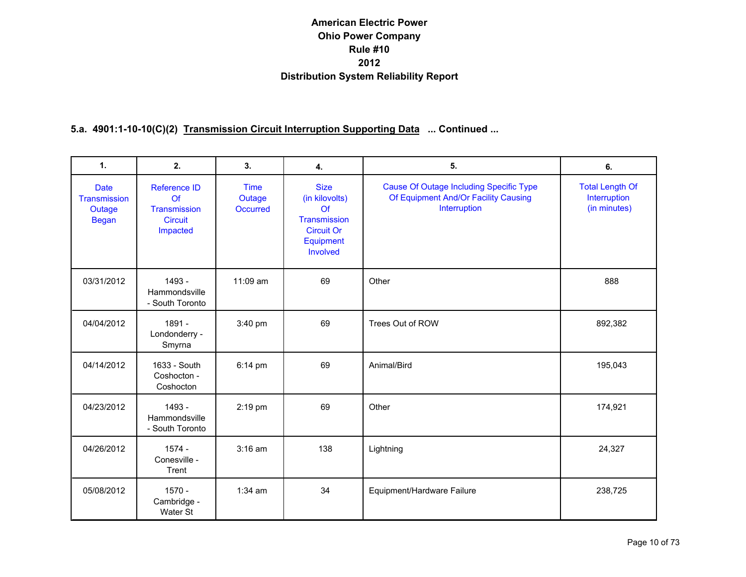| $\mathbf{1}$ .                                        | 2.                                                                      | 3.                                | 4.                                                                                                | 5.                                                                                                     | 6.                                                     |
|-------------------------------------------------------|-------------------------------------------------------------------------|-----------------------------------|---------------------------------------------------------------------------------------------------|--------------------------------------------------------------------------------------------------------|--------------------------------------------------------|
| <b>Date</b><br>Transmission<br>Outage<br><b>Began</b> | <b>Reference ID</b><br>Of<br>Transmission<br><b>Circuit</b><br>Impacted | <b>Time</b><br>Outage<br>Occurred | <b>Size</b><br>(in kilovolts)<br>Of<br>Transmission<br><b>Circuit Or</b><br>Equipment<br>Involved | <b>Cause Of Outage Including Specific Type</b><br>Of Equipment And/Or Facility Causing<br>Interruption | <b>Total Length Of</b><br>Interruption<br>(in minutes) |
| 03/31/2012                                            | 1493 -<br>Hammondsville<br>- South Toronto                              | 11:09 am                          | 69                                                                                                | Other                                                                                                  | 888                                                    |
| 04/04/2012                                            | 1891 -<br>Londonderry -<br>Smyrna                                       | 3:40 pm                           | 69                                                                                                | Trees Out of ROW                                                                                       | 892,382                                                |
| 04/14/2012                                            | 1633 - South<br>Coshocton -<br>Coshocton                                | $6:14 \text{ pm}$                 | 69                                                                                                | Animal/Bird                                                                                            | 195,043                                                |
| 04/23/2012                                            | 1493 -<br>Hammondsville<br>- South Toronto                              | 2:19 pm                           | 69                                                                                                | Other                                                                                                  | 174,921                                                |
| 04/26/2012                                            | $1574 -$<br>Conesville -<br>Trent                                       | $3:16$ am                         | 138                                                                                               | Lightning                                                                                              | 24,327                                                 |
| 05/08/2012                                            | $1570 -$<br>Cambridge -<br>Water St                                     | $1:34$ am                         | 34                                                                                                | Equipment/Hardware Failure                                                                             | 238,725                                                |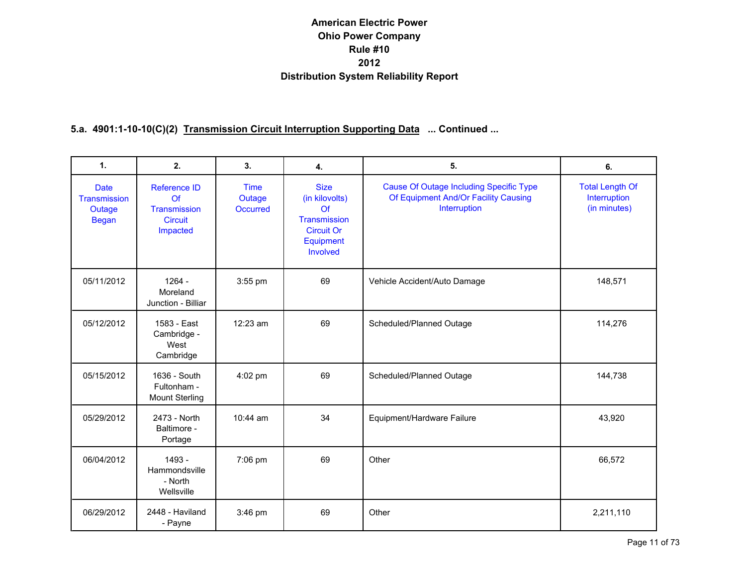| $\mathbf{1}$ .                                        | 2.                                                                      | 3.                                | 4.                                                                                                | 5.                                                                                                     | 6.                                                     |
|-------------------------------------------------------|-------------------------------------------------------------------------|-----------------------------------|---------------------------------------------------------------------------------------------------|--------------------------------------------------------------------------------------------------------|--------------------------------------------------------|
| <b>Date</b><br>Transmission<br>Outage<br><b>Began</b> | <b>Reference ID</b><br>Of<br>Transmission<br><b>Circuit</b><br>Impacted | Time<br>Outage<br><b>Occurred</b> | <b>Size</b><br>(in kilovolts)<br>Of<br>Transmission<br><b>Circuit Or</b><br>Equipment<br>Involved | <b>Cause Of Outage Including Specific Type</b><br>Of Equipment And/Or Facility Causing<br>Interruption | <b>Total Length Of</b><br>Interruption<br>(in minutes) |
| 05/11/2012                                            | $1264 -$<br>Moreland<br>Junction - Billiar                              | 3:55 pm                           | 69                                                                                                | Vehicle Accident/Auto Damage                                                                           | 148,571                                                |
| 05/12/2012                                            | 1583 - East<br>Cambridge -<br>West<br>Cambridge                         | $12:23$ am                        | 69                                                                                                | Scheduled/Planned Outage                                                                               | 114,276                                                |
| 05/15/2012                                            | 1636 - South<br>Fultonham -<br><b>Mount Sterling</b>                    | 4:02 pm                           | 69                                                                                                | Scheduled/Planned Outage                                                                               | 144,738                                                |
| 05/29/2012                                            | 2473 - North<br>Baltimore -<br>Portage                                  | $10:44$ am                        | 34                                                                                                | Equipment/Hardware Failure                                                                             | 43,920                                                 |
| 06/04/2012                                            | 1493 -<br>Hammondsville<br>- North<br>Wellsville                        | 7:06 pm                           | 69                                                                                                | Other                                                                                                  | 66,572                                                 |
| 06/29/2012                                            | 2448 - Haviland<br>- Payne                                              | $3:46$ pm                         | 69                                                                                                | Other                                                                                                  | 2,211,110                                              |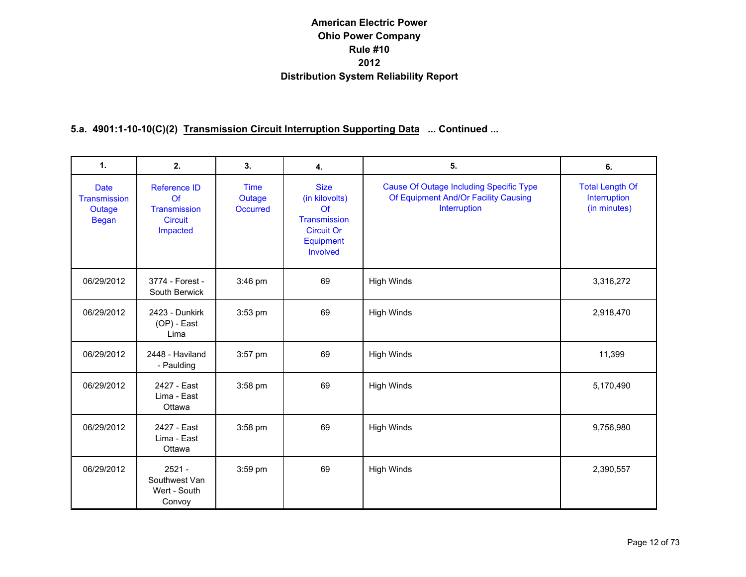| $\mathbf{1}$ .                                        | 2.                                                               | 3.                                       | 4.                                                                                                | 5.                                                                                                     | 6.                                                     |
|-------------------------------------------------------|------------------------------------------------------------------|------------------------------------------|---------------------------------------------------------------------------------------------------|--------------------------------------------------------------------------------------------------------|--------------------------------------------------------|
| <b>Date</b><br>Transmission<br>Outage<br><b>Began</b> | Reference ID<br>Of<br>Transmission<br><b>Circuit</b><br>Impacted | <b>Time</b><br>Outage<br><b>Occurred</b> | <b>Size</b><br>(in kilovolts)<br>Of<br>Transmission<br><b>Circuit Or</b><br>Equipment<br>Involved | <b>Cause Of Outage Including Specific Type</b><br>Of Equipment And/Or Facility Causing<br>Interruption | <b>Total Length Of</b><br>Interruption<br>(in minutes) |
| 06/29/2012                                            | 3774 - Forest -<br>South Berwick                                 | 3:46 pm                                  | 69                                                                                                | <b>High Winds</b>                                                                                      | 3,316,272                                              |
| 06/29/2012                                            | 2423 - Dunkirk<br>$(OP)$ - East<br>Lima                          | 3:53 pm                                  | 69                                                                                                | <b>High Winds</b>                                                                                      | 2,918,470                                              |
| 06/29/2012                                            | 2448 - Haviland<br>- Paulding                                    | 3:57 pm                                  | 69                                                                                                | <b>High Winds</b>                                                                                      | 11,399                                                 |
| 06/29/2012                                            | 2427 - East<br>Lima - East<br>Ottawa                             | 3:58 pm                                  | 69                                                                                                | <b>High Winds</b>                                                                                      | 5,170,490                                              |
| 06/29/2012                                            | 2427 - East<br>Lima - East<br>Ottawa                             | 3:58 pm                                  | 69                                                                                                | <b>High Winds</b>                                                                                      | 9,756,980                                              |
| 06/29/2012                                            | $2521 -$<br>Southwest Van<br>Wert - South<br>Convoy              | 3:59 pm                                  | 69                                                                                                | <b>High Winds</b>                                                                                      | 2,390,557                                              |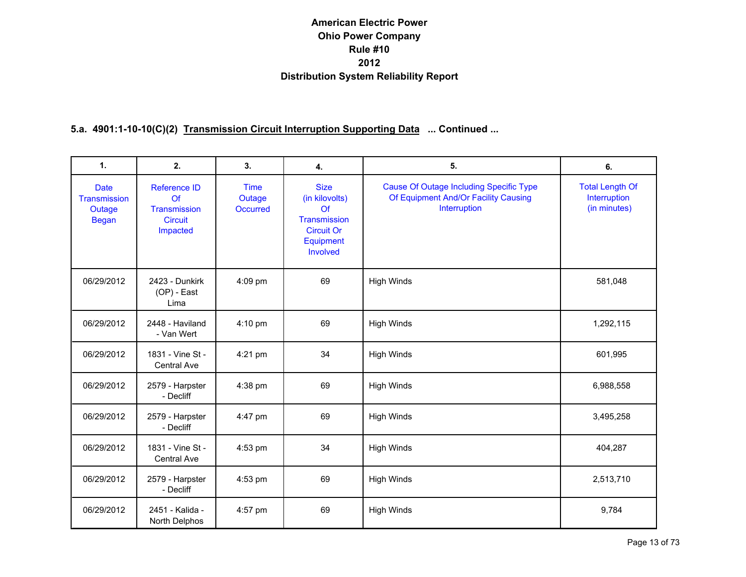| $\mathbf{1}$ .                                        | 2.                                                                             | 3.                                | 4.                                                                                                | 5.                                                                                                     | 6.                                                     |
|-------------------------------------------------------|--------------------------------------------------------------------------------|-----------------------------------|---------------------------------------------------------------------------------------------------|--------------------------------------------------------------------------------------------------------|--------------------------------------------------------|
| <b>Date</b><br>Transmission<br>Outage<br><b>Began</b> | <b>Reference ID</b><br>Of<br><b>Transmission</b><br><b>Circuit</b><br>Impacted | <b>Time</b><br>Outage<br>Occurred | <b>Size</b><br>(in kilovolts)<br>Of<br>Transmission<br><b>Circuit Or</b><br>Equipment<br>Involved | <b>Cause Of Outage Including Specific Type</b><br>Of Equipment And/Or Facility Causing<br>Interruption | <b>Total Length Of</b><br>Interruption<br>(in minutes) |
| 06/29/2012                                            | 2423 - Dunkirk<br>(OP) - East<br>Lima                                          | 4:09 pm                           | 69                                                                                                | <b>High Winds</b>                                                                                      | 581,048                                                |
| 06/29/2012                                            | 2448 - Haviland<br>- Van Wert                                                  | 4:10 pm                           | 69                                                                                                | <b>High Winds</b>                                                                                      | 1,292,115                                              |
| 06/29/2012                                            | 1831 - Vine St -<br>Central Ave                                                | 4:21 pm                           | 34                                                                                                | <b>High Winds</b>                                                                                      | 601,995                                                |
| 06/29/2012                                            | 2579 - Harpster<br>- Decliff                                                   | 4:38 pm                           | 69                                                                                                | <b>High Winds</b>                                                                                      | 6,988,558                                              |
| 06/29/2012                                            | 2579 - Harpster<br>- Decliff                                                   | 4:47 pm                           | 69                                                                                                | <b>High Winds</b>                                                                                      | 3,495,258                                              |
| 06/29/2012                                            | 1831 - Vine St -<br>Central Ave                                                | $4:53$ pm                         | 34                                                                                                | <b>High Winds</b>                                                                                      | 404,287                                                |
| 06/29/2012                                            | 2579 - Harpster<br>- Decliff                                                   | 4:53 pm                           | 69                                                                                                | <b>High Winds</b>                                                                                      | 2,513,710                                              |
| 06/29/2012                                            | 2451 - Kalida -<br>North Delphos                                               | 4:57 pm                           | 69                                                                                                | <b>High Winds</b>                                                                                      | 9,784                                                  |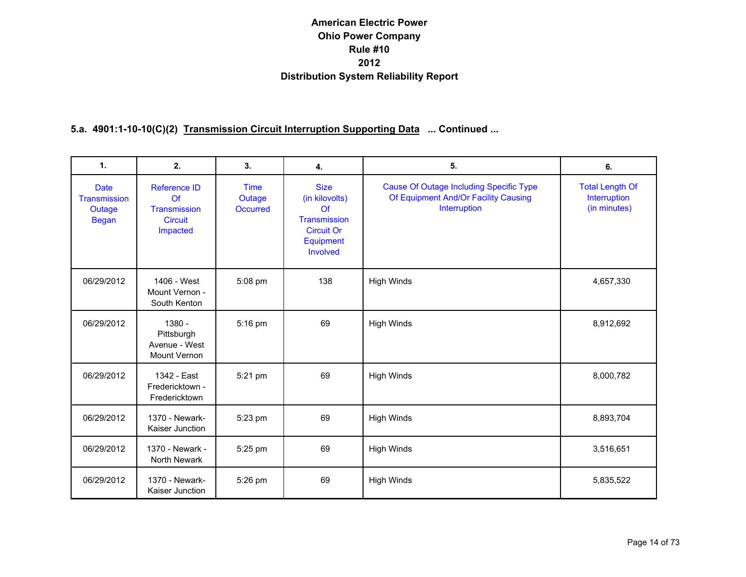| $\mathbf{1}$ .                                               | 2.                                                                      | 3.                                       | 4.                                                                                                | 5.                                                                                                     | 6.                                                     |
|--------------------------------------------------------------|-------------------------------------------------------------------------|------------------------------------------|---------------------------------------------------------------------------------------------------|--------------------------------------------------------------------------------------------------------|--------------------------------------------------------|
| <b>Date</b><br><b>Transmission</b><br>Outage<br><b>Began</b> | <b>Reference ID</b><br>Of<br>Transmission<br><b>Circuit</b><br>Impacted | <b>Time</b><br>Outage<br><b>Occurred</b> | <b>Size</b><br>(in kilovolts)<br>Of<br>Transmission<br><b>Circuit Or</b><br>Equipment<br>Involved | <b>Cause Of Outage Including Specific Type</b><br>Of Equipment And/Or Facility Causing<br>Interruption | <b>Total Length Of</b><br>Interruption<br>(in minutes) |
| 06/29/2012                                                   | 1406 - West<br>Mount Vernon -<br>South Kenton                           | 5:08 pm                                  | 138                                                                                               | <b>High Winds</b>                                                                                      | 4,657,330                                              |
| 06/29/2012                                                   | $1380 -$<br>Pittsburgh<br>Avenue - West<br>Mount Vernon                 | 5:16 pm                                  | 69                                                                                                | <b>High Winds</b>                                                                                      | 8,912,692                                              |
| 06/29/2012                                                   | 1342 - East<br>Fredericktown -<br>Fredericktown                         | 5:21 pm                                  | 69                                                                                                | <b>High Winds</b>                                                                                      | 8,000,782                                              |
| 06/29/2012                                                   | 1370 - Newark-<br>Kaiser Junction                                       | $5:23$ pm                                | 69                                                                                                | <b>High Winds</b>                                                                                      | 8,893,704                                              |
| 06/29/2012                                                   | 1370 - Newark -<br>North Newark                                         | 5:25 pm                                  | 69                                                                                                | <b>High Winds</b>                                                                                      | 3,516,651                                              |
| 06/29/2012                                                   | 1370 - Newark-<br>Kaiser Junction                                       | 5:26 pm                                  | 69                                                                                                | <b>High Winds</b>                                                                                      | 5,835,522                                              |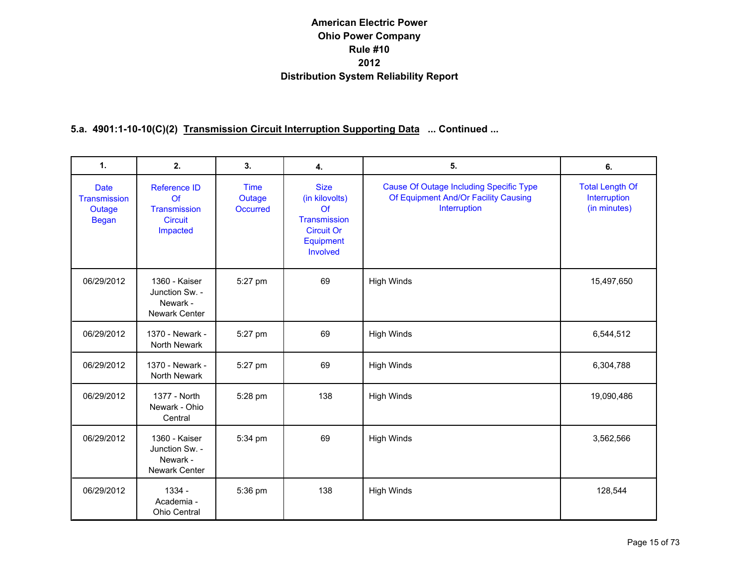| $\mathbf{1}$ .                                        | 2.                                                                             | 3.                                       | 4.                                                                                                | 5.                                                                                                     | 6.                                                     |
|-------------------------------------------------------|--------------------------------------------------------------------------------|------------------------------------------|---------------------------------------------------------------------------------------------------|--------------------------------------------------------------------------------------------------------|--------------------------------------------------------|
| <b>Date</b><br>Transmission<br>Outage<br><b>Began</b> | <b>Reference ID</b><br>Of<br><b>Transmission</b><br><b>Circuit</b><br>Impacted | <b>Time</b><br>Outage<br><b>Occurred</b> | <b>Size</b><br>(in kilovolts)<br>Of<br>Transmission<br><b>Circuit Or</b><br>Equipment<br>Involved | <b>Cause Of Outage Including Specific Type</b><br>Of Equipment And/Or Facility Causing<br>Interruption | <b>Total Length Of</b><br>Interruption<br>(in minutes) |
| 06/29/2012                                            | 1360 - Kaiser<br>Junction Sw. -<br>Newark -<br>Newark Center                   | 5:27 pm                                  | 69                                                                                                | <b>High Winds</b>                                                                                      | 15,497,650                                             |
| 06/29/2012                                            | 1370 - Newark -<br>North Newark                                                | 5:27 pm                                  | 69                                                                                                | <b>High Winds</b>                                                                                      | 6,544,512                                              |
| 06/29/2012                                            | 1370 - Newark -<br>North Newark                                                | 5:27 pm                                  | 69                                                                                                | <b>High Winds</b>                                                                                      | 6,304,788                                              |
| 06/29/2012                                            | 1377 - North<br>Newark - Ohio<br>Central                                       | 5:28 pm                                  | 138                                                                                               | <b>High Winds</b>                                                                                      | 19,090,486                                             |
| 06/29/2012                                            | 1360 - Kaiser<br>Junction Sw. -<br>Newark -<br>Newark Center                   | 5:34 pm                                  | 69                                                                                                | <b>High Winds</b>                                                                                      | 3,562,566                                              |
| 06/29/2012                                            | 1334 -<br>Academia -<br>Ohio Central                                           | 5:36 pm                                  | 138                                                                                               | <b>High Winds</b>                                                                                      | 128,544                                                |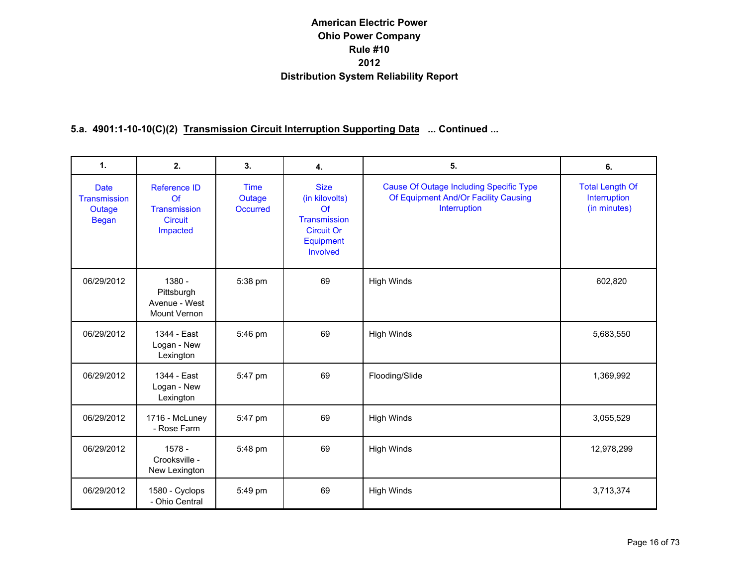| $\mathbf{1}$ .                                        | 2.                                                                      | 3.                                       | 4.                                                                                                | 5.                                                                                                     | 6.                                                     |
|-------------------------------------------------------|-------------------------------------------------------------------------|------------------------------------------|---------------------------------------------------------------------------------------------------|--------------------------------------------------------------------------------------------------------|--------------------------------------------------------|
| <b>Date</b><br>Transmission<br>Outage<br><b>Began</b> | Reference ID<br>Of<br><b>Transmission</b><br><b>Circuit</b><br>Impacted | <b>Time</b><br>Outage<br><b>Occurred</b> | <b>Size</b><br>(in kilovolts)<br>Of<br>Transmission<br><b>Circuit Or</b><br>Equipment<br>Involved | <b>Cause Of Outage Including Specific Type</b><br>Of Equipment And/Or Facility Causing<br>Interruption | <b>Total Length Of</b><br>Interruption<br>(in minutes) |
| 06/29/2012                                            | 1380 -<br>Pittsburgh<br>Avenue - West<br>Mount Vernon                   | 5:38 pm                                  | 69                                                                                                | <b>High Winds</b>                                                                                      | 602,820                                                |
| 06/29/2012                                            | 1344 - East<br>Logan - New<br>Lexington                                 | 5:46 pm                                  | 69                                                                                                | <b>High Winds</b>                                                                                      | 5,683,550                                              |
| 06/29/2012                                            | 1344 - East<br>Logan - New<br>Lexington                                 | 5:47 pm                                  | 69                                                                                                | Flooding/Slide                                                                                         | 1,369,992                                              |
| 06/29/2012                                            | 1716 - McLuney<br>- Rose Farm                                           | 5:47 pm                                  | 69                                                                                                | <b>High Winds</b>                                                                                      | 3,055,529                                              |
| 06/29/2012                                            | $1578 -$<br>Crooksville -<br>New Lexington                              | 5:48 pm                                  | 69                                                                                                | <b>High Winds</b>                                                                                      | 12,978,299                                             |
| 06/29/2012                                            | 1580 - Cyclops<br>- Ohio Central                                        | 5:49 pm                                  | 69                                                                                                | <b>High Winds</b>                                                                                      | 3,713,374                                              |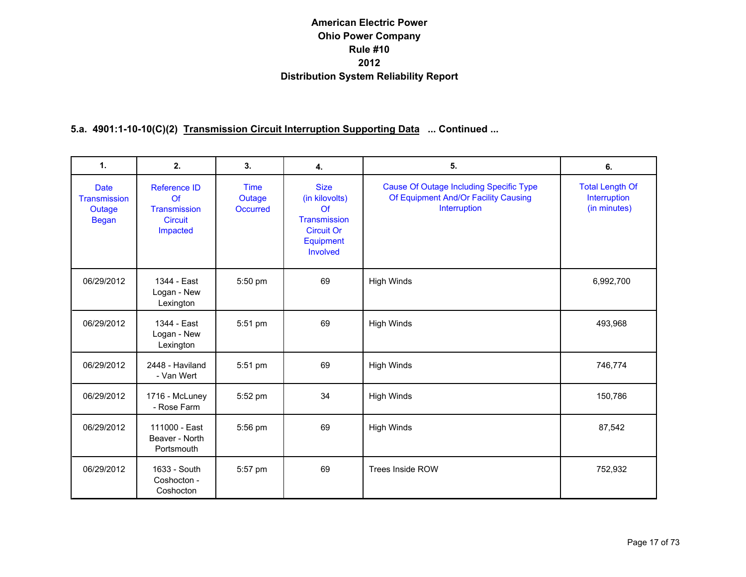| 1.                                                    | 2.                                                                                     | 3.                                | 4.                                                                                                | 5.                                                                                                     | 6.                                                     |
|-------------------------------------------------------|----------------------------------------------------------------------------------------|-----------------------------------|---------------------------------------------------------------------------------------------------|--------------------------------------------------------------------------------------------------------|--------------------------------------------------------|
| <b>Date</b><br>Transmission<br>Outage<br><b>Began</b> | <b>Reference ID</b><br>$\Omega$ f<br><b>Transmission</b><br><b>Circuit</b><br>Impacted | <b>Time</b><br>Outage<br>Occurred | <b>Size</b><br>(in kilovolts)<br>Of<br>Transmission<br><b>Circuit Or</b><br>Equipment<br>Involved | <b>Cause Of Outage Including Specific Type</b><br>Of Equipment And/Or Facility Causing<br>Interruption | <b>Total Length Of</b><br>Interruption<br>(in minutes) |
| 06/29/2012                                            | 1344 - East<br>Logan - New<br>Lexington                                                | 5:50 pm                           | 69                                                                                                | <b>High Winds</b>                                                                                      | 6,992,700                                              |
| 06/29/2012                                            | 1344 - East<br>Logan - New<br>Lexington                                                | 5:51 pm                           | 69                                                                                                | <b>High Winds</b>                                                                                      | 493,968                                                |
| 06/29/2012                                            | 2448 - Haviland<br>- Van Wert                                                          | 5:51 pm                           | 69                                                                                                | <b>High Winds</b>                                                                                      | 746,774                                                |
| 06/29/2012                                            | 1716 - McLuney<br>- Rose Farm                                                          | 5:52 pm                           | 34                                                                                                | High Winds                                                                                             | 150,786                                                |
| 06/29/2012                                            | 111000 - East<br>Beaver - North<br>Portsmouth                                          | 5:56 pm                           | 69                                                                                                | <b>High Winds</b>                                                                                      | 87,542                                                 |
| 06/29/2012                                            | 1633 - South<br>Coshocton -<br>Coshocton                                               | 5:57 pm                           | 69                                                                                                | <b>Trees Inside ROW</b>                                                                                | 752,932                                                |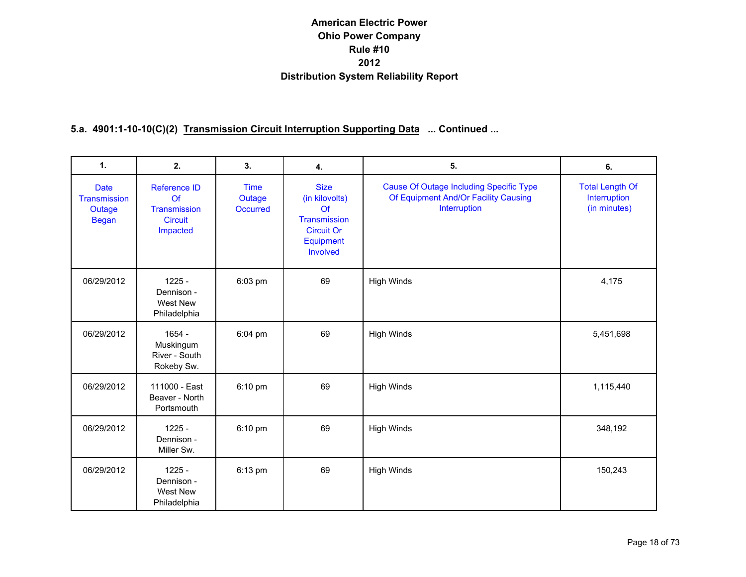| $\mathbf{1}$ .                                        | 2.                                                                      | 3.                                       | 4.                                                                                                      | 5.                                                                                                     | 6.                                                     |
|-------------------------------------------------------|-------------------------------------------------------------------------|------------------------------------------|---------------------------------------------------------------------------------------------------------|--------------------------------------------------------------------------------------------------------|--------------------------------------------------------|
| <b>Date</b><br>Transmission<br>Outage<br><b>Began</b> | <b>Reference ID</b><br>Of<br>Transmission<br><b>Circuit</b><br>Impacted | <b>Time</b><br>Outage<br><b>Occurred</b> | <b>Size</b><br>(in kilovolts)<br>$\Omega$<br>Transmission<br><b>Circuit Or</b><br>Equipment<br>Involved | <b>Cause Of Outage Including Specific Type</b><br>Of Equipment And/Or Facility Causing<br>Interruption | <b>Total Length Of</b><br>Interruption<br>(in minutes) |
| 06/29/2012                                            | $1225 -$<br>Dennison -<br>West New<br>Philadelphia                      | 6:03 pm                                  | 69                                                                                                      | <b>High Winds</b>                                                                                      | 4,175                                                  |
| 06/29/2012                                            | $1654 -$<br>Muskingum<br>River - South<br>Rokeby Sw.                    | 6:04 pm                                  | 69                                                                                                      | <b>High Winds</b>                                                                                      | 5,451,698                                              |
| 06/29/2012                                            | 111000 - East<br>Beaver - North<br>Portsmouth                           | 6:10 pm                                  | 69                                                                                                      | <b>High Winds</b>                                                                                      | 1,115,440                                              |
| 06/29/2012                                            | $1225 -$<br>Dennison -<br>Miller Sw.                                    | 6:10 pm                                  | 69                                                                                                      | <b>High Winds</b>                                                                                      | 348,192                                                |
| 06/29/2012                                            | $1225 -$<br>Dennison -<br>West New<br>Philadelphia                      | 6:13 pm                                  | 69                                                                                                      | <b>High Winds</b>                                                                                      | 150,243                                                |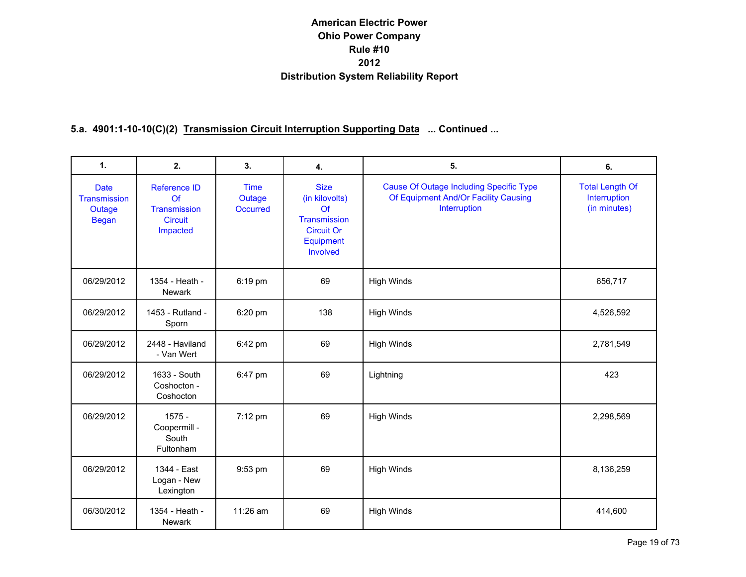| $\mathbf{1}$ .                                        | 2.                                                                      | 3.                                       | 4.                                                                                                | 5.                                                                                                     | 6.                                                     |
|-------------------------------------------------------|-------------------------------------------------------------------------|------------------------------------------|---------------------------------------------------------------------------------------------------|--------------------------------------------------------------------------------------------------------|--------------------------------------------------------|
| <b>Date</b><br>Transmission<br>Outage<br><b>Began</b> | <b>Reference ID</b><br>Of<br>Transmission<br><b>Circuit</b><br>Impacted | <b>Time</b><br>Outage<br><b>Occurred</b> | <b>Size</b><br>(in kilovolts)<br>Of<br>Transmission<br><b>Circuit Or</b><br>Equipment<br>Involved | <b>Cause Of Outage Including Specific Type</b><br>Of Equipment And/Or Facility Causing<br>Interruption | <b>Total Length Of</b><br>Interruption<br>(in minutes) |
| 06/29/2012                                            | 1354 - Heath -<br>Newark                                                | 6:19 pm                                  | 69                                                                                                | <b>High Winds</b>                                                                                      | 656,717                                                |
| 06/29/2012                                            | 1453 - Rutland -<br>Sporn                                               | 6:20 pm                                  | 138                                                                                               | <b>High Winds</b>                                                                                      | 4,526,592                                              |
| 06/29/2012                                            | 2448 - Haviland<br>- Van Wert                                           | 6:42 pm                                  | 69                                                                                                | <b>High Winds</b>                                                                                      | 2,781,549                                              |
| 06/29/2012                                            | 1633 - South<br>Coshocton -<br>Coshocton                                | 6:47 pm                                  | 69                                                                                                | Lightning                                                                                              | 423                                                    |
| 06/29/2012                                            | $1575 -$<br>Coopermill -<br>South<br>Fultonham                          | 7:12 pm                                  | 69                                                                                                | <b>High Winds</b>                                                                                      | 2,298,569                                              |
| 06/29/2012                                            | 1344 - East<br>Logan - New<br>Lexington                                 | 9:53 pm                                  | 69                                                                                                | <b>High Winds</b>                                                                                      | 8,136,259                                              |
| 06/30/2012                                            | 1354 - Heath -<br><b>Newark</b>                                         | 11:26 am                                 | 69                                                                                                | <b>High Winds</b>                                                                                      | 414,600                                                |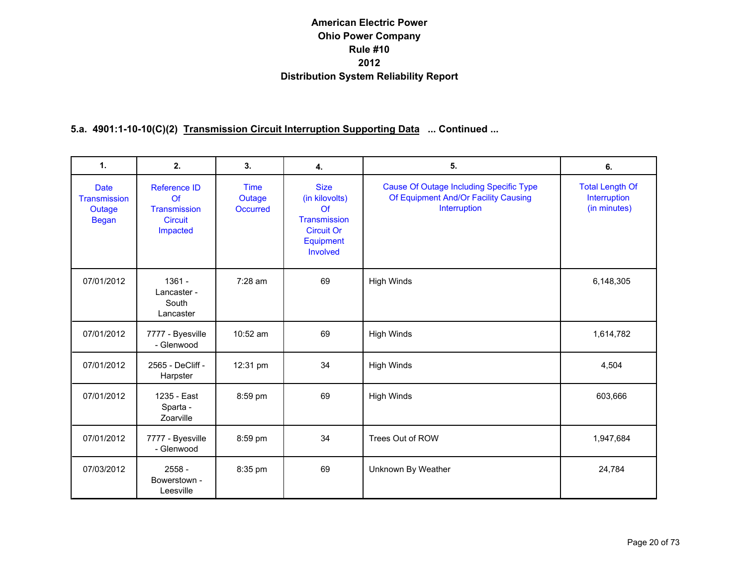| 1.                                                    | 2.                                                                             | 3.                                | 4.                                                                                                | 5.                                                                                                     | 6.                                                     |
|-------------------------------------------------------|--------------------------------------------------------------------------------|-----------------------------------|---------------------------------------------------------------------------------------------------|--------------------------------------------------------------------------------------------------------|--------------------------------------------------------|
| <b>Date</b><br>Transmission<br>Outage<br><b>Began</b> | <b>Reference ID</b><br>Of<br><b>Transmission</b><br><b>Circuit</b><br>Impacted | <b>Time</b><br>Outage<br>Occurred | <b>Size</b><br>(in kilovolts)<br>Of<br>Transmission<br><b>Circuit Or</b><br>Equipment<br>Involved | <b>Cause Of Outage Including Specific Type</b><br>Of Equipment And/Or Facility Causing<br>Interruption | <b>Total Length Of</b><br>Interruption<br>(in minutes) |
| 07/01/2012                                            | $1361 -$<br>Lancaster -<br>South<br>Lancaster                                  | 7:28 am                           | 69                                                                                                | <b>High Winds</b>                                                                                      | 6,148,305                                              |
| 07/01/2012                                            | 7777 - Byesville<br>- Glenwood                                                 | $10:52$ am                        | 69                                                                                                | <b>High Winds</b>                                                                                      | 1,614,782                                              |
| 07/01/2012                                            | 2565 - DeCliff -<br>Harpster                                                   | 12:31 pm                          | 34                                                                                                | <b>High Winds</b>                                                                                      | 4,504                                                  |
| 07/01/2012                                            | 1235 - East<br>Sparta -<br>Zoarville                                           | 8:59 pm                           | 69                                                                                                | <b>High Winds</b>                                                                                      | 603,666                                                |
| 07/01/2012                                            | 7777 - Byesville<br>- Glenwood                                                 | 8:59 pm                           | 34                                                                                                | Trees Out of ROW                                                                                       | 1,947,684                                              |
| 07/03/2012                                            | $2558 -$<br>Bowerstown -<br>Leesville                                          | 8:35 pm                           | 69                                                                                                | Unknown By Weather                                                                                     | 24,784                                                 |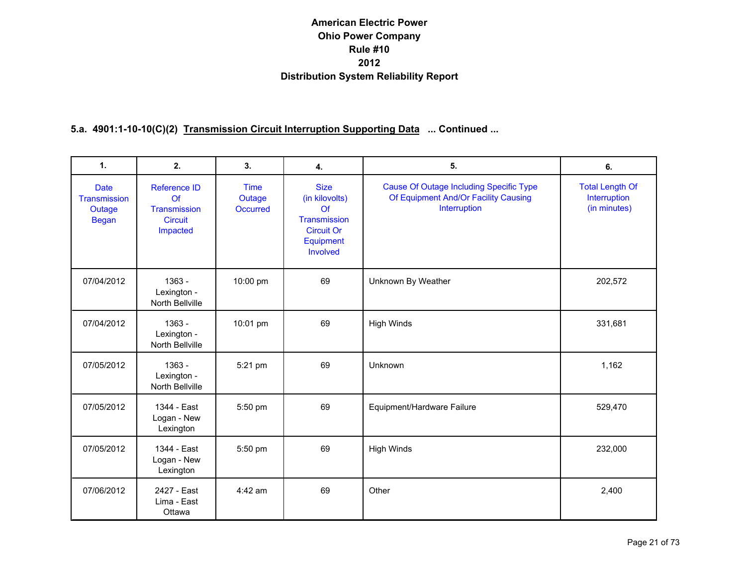| $\mathbf{1}$ .                                        | 2.                                                                      | 3.                                       | 4.                                                                                                | 5.                                                                                                     | 6.                                                     |
|-------------------------------------------------------|-------------------------------------------------------------------------|------------------------------------------|---------------------------------------------------------------------------------------------------|--------------------------------------------------------------------------------------------------------|--------------------------------------------------------|
| <b>Date</b><br>Transmission<br>Outage<br><b>Began</b> | <b>Reference ID</b><br>Of<br>Transmission<br><b>Circuit</b><br>Impacted | <b>Time</b><br>Outage<br><b>Occurred</b> | <b>Size</b><br>(in kilovolts)<br>Of<br>Transmission<br><b>Circuit Or</b><br>Equipment<br>Involved | <b>Cause Of Outage Including Specific Type</b><br>Of Equipment And/Or Facility Causing<br>Interruption | <b>Total Length Of</b><br>Interruption<br>(in minutes) |
| 07/04/2012                                            | 1363 -<br>Lexington -<br>North Bellville                                | 10:00 pm                                 | 69                                                                                                | Unknown By Weather                                                                                     | 202,572                                                |
| 07/04/2012                                            | $1363 -$<br>Lexington -<br>North Bellville                              | 10:01 pm                                 | 69                                                                                                | <b>High Winds</b>                                                                                      | 331,681                                                |
| 07/05/2012                                            | $1363 -$<br>Lexington -<br>North Bellville                              | 5:21 pm                                  | 69                                                                                                | Unknown                                                                                                | 1,162                                                  |
| 07/05/2012                                            | 1344 - East<br>Logan - New<br>Lexington                                 | 5:50 pm                                  | 69                                                                                                | Equipment/Hardware Failure                                                                             | 529,470                                                |
| 07/05/2012                                            | 1344 - East<br>Logan - New<br>Lexington                                 | 5:50 pm                                  | 69                                                                                                | <b>High Winds</b>                                                                                      | 232,000                                                |
| 07/06/2012                                            | 2427 - East<br>Lima - East<br>Ottawa                                    | $4:42$ am                                | 69                                                                                                | Other                                                                                                  | 2,400                                                  |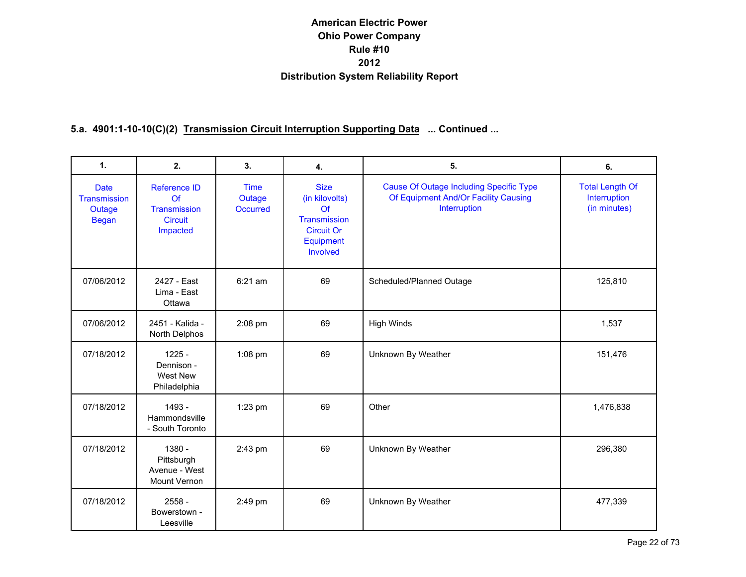| $\mathbf{1}$ .                                        | 2.                                                               | 3.                                       | 4.                                                                                                | 5.                                                                                                     | 6.                                                     |
|-------------------------------------------------------|------------------------------------------------------------------|------------------------------------------|---------------------------------------------------------------------------------------------------|--------------------------------------------------------------------------------------------------------|--------------------------------------------------------|
| <b>Date</b><br>Transmission<br>Outage<br><b>Began</b> | Reference ID<br>Of<br>Transmission<br><b>Circuit</b><br>Impacted | <b>Time</b><br>Outage<br><b>Occurred</b> | <b>Size</b><br>(in kilovolts)<br>Of<br>Transmission<br><b>Circuit Or</b><br>Equipment<br>Involved | <b>Cause Of Outage Including Specific Type</b><br>Of Equipment And/Or Facility Causing<br>Interruption | <b>Total Length Of</b><br>Interruption<br>(in minutes) |
| 07/06/2012                                            | 2427 - East<br>Lima - East<br>Ottawa                             | 6:21 am                                  | 69                                                                                                | Scheduled/Planned Outage                                                                               | 125,810                                                |
| 07/06/2012                                            | 2451 - Kalida -<br>North Delphos                                 | 2:08 pm                                  | 69                                                                                                | <b>High Winds</b>                                                                                      | 1,537                                                  |
| 07/18/2012                                            | $1225 -$<br>Dennison -<br>West New<br>Philadelphia               | 1:08 pm                                  | 69                                                                                                | Unknown By Weather                                                                                     | 151,476                                                |
| 07/18/2012                                            | 1493 -<br>Hammondsville<br>- South Toronto                       | 1:23 pm                                  | 69                                                                                                | Other                                                                                                  | 1,476,838                                              |
| 07/18/2012                                            | $1380 -$<br>Pittsburgh<br>Avenue - West<br>Mount Vernon          | 2:43 pm                                  | 69                                                                                                | Unknown By Weather                                                                                     | 296,380                                                |
| 07/18/2012                                            | $2558 -$<br>Bowerstown -<br>Leesville                            | 2:49 pm                                  | 69                                                                                                | Unknown By Weather                                                                                     | 477,339                                                |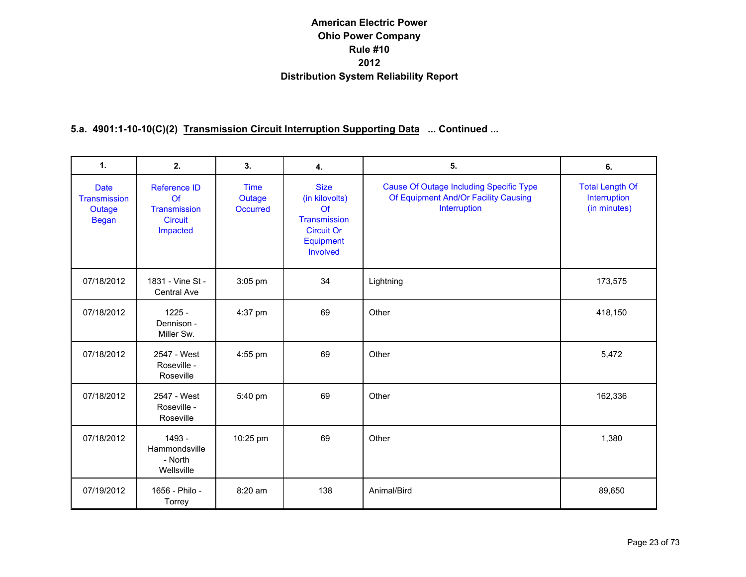| $\mathbf{1}$ .                                        | 2.                                                                                   | 3.                                       | 4.                                                                                                      | 5.                                                                                                     | 6.                                                     |
|-------------------------------------------------------|--------------------------------------------------------------------------------------|------------------------------------------|---------------------------------------------------------------------------------------------------------|--------------------------------------------------------------------------------------------------------|--------------------------------------------------------|
| <b>Date</b><br>Transmission<br>Outage<br><b>Began</b> | <b>Reference ID</b><br>$\Omega$<br><b>Transmission</b><br><b>Circuit</b><br>Impacted | <b>Time</b><br>Outage<br><b>Occurred</b> | <b>Size</b><br>(in kilovolts)<br>$\Omega$<br>Transmission<br><b>Circuit Or</b><br>Equipment<br>Involved | <b>Cause Of Outage Including Specific Type</b><br>Of Equipment And/Or Facility Causing<br>Interruption | <b>Total Length Of</b><br>Interruption<br>(in minutes) |
| 07/18/2012                                            | 1831 - Vine St -<br>Central Ave                                                      | $3:05$ pm                                | 34                                                                                                      | Lightning                                                                                              | 173,575                                                |
| 07/18/2012                                            | $1225 -$<br>Dennison -<br>Miller Sw.                                                 | 4:37 pm                                  | 69                                                                                                      | Other                                                                                                  | 418,150                                                |
| 07/18/2012                                            | 2547 - West<br>Roseville -<br>Roseville                                              | 4:55 pm                                  | 69                                                                                                      | Other                                                                                                  | 5,472                                                  |
| 07/18/2012                                            | 2547 - West<br>Roseville -<br>Roseville                                              | 5:40 pm                                  | 69                                                                                                      | Other                                                                                                  | 162,336                                                |
| 07/18/2012                                            | 1493 -<br>Hammondsville<br>- North<br>Wellsville                                     | 10:25 pm                                 | 69                                                                                                      | Other                                                                                                  | 1,380                                                  |
| 07/19/2012                                            | 1656 - Philo -<br>Torrey                                                             | 8:20 am                                  | 138                                                                                                     | Animal/Bird                                                                                            | 89,650                                                 |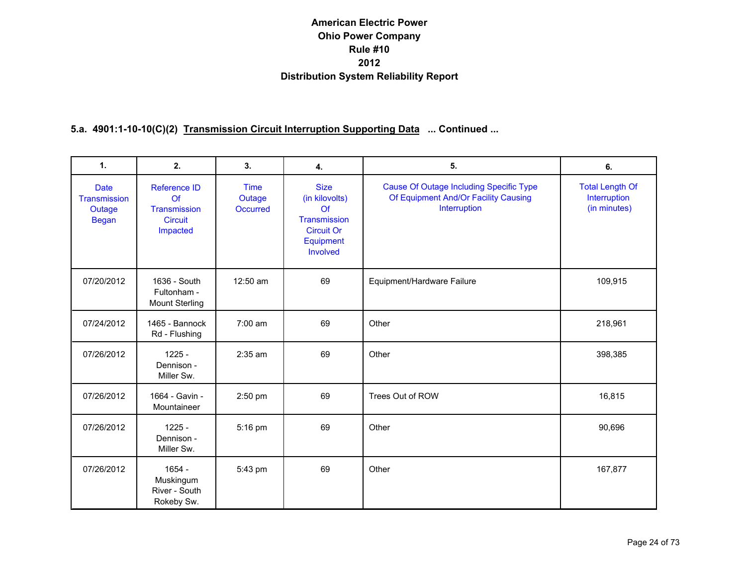| $\mathbf{1}$ .                                        | 2.                                                                      | 3.                                       | 4.                                                                                                | 5.                                                                                                     | 6.                                                     |
|-------------------------------------------------------|-------------------------------------------------------------------------|------------------------------------------|---------------------------------------------------------------------------------------------------|--------------------------------------------------------------------------------------------------------|--------------------------------------------------------|
| <b>Date</b><br>Transmission<br>Outage<br><b>Began</b> | <b>Reference ID</b><br>Of<br>Transmission<br><b>Circuit</b><br>Impacted | <b>Time</b><br>Outage<br><b>Occurred</b> | <b>Size</b><br>(in kilovolts)<br>Of<br>Transmission<br><b>Circuit Or</b><br>Equipment<br>Involved | <b>Cause Of Outage Including Specific Type</b><br>Of Equipment And/Or Facility Causing<br>Interruption | <b>Total Length Of</b><br>Interruption<br>(in minutes) |
| 07/20/2012                                            | 1636 - South<br>Fultonham -<br><b>Mount Sterling</b>                    | 12:50 am                                 | 69                                                                                                | Equipment/Hardware Failure                                                                             | 109,915                                                |
| 07/24/2012                                            | 1465 - Bannock<br>Rd - Flushing                                         | 7:00 am                                  | 69                                                                                                | Other                                                                                                  | 218,961                                                |
| 07/26/2012                                            | $1225 -$<br>Dennison -<br>Miller Sw.                                    | $2:35$ am                                | 69                                                                                                | Other                                                                                                  | 398,385                                                |
| 07/26/2012                                            | 1664 - Gavin -<br>Mountaineer                                           | 2:50 pm                                  | 69                                                                                                | Trees Out of ROW                                                                                       | 16,815                                                 |
| 07/26/2012                                            | $1225 -$<br>Dennison -<br>Miller Sw.                                    | 5:16 pm                                  | 69                                                                                                | Other                                                                                                  | 90,696                                                 |
| 07/26/2012                                            | $1654 -$<br>Muskingum<br>River - South<br>Rokeby Sw.                    | 5:43 pm                                  | 69                                                                                                | Other                                                                                                  | 167,877                                                |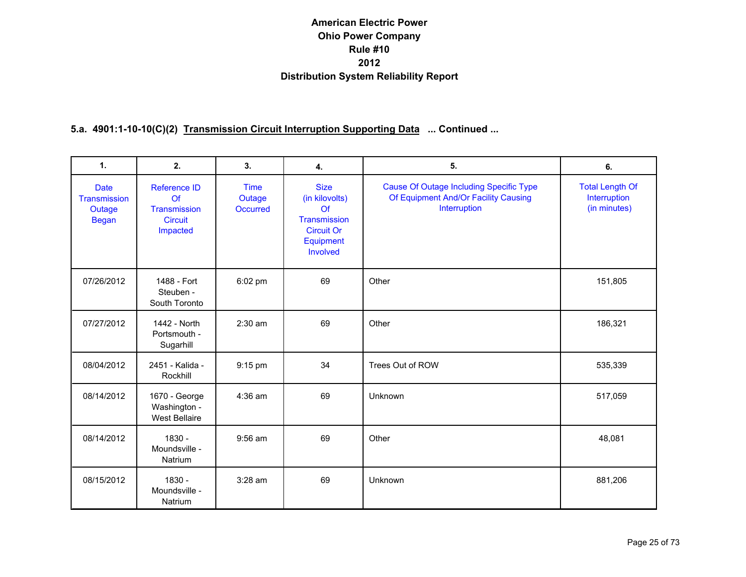| 1.                                                    | 2.                                                                              | 3.                                | 4.                                                                                                | 5.                                                                                                     | 6.                                                     |
|-------------------------------------------------------|---------------------------------------------------------------------------------|-----------------------------------|---------------------------------------------------------------------------------------------------|--------------------------------------------------------------------------------------------------------|--------------------------------------------------------|
| <b>Date</b><br>Transmission<br>Outage<br><b>Began</b> | <b>Reference ID</b><br>$\Omega$ f<br>Transmission<br><b>Circuit</b><br>Impacted | <b>Time</b><br>Outage<br>Occurred | <b>Size</b><br>(in kilovolts)<br>Of<br>Transmission<br><b>Circuit Or</b><br>Equipment<br>Involved | <b>Cause Of Outage Including Specific Type</b><br>Of Equipment And/Or Facility Causing<br>Interruption | <b>Total Length Of</b><br>Interruption<br>(in minutes) |
| 07/26/2012                                            | 1488 - Fort<br>Steuben -<br>South Toronto                                       | $6:02$ pm                         | 69                                                                                                | Other                                                                                                  | 151,805                                                |
| 07/27/2012                                            | 1442 - North<br>Portsmouth -<br>Sugarhill                                       | $2:30$ am                         | 69                                                                                                | Other                                                                                                  | 186,321                                                |
| 08/04/2012                                            | 2451 - Kalida -<br>Rockhill                                                     | 9:15 pm                           | 34                                                                                                | Trees Out of ROW                                                                                       | 535,339                                                |
| 08/14/2012                                            | 1670 - George<br>Washington -<br><b>West Bellaire</b>                           | $4:36$ am                         | 69                                                                                                | Unknown                                                                                                | 517,059                                                |
| 08/14/2012                                            | 1830 -<br>Moundsville -<br>Natrium                                              | $9:56$ am                         | 69                                                                                                | Other                                                                                                  | 48,081                                                 |
| 08/15/2012                                            | 1830 -<br>Moundsville -<br>Natrium                                              | $3:28$ am                         | 69                                                                                                | Unknown                                                                                                | 881,206                                                |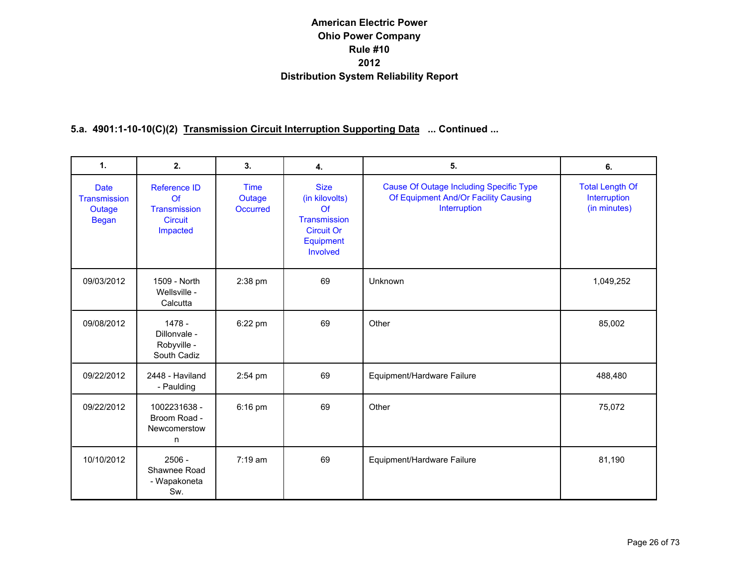| 1.                                                           | 2.                                                                            | 3.                                       | 4.                                                                                                | 5.                                                                                                     | 6.                                                     |
|--------------------------------------------------------------|-------------------------------------------------------------------------------|------------------------------------------|---------------------------------------------------------------------------------------------------|--------------------------------------------------------------------------------------------------------|--------------------------------------------------------|
| <b>Date</b><br><b>Transmission</b><br>Outage<br><b>Began</b> | <b>Reference ID</b><br>$\Omega$<br>Transmission<br><b>Circuit</b><br>Impacted | <b>Time</b><br>Outage<br><b>Occurred</b> | <b>Size</b><br>(in kilovolts)<br>Of<br>Transmission<br><b>Circuit Or</b><br>Equipment<br>Involved | <b>Cause Of Outage Including Specific Type</b><br>Of Equipment And/Or Facility Causing<br>Interruption | <b>Total Length Of</b><br>Interruption<br>(in minutes) |
| 09/03/2012                                                   | 1509 - North<br>Wellsville -<br>Calcutta                                      | 2:38 pm                                  | 69                                                                                                | Unknown                                                                                                | 1,049,252                                              |
| 09/08/2012                                                   | 1478 -<br>Dillonvale -<br>Robyville -<br>South Cadiz                          | 6:22 pm                                  | 69                                                                                                | Other                                                                                                  | 85,002                                                 |
| 09/22/2012                                                   | 2448 - Haviland<br>- Paulding                                                 | 2:54 pm                                  | 69                                                                                                | Equipment/Hardware Failure                                                                             | 488,480                                                |
| 09/22/2012                                                   | 1002231638 -<br>Broom Road -<br>Newcomerstow<br>n                             | $6:16$ pm                                | 69                                                                                                | Other                                                                                                  | 75,072                                                 |
| 10/10/2012                                                   | $2506 -$<br>Shawnee Road<br>- Wapakoneta<br>Sw.                               | $7:19 \text{ am}$                        | 69                                                                                                | Equipment/Hardware Failure                                                                             | 81,190                                                 |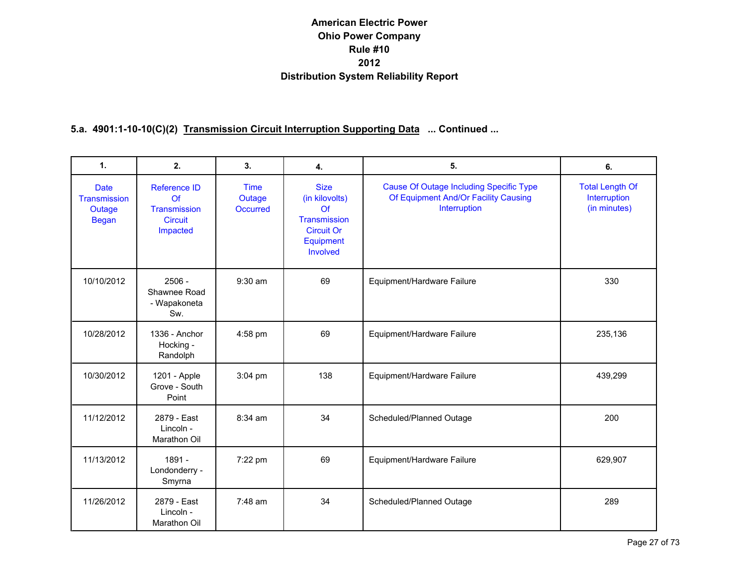| $\mathbf{1}$ .                                        | 2.                                                               | 3.                                       | 4.                                                                                                | 5.                                                                                                     | 6.                                                     |
|-------------------------------------------------------|------------------------------------------------------------------|------------------------------------------|---------------------------------------------------------------------------------------------------|--------------------------------------------------------------------------------------------------------|--------------------------------------------------------|
| <b>Date</b><br>Transmission<br>Outage<br><b>Began</b> | Reference ID<br>Of<br>Transmission<br><b>Circuit</b><br>Impacted | <b>Time</b><br>Outage<br><b>Occurred</b> | <b>Size</b><br>(in kilovolts)<br>Of<br>Transmission<br><b>Circuit Or</b><br>Equipment<br>Involved | <b>Cause Of Outage Including Specific Type</b><br>Of Equipment And/Or Facility Causing<br>Interruption | <b>Total Length Of</b><br>Interruption<br>(in minutes) |
| 10/10/2012                                            | $2506 -$<br>Shawnee Road<br>- Wapakoneta<br>Sw.                  | 9:30 am                                  | 69                                                                                                | Equipment/Hardware Failure                                                                             | 330                                                    |
| 10/28/2012                                            | 1336 - Anchor<br>Hocking -<br>Randolph                           | 4:58 pm                                  | 69                                                                                                | Equipment/Hardware Failure                                                                             | 235,136                                                |
| 10/30/2012                                            | 1201 - Apple<br>Grove - South<br>Point                           | 3:04 pm                                  | 138                                                                                               | Equipment/Hardware Failure                                                                             | 439,299                                                |
| 11/12/2012                                            | 2879 - East<br>Lincoln -<br>Marathon Oil                         | 8:34 am                                  | 34                                                                                                | Scheduled/Planned Outage                                                                               | 200                                                    |
| 11/13/2012                                            | 1891 -<br>Londonderry -<br>Smyrna                                | 7:22 pm                                  | 69                                                                                                | Equipment/Hardware Failure                                                                             | 629,907                                                |
| 11/26/2012                                            | 2879 - East<br>Lincoln -<br>Marathon Oil                         | $7:48$ am                                | 34                                                                                                | Scheduled/Planned Outage                                                                               | 289                                                    |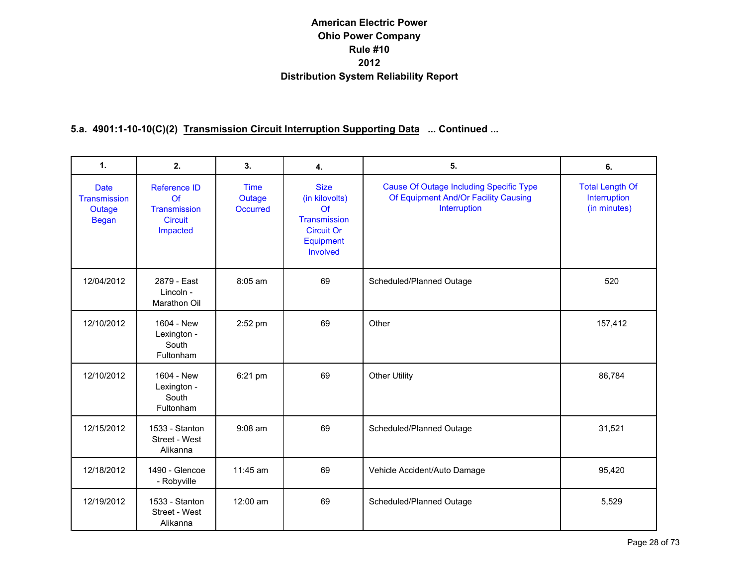| $\mathbf{1}$ .                                        | 2.                                                               | 3.                                       | 4.                                                                                                | 5.                                                                                                     | 6.                                                     |
|-------------------------------------------------------|------------------------------------------------------------------|------------------------------------------|---------------------------------------------------------------------------------------------------|--------------------------------------------------------------------------------------------------------|--------------------------------------------------------|
| <b>Date</b><br>Transmission<br>Outage<br><b>Began</b> | Reference ID<br>Of<br>Transmission<br><b>Circuit</b><br>Impacted | <b>Time</b><br>Outage<br><b>Occurred</b> | <b>Size</b><br>(in kilovolts)<br>Of<br>Transmission<br><b>Circuit Or</b><br>Equipment<br>Involved | <b>Cause Of Outage Including Specific Type</b><br>Of Equipment And/Or Facility Causing<br>Interruption | <b>Total Length Of</b><br>Interruption<br>(in minutes) |
| 12/04/2012                                            | 2879 - East<br>Lincoln -<br>Marathon Oil                         | 8:05 am                                  | 69                                                                                                | Scheduled/Planned Outage                                                                               | 520                                                    |
| 12/10/2012                                            | 1604 - New<br>Lexington -<br>South<br>Fultonham                  | 2:52 pm                                  | 69                                                                                                | Other                                                                                                  | 157,412                                                |
| 12/10/2012                                            | 1604 - New<br>Lexington -<br>South<br>Fultonham                  | 6:21 pm                                  | 69                                                                                                | <b>Other Utility</b>                                                                                   | 86,784                                                 |
| 12/15/2012                                            | 1533 - Stanton<br>Street - West<br>Alikanna                      | $9:08$ am                                | 69                                                                                                | Scheduled/Planned Outage                                                                               | 31,521                                                 |
| 12/18/2012                                            | 1490 - Glencoe<br>- Robyville                                    | 11:45 am                                 | 69                                                                                                | Vehicle Accident/Auto Damage                                                                           | 95,420                                                 |
| 12/19/2012                                            | 1533 - Stanton<br>Street - West<br>Alikanna                      | 12:00 am                                 | 69                                                                                                | Scheduled/Planned Outage                                                                               | 5,529                                                  |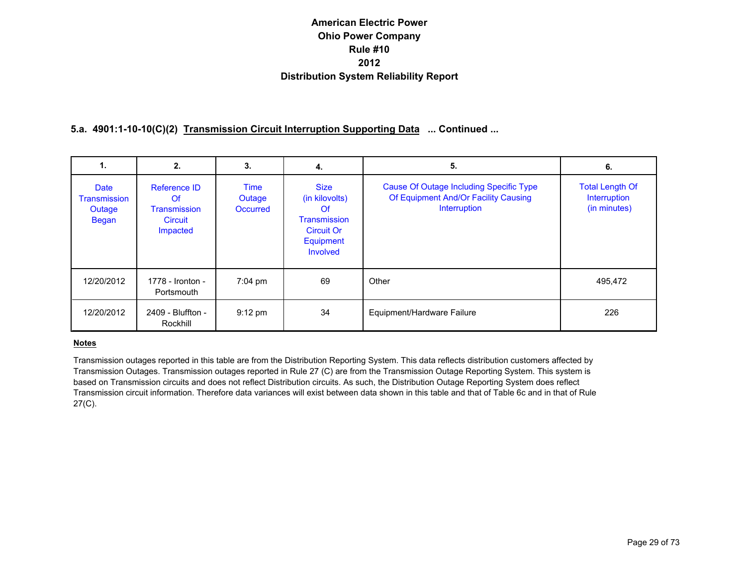## **5.a. 4901:1-10-10(C)(2) Transmission Circuit Interruption Supporting Data ... Continued ...**

| 1.                                                    | 2.                                                               | 3.                                | 4.                                                                                                       | 5.                                                                                                     | 6.                                                            |
|-------------------------------------------------------|------------------------------------------------------------------|-----------------------------------|----------------------------------------------------------------------------------------------------------|--------------------------------------------------------------------------------------------------------|---------------------------------------------------------------|
| <b>Date</b><br>Transmission<br>Outage<br><b>Began</b> | Reference ID<br>Of<br><b>Transmission</b><br>Circuit<br>Impacted | Time<br>Outage<br><b>Occurred</b> | <b>Size</b><br>(in kilovolts)<br>Of<br><b>Transmission</b><br><b>Circuit Or</b><br>Equipment<br>Involved | <b>Cause Of Outage Including Specific Type</b><br>Of Equipment And/Or Facility Causing<br>Interruption | <b>Total Length Of</b><br><b>Interruption</b><br>(in minutes) |
| 12/20/2012                                            | 1778 - Ironton -<br>Portsmouth                                   | $7:04 \text{ pm}$                 | 69                                                                                                       | Other                                                                                                  | 495,472                                                       |
| 12/20/2012                                            | 2409 - Bluffton -<br>Rockhill                                    | $9:12 \text{ pm}$                 | 34                                                                                                       | Equipment/Hardware Failure                                                                             | 226                                                           |

#### **Notes**

Transmission outages reported in this table are from the Distribution Reporting System. This data reflects distribution customers affected by Transmission Outages. Transmission outages reported in Rule 27 (C) are from the Transmission Outage Reporting System. This system is based on Transmission circuits and does not reflect Distribution circuits. As such, the Distribution Outage Reporting System does reflect Transmission circuit information. Therefore data variances will exist between data shown in this table and that of Table 6c and in that of Rule 27(C).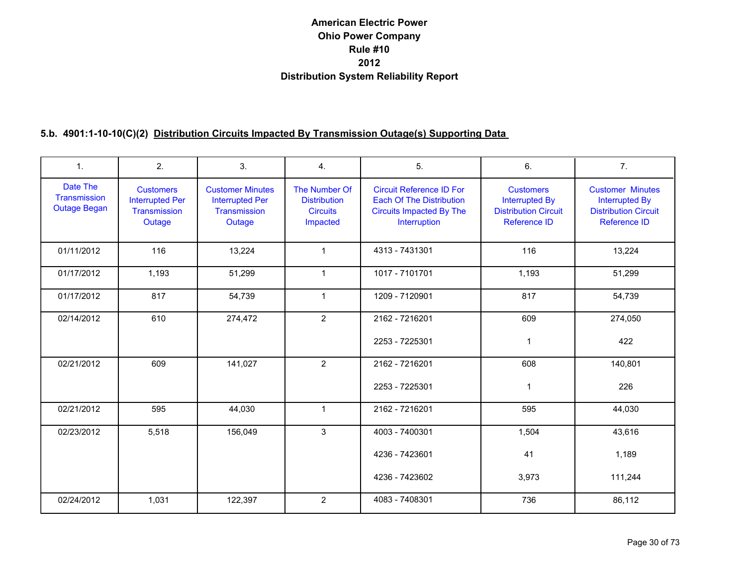| 1.                                              | 2.                                                                   | 3.                                                                          | 4.                                                                  | 5.                                                                                                                    | 6.                                                                                       | 7.                                                                                                     |
|-------------------------------------------------|----------------------------------------------------------------------|-----------------------------------------------------------------------------|---------------------------------------------------------------------|-----------------------------------------------------------------------------------------------------------------------|------------------------------------------------------------------------------------------|--------------------------------------------------------------------------------------------------------|
| Date The<br>Transmission<br><b>Outage Began</b> | <b>Customers</b><br><b>Interrupted Per</b><br>Transmission<br>Outage | <b>Customer Minutes</b><br><b>Interrupted Per</b><br>Transmission<br>Outage | The Number Of<br><b>Distribution</b><br><b>Circuits</b><br>Impacted | <b>Circuit Reference ID For</b><br><b>Each Of The Distribution</b><br><b>Circuits Impacted By The</b><br>Interruption | <b>Customers</b><br><b>Interrupted By</b><br><b>Distribution Circuit</b><br>Reference ID | <b>Customer Minutes</b><br><b>Interrupted By</b><br><b>Distribution Circuit</b><br><b>Reference ID</b> |
| 01/11/2012                                      | 116                                                                  | 13,224                                                                      | $\mathbf{1}$                                                        | 4313 - 7431301                                                                                                        | 116                                                                                      | 13,224                                                                                                 |
| 01/17/2012                                      | 1,193                                                                | 51,299                                                                      | $\mathbf{1}$                                                        | 1017 - 7101701                                                                                                        | 1,193                                                                                    | 51,299                                                                                                 |
| 01/17/2012                                      | 817                                                                  | 54,739                                                                      | $\mathbf{1}$                                                        | 1209 - 7120901                                                                                                        | 817                                                                                      | 54,739                                                                                                 |
| 02/14/2012                                      | 610                                                                  | 274,472                                                                     | $\overline{2}$                                                      | 2162 - 7216201                                                                                                        | 609                                                                                      | 274,050                                                                                                |
|                                                 |                                                                      |                                                                             |                                                                     | 2253 - 7225301                                                                                                        | 1                                                                                        | 422                                                                                                    |
| 02/21/2012                                      | 609                                                                  | 141,027                                                                     | $\overline{2}$                                                      | 2162 - 7216201                                                                                                        | 608                                                                                      | 140,801                                                                                                |
|                                                 |                                                                      |                                                                             |                                                                     | 2253 - 7225301                                                                                                        | $\mathbf{1}$                                                                             | 226                                                                                                    |
| 02/21/2012                                      | 595                                                                  | 44,030                                                                      | $\mathbf{1}$                                                        | 2162 - 7216201                                                                                                        | 595                                                                                      | 44,030                                                                                                 |
| 02/23/2012                                      | 5,518                                                                | 156,049                                                                     | 3                                                                   | 4003 - 7400301                                                                                                        | 1,504                                                                                    | 43,616                                                                                                 |
|                                                 |                                                                      |                                                                             |                                                                     | 4236 - 7423601                                                                                                        | 41                                                                                       | 1,189                                                                                                  |
|                                                 |                                                                      |                                                                             |                                                                     | 4236 - 7423602                                                                                                        | 3,973                                                                                    | 111,244                                                                                                |
| 02/24/2012                                      | 1,031                                                                | 122,397                                                                     | $\overline{2}$                                                      | 4083 - 7408301                                                                                                        | 736                                                                                      | 86,112                                                                                                 |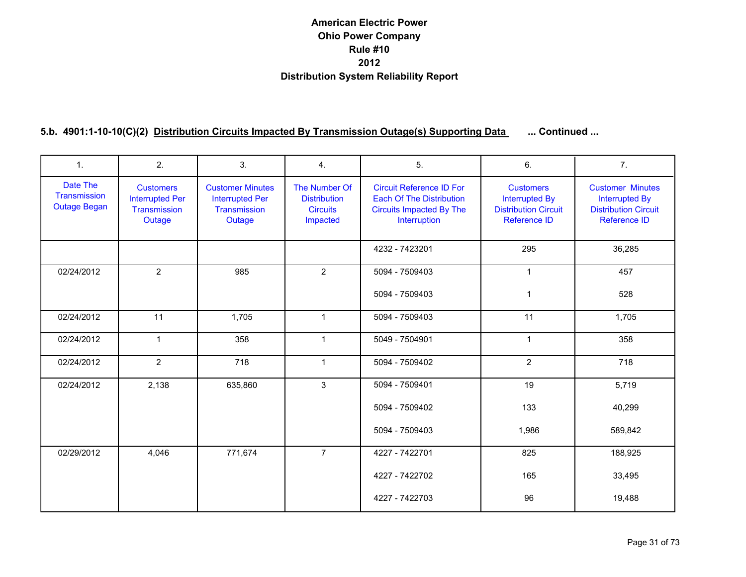| 1.                                              | 2.                                                                   | 3.                                                                          | 4.                                                                  | 5.                                                                                                                    | 6.                                                                                       | 7 <sub>1</sub>                                                                                  |
|-------------------------------------------------|----------------------------------------------------------------------|-----------------------------------------------------------------------------|---------------------------------------------------------------------|-----------------------------------------------------------------------------------------------------------------------|------------------------------------------------------------------------------------------|-------------------------------------------------------------------------------------------------|
| Date The<br>Transmission<br><b>Outage Began</b> | <b>Customers</b><br><b>Interrupted Per</b><br>Transmission<br>Outage | <b>Customer Minutes</b><br><b>Interrupted Per</b><br>Transmission<br>Outage | The Number Of<br><b>Distribution</b><br><b>Circuits</b><br>Impacted | <b>Circuit Reference ID For</b><br><b>Each Of The Distribution</b><br><b>Circuits Impacted By The</b><br>Interruption | <b>Customers</b><br><b>Interrupted By</b><br><b>Distribution Circuit</b><br>Reference ID | <b>Customer Minutes</b><br><b>Interrupted By</b><br><b>Distribution Circuit</b><br>Reference ID |
|                                                 |                                                                      |                                                                             |                                                                     | 4232 - 7423201                                                                                                        | 295                                                                                      | 36,285                                                                                          |
| 02/24/2012                                      | $\overline{2}$                                                       | 985                                                                         | $\overline{2}$                                                      | 5094 - 7509403                                                                                                        | $\mathbf{1}$                                                                             | 457                                                                                             |
|                                                 |                                                                      |                                                                             |                                                                     | 5094 - 7509403                                                                                                        | 1                                                                                        | 528                                                                                             |
| 02/24/2012                                      | 11                                                                   | 1,705                                                                       | $\mathbf{1}$                                                        | 5094 - 7509403                                                                                                        | 11                                                                                       | 1,705                                                                                           |
| 02/24/2012                                      | $\mathbf{1}$                                                         | 358                                                                         | $\mathbf{1}$                                                        | 5049 - 7504901                                                                                                        | $\mathbf{1}$                                                                             | 358                                                                                             |
| 02/24/2012                                      | $\overline{2}$                                                       | 718                                                                         | $\mathbf{1}$                                                        | 5094 - 7509402                                                                                                        | $\overline{2}$                                                                           | 718                                                                                             |
| 02/24/2012                                      | 2,138                                                                | 635,860                                                                     | 3                                                                   | 5094 - 7509401                                                                                                        | 19                                                                                       | 5,719                                                                                           |
|                                                 |                                                                      |                                                                             |                                                                     | 5094 - 7509402                                                                                                        | 133                                                                                      | 40,299                                                                                          |
|                                                 |                                                                      |                                                                             |                                                                     | 5094 - 7509403                                                                                                        | 1,986                                                                                    | 589,842                                                                                         |
| 02/29/2012                                      | 4,046                                                                | 771,674                                                                     | $\overline{7}$                                                      | 4227 - 7422701                                                                                                        | 825                                                                                      | 188,925                                                                                         |
|                                                 |                                                                      |                                                                             |                                                                     | 4227 - 7422702                                                                                                        | 165                                                                                      | 33,495                                                                                          |
|                                                 |                                                                      |                                                                             |                                                                     | 4227 - 7422703                                                                                                        | 96                                                                                       | 19,488                                                                                          |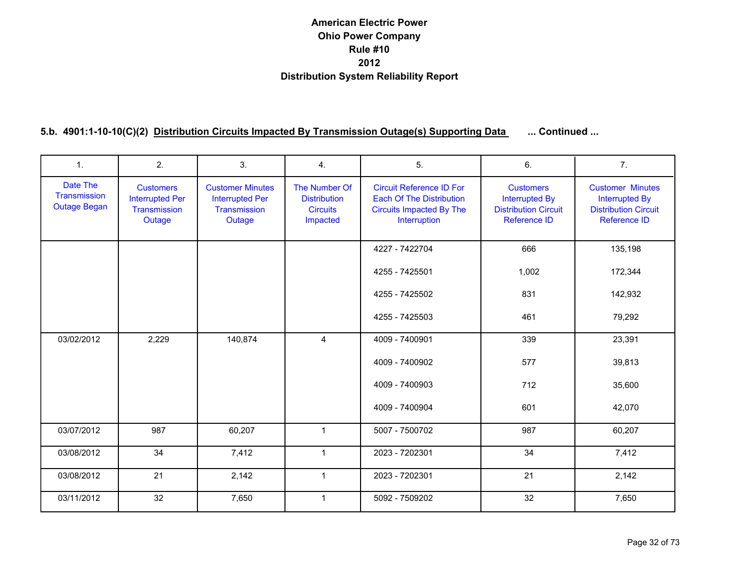| $\mathbf{1}$ .                                  | 2.                                                                   | 3.                                                                          | 4.                                                                  | 5.                                                                                                                    | 6.                                                                                              | 7 <sub>1</sub>                                                                                         |
|-------------------------------------------------|----------------------------------------------------------------------|-----------------------------------------------------------------------------|---------------------------------------------------------------------|-----------------------------------------------------------------------------------------------------------------------|-------------------------------------------------------------------------------------------------|--------------------------------------------------------------------------------------------------------|
| Date The<br>Transmission<br><b>Outage Began</b> | <b>Customers</b><br><b>Interrupted Per</b><br>Transmission<br>Outage | <b>Customer Minutes</b><br><b>Interrupted Per</b><br>Transmission<br>Outage | The Number Of<br><b>Distribution</b><br><b>Circuits</b><br>Impacted | <b>Circuit Reference ID For</b><br><b>Each Of The Distribution</b><br><b>Circuits Impacted By The</b><br>Interruption | <b>Customers</b><br><b>Interrupted By</b><br><b>Distribution Circuit</b><br><b>Reference ID</b> | <b>Customer Minutes</b><br><b>Interrupted By</b><br><b>Distribution Circuit</b><br><b>Reference ID</b> |
|                                                 |                                                                      |                                                                             |                                                                     | 4227 - 7422704                                                                                                        | 666                                                                                             | 135,198                                                                                                |
|                                                 |                                                                      |                                                                             |                                                                     | 4255 - 7425501                                                                                                        | 1,002                                                                                           | 172,344                                                                                                |
|                                                 |                                                                      |                                                                             |                                                                     | 4255 - 7425502                                                                                                        | 831                                                                                             | 142,932                                                                                                |
|                                                 |                                                                      |                                                                             |                                                                     | 4255 - 7425503                                                                                                        | 461                                                                                             | 79,292                                                                                                 |
| 03/02/2012                                      | 2,229                                                                | 140,874                                                                     | $\overline{4}$                                                      | 4009 - 7400901                                                                                                        | 339                                                                                             | 23,391                                                                                                 |
|                                                 |                                                                      |                                                                             |                                                                     | 4009 - 7400902                                                                                                        | 577                                                                                             | 39,813                                                                                                 |
|                                                 |                                                                      |                                                                             |                                                                     | 4009 - 7400903                                                                                                        | 712                                                                                             | 35,600                                                                                                 |
|                                                 |                                                                      |                                                                             |                                                                     | 4009 - 7400904                                                                                                        | 601                                                                                             | 42,070                                                                                                 |
| 03/07/2012                                      | 987                                                                  | 60,207                                                                      | $\mathbf{1}$                                                        | 5007 - 7500702                                                                                                        | 987                                                                                             | 60,207                                                                                                 |
| 03/08/2012                                      | 34                                                                   | 7,412                                                                       | $\mathbf{1}$                                                        | 2023 - 7202301                                                                                                        | 34                                                                                              | 7,412                                                                                                  |
| 03/08/2012                                      | 21                                                                   | 2,142                                                                       | $\mathbf{1}$                                                        | 2023 - 7202301                                                                                                        | 21                                                                                              | 2,142                                                                                                  |
| 03/11/2012                                      | 32                                                                   | 7,650                                                                       | $\mathbf{1}$                                                        | 5092 - 7509202                                                                                                        | 32                                                                                              | 7,650                                                                                                  |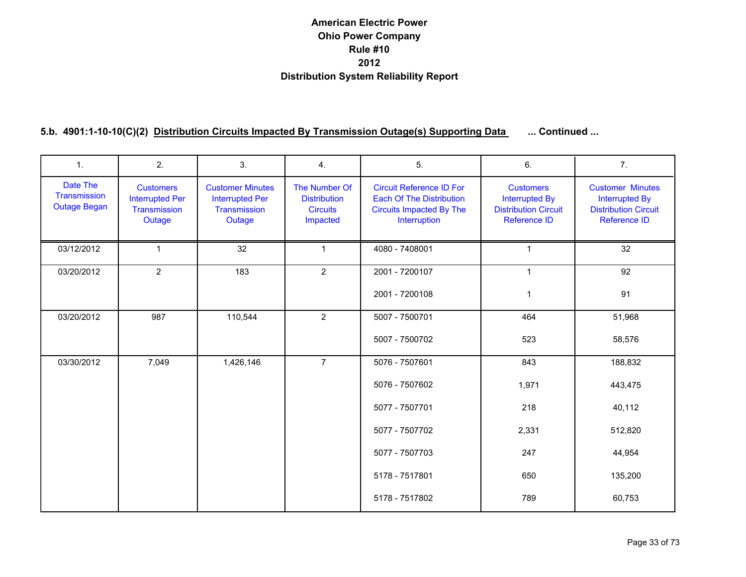| $\mathbf{1}$ .                                  | 2.                                                                   | 3.                                                                          | 4.                                                                  | 5.                                                                                                                    | 6.                                                                                       | 7.                                                                                              |
|-------------------------------------------------|----------------------------------------------------------------------|-----------------------------------------------------------------------------|---------------------------------------------------------------------|-----------------------------------------------------------------------------------------------------------------------|------------------------------------------------------------------------------------------|-------------------------------------------------------------------------------------------------|
| Date The<br>Transmission<br><b>Outage Began</b> | <b>Customers</b><br><b>Interrupted Per</b><br>Transmission<br>Outage | <b>Customer Minutes</b><br><b>Interrupted Per</b><br>Transmission<br>Outage | The Number Of<br><b>Distribution</b><br><b>Circuits</b><br>Impacted | <b>Circuit Reference ID For</b><br><b>Each Of The Distribution</b><br><b>Circuits Impacted By The</b><br>Interruption | <b>Customers</b><br><b>Interrupted By</b><br><b>Distribution Circuit</b><br>Reference ID | <b>Customer Minutes</b><br><b>Interrupted By</b><br><b>Distribution Circuit</b><br>Reference ID |
| 03/12/2012                                      | $\mathbf{1}$                                                         | 32                                                                          | 1                                                                   | 4080 - 7408001                                                                                                        | $\mathbf 1$                                                                              | 32                                                                                              |
| 03/20/2012                                      | $\overline{2}$                                                       | 183                                                                         | $\overline{2}$                                                      | 2001 - 7200107                                                                                                        | $\mathbf 1$                                                                              | 92                                                                                              |
|                                                 |                                                                      |                                                                             |                                                                     | 2001 - 7200108                                                                                                        | 1                                                                                        | 91                                                                                              |
| 03/20/2012                                      | 987                                                                  | 110,544                                                                     | $\overline{2}$                                                      | 5007 - 7500701                                                                                                        | 464                                                                                      | 51,968                                                                                          |
|                                                 |                                                                      |                                                                             |                                                                     | 5007 - 7500702                                                                                                        | 523                                                                                      | 58,576                                                                                          |
| 03/30/2012                                      | 7,049                                                                | 1,426,146                                                                   | $\overline{7}$                                                      | 5076 - 7507601                                                                                                        | 843                                                                                      | 188,832                                                                                         |
|                                                 |                                                                      |                                                                             |                                                                     | 5076 - 7507602                                                                                                        | 1,971                                                                                    | 443,475                                                                                         |
|                                                 |                                                                      |                                                                             |                                                                     | 5077 - 7507701                                                                                                        | 218                                                                                      | 40,112                                                                                          |
|                                                 |                                                                      |                                                                             |                                                                     | 5077 - 7507702                                                                                                        | 2,331                                                                                    | 512,820                                                                                         |
|                                                 |                                                                      |                                                                             |                                                                     | 5077 - 7507703                                                                                                        | 247                                                                                      | 44,954                                                                                          |
|                                                 |                                                                      |                                                                             |                                                                     | 5178 - 7517801                                                                                                        | 650                                                                                      | 135,200                                                                                         |
|                                                 |                                                                      |                                                                             |                                                                     | 5178 - 7517802                                                                                                        | 789                                                                                      | 60,753                                                                                          |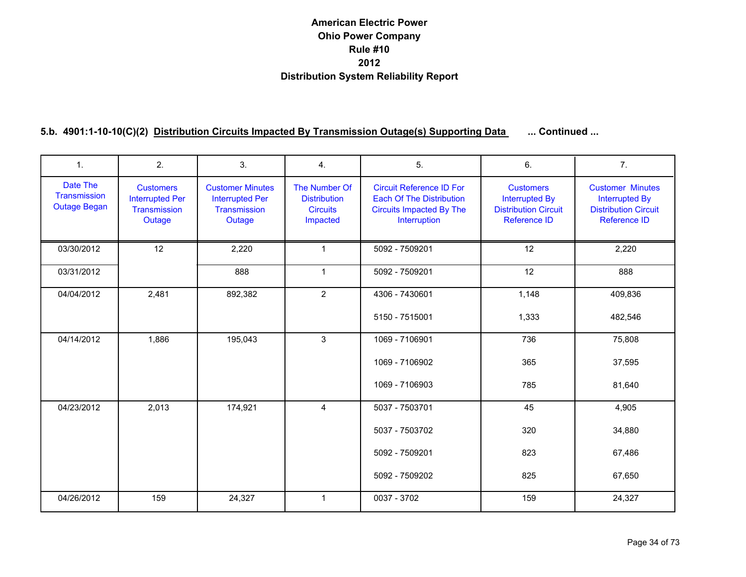| 1.                                              | 2.                                                                   | 3.                                                                          | 4.                                                                  | 5.                                                                                                                    | 6.                                                                                       | 7.                                                                                                     |
|-------------------------------------------------|----------------------------------------------------------------------|-----------------------------------------------------------------------------|---------------------------------------------------------------------|-----------------------------------------------------------------------------------------------------------------------|------------------------------------------------------------------------------------------|--------------------------------------------------------------------------------------------------------|
| Date The<br>Transmission<br><b>Outage Began</b> | <b>Customers</b><br><b>Interrupted Per</b><br>Transmission<br>Outage | <b>Customer Minutes</b><br><b>Interrupted Per</b><br>Transmission<br>Outage | The Number Of<br><b>Distribution</b><br><b>Circuits</b><br>Impacted | <b>Circuit Reference ID For</b><br><b>Each Of The Distribution</b><br><b>Circuits Impacted By The</b><br>Interruption | <b>Customers</b><br><b>Interrupted By</b><br><b>Distribution Circuit</b><br>Reference ID | <b>Customer Minutes</b><br><b>Interrupted By</b><br><b>Distribution Circuit</b><br><b>Reference ID</b> |
| 03/30/2012                                      | 12                                                                   | 2,220                                                                       | $\mathbf{1}$                                                        | 5092 - 7509201                                                                                                        | 12                                                                                       | 2,220                                                                                                  |
| 03/31/2012                                      |                                                                      | 888                                                                         | $\mathbf{1}$                                                        | 5092 - 7509201                                                                                                        | 12                                                                                       | 888                                                                                                    |
| 04/04/2012                                      | 2,481                                                                | 892,382                                                                     | $\overline{2}$                                                      | 4306 - 7430601                                                                                                        | 1,148                                                                                    | 409,836                                                                                                |
|                                                 |                                                                      |                                                                             |                                                                     | 5150 - 7515001                                                                                                        | 1,333                                                                                    | 482,546                                                                                                |
| 04/14/2012                                      | 1,886                                                                | 195,043                                                                     | 3                                                                   | 1069 - 7106901                                                                                                        | 736                                                                                      | 75,808                                                                                                 |
|                                                 |                                                                      |                                                                             |                                                                     | 1069 - 7106902                                                                                                        | 365                                                                                      | 37,595                                                                                                 |
|                                                 |                                                                      |                                                                             |                                                                     | 1069 - 7106903                                                                                                        | 785                                                                                      | 81,640                                                                                                 |
| 04/23/2012                                      | 2,013                                                                | 174,921                                                                     | $\overline{4}$                                                      | 5037 - 7503701                                                                                                        | 45                                                                                       | 4,905                                                                                                  |
|                                                 |                                                                      |                                                                             |                                                                     | 5037 - 7503702                                                                                                        | 320                                                                                      | 34,880                                                                                                 |
|                                                 |                                                                      |                                                                             |                                                                     | 5092 - 7509201                                                                                                        | 823                                                                                      | 67,486                                                                                                 |
|                                                 |                                                                      |                                                                             |                                                                     | 5092 - 7509202                                                                                                        | 825                                                                                      | 67,650                                                                                                 |
| 04/26/2012                                      | 159                                                                  | 24,327                                                                      | $\mathbf{1}$                                                        | 0037 - 3702                                                                                                           | 159                                                                                      | 24,327                                                                                                 |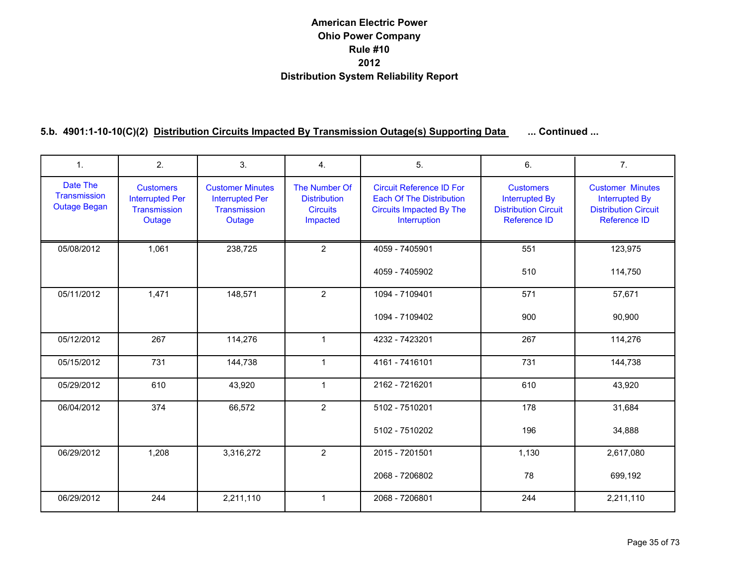| $\mathbf{1}$ .                                  | 2.                                                                   | 3.                                                                          | 4.                                                                  | 5.                                                                                                                    | 6.                                                                                              | 7 <sub>1</sub>                                                                                         |
|-------------------------------------------------|----------------------------------------------------------------------|-----------------------------------------------------------------------------|---------------------------------------------------------------------|-----------------------------------------------------------------------------------------------------------------------|-------------------------------------------------------------------------------------------------|--------------------------------------------------------------------------------------------------------|
| Date The<br>Transmission<br><b>Outage Began</b> | <b>Customers</b><br><b>Interrupted Per</b><br>Transmission<br>Outage | <b>Customer Minutes</b><br><b>Interrupted Per</b><br>Transmission<br>Outage | The Number Of<br><b>Distribution</b><br><b>Circuits</b><br>Impacted | <b>Circuit Reference ID For</b><br><b>Each Of The Distribution</b><br><b>Circuits Impacted By The</b><br>Interruption | <b>Customers</b><br><b>Interrupted By</b><br><b>Distribution Circuit</b><br><b>Reference ID</b> | <b>Customer Minutes</b><br><b>Interrupted By</b><br><b>Distribution Circuit</b><br><b>Reference ID</b> |
| 05/08/2012                                      | 1,061                                                                | 238,725                                                                     | $\overline{2}$                                                      | 4059 - 7405901                                                                                                        | 551                                                                                             | 123,975                                                                                                |
|                                                 |                                                                      |                                                                             |                                                                     | 4059 - 7405902                                                                                                        | 510                                                                                             | 114,750                                                                                                |
| 05/11/2012                                      | 1,471                                                                | 148,571                                                                     | $\overline{2}$                                                      | 1094 - 7109401                                                                                                        | 571                                                                                             | 57,671                                                                                                 |
|                                                 |                                                                      |                                                                             |                                                                     | 1094 - 7109402                                                                                                        | 900                                                                                             | 90,900                                                                                                 |
| 05/12/2012                                      | 267                                                                  | 114,276                                                                     | $\mathbf{1}$                                                        | 4232 - 7423201                                                                                                        | 267                                                                                             | 114,276                                                                                                |
| 05/15/2012                                      | 731                                                                  | 144,738                                                                     | $\mathbf{1}$                                                        | 4161 - 7416101                                                                                                        | 731                                                                                             | 144,738                                                                                                |
| 05/29/2012                                      | 610                                                                  | 43,920                                                                      | $\mathbf{1}$                                                        | 2162 - 7216201                                                                                                        | 610                                                                                             | 43,920                                                                                                 |
| 06/04/2012                                      | 374                                                                  | 66,572                                                                      | $\overline{2}$                                                      | 5102 - 7510201                                                                                                        | 178                                                                                             | 31,684                                                                                                 |
|                                                 |                                                                      |                                                                             |                                                                     | 5102 - 7510202                                                                                                        | 196                                                                                             | 34,888                                                                                                 |
| 06/29/2012                                      | 1,208                                                                | 3,316,272                                                                   | $\overline{2}$                                                      | 2015 - 7201501                                                                                                        | 1,130                                                                                           | 2,617,080                                                                                              |
|                                                 |                                                                      |                                                                             |                                                                     | 2068 - 7206802                                                                                                        | 78                                                                                              | 699,192                                                                                                |
| 06/29/2012                                      | 244                                                                  | 2,211,110                                                                   | $\mathbf{1}$                                                        | 2068 - 7206801                                                                                                        | 244                                                                                             | 2,211,110                                                                                              |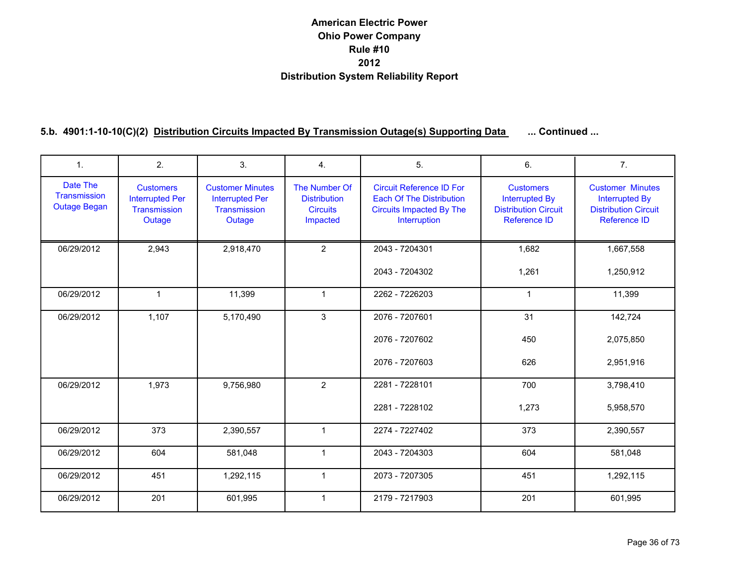| $\mathbf{1}$ .                                  | 2.                                                                   | 3.                                                                          | 4.                                                                  | 5.                                                                                                                    | 6.                                                                                              | 7 <sub>1</sub>                                                                                         |
|-------------------------------------------------|----------------------------------------------------------------------|-----------------------------------------------------------------------------|---------------------------------------------------------------------|-----------------------------------------------------------------------------------------------------------------------|-------------------------------------------------------------------------------------------------|--------------------------------------------------------------------------------------------------------|
| Date The<br>Transmission<br><b>Outage Began</b> | <b>Customers</b><br><b>Interrupted Per</b><br>Transmission<br>Outage | <b>Customer Minutes</b><br><b>Interrupted Per</b><br>Transmission<br>Outage | The Number Of<br><b>Distribution</b><br><b>Circuits</b><br>Impacted | <b>Circuit Reference ID For</b><br><b>Each Of The Distribution</b><br><b>Circuits Impacted By The</b><br>Interruption | <b>Customers</b><br><b>Interrupted By</b><br><b>Distribution Circuit</b><br><b>Reference ID</b> | <b>Customer Minutes</b><br><b>Interrupted By</b><br><b>Distribution Circuit</b><br><b>Reference ID</b> |
| 06/29/2012                                      | 2,943                                                                | 2,918,470                                                                   | $\overline{2}$                                                      | 2043 - 7204301                                                                                                        | 1,682                                                                                           | 1,667,558                                                                                              |
|                                                 |                                                                      |                                                                             |                                                                     | 2043 - 7204302                                                                                                        | 1,261                                                                                           | 1,250,912                                                                                              |
| 06/29/2012                                      | $\mathbf{1}$                                                         | 11,399                                                                      | $\mathbf{1}$                                                        | 2262 - 7226203                                                                                                        | $\mathbf{1}$                                                                                    | 11,399                                                                                                 |
| 06/29/2012                                      | 1,107                                                                | 5,170,490                                                                   | 3                                                                   | 2076 - 7207601                                                                                                        | 31                                                                                              | 142,724                                                                                                |
|                                                 |                                                                      |                                                                             |                                                                     | 2076 - 7207602                                                                                                        | 450                                                                                             | 2,075,850                                                                                              |
|                                                 |                                                                      |                                                                             |                                                                     | 2076 - 7207603                                                                                                        | 626                                                                                             | 2,951,916                                                                                              |
| 06/29/2012                                      | 1,973                                                                | 9,756,980                                                                   | $\overline{2}$                                                      | 2281 - 7228101                                                                                                        | 700                                                                                             | 3,798,410                                                                                              |
|                                                 |                                                                      |                                                                             |                                                                     | 2281 - 7228102                                                                                                        | 1,273                                                                                           | 5,958,570                                                                                              |
| 06/29/2012                                      | 373                                                                  | 2,390,557                                                                   | $\mathbf{1}$                                                        | 2274 - 7227402                                                                                                        | 373                                                                                             | 2,390,557                                                                                              |
| 06/29/2012                                      | 604                                                                  | 581,048                                                                     | $\mathbf{1}$                                                        | 2043 - 7204303                                                                                                        | 604                                                                                             | 581,048                                                                                                |
| 06/29/2012                                      | 451                                                                  | 1,292,115                                                                   | $\mathbf{1}$                                                        | 2073 - 7207305                                                                                                        | 451                                                                                             | 1,292,115                                                                                              |
| 06/29/2012                                      | 201                                                                  | 601,995                                                                     | $\mathbf{1}$                                                        | 2179 - 7217903                                                                                                        | 201                                                                                             | 601,995                                                                                                |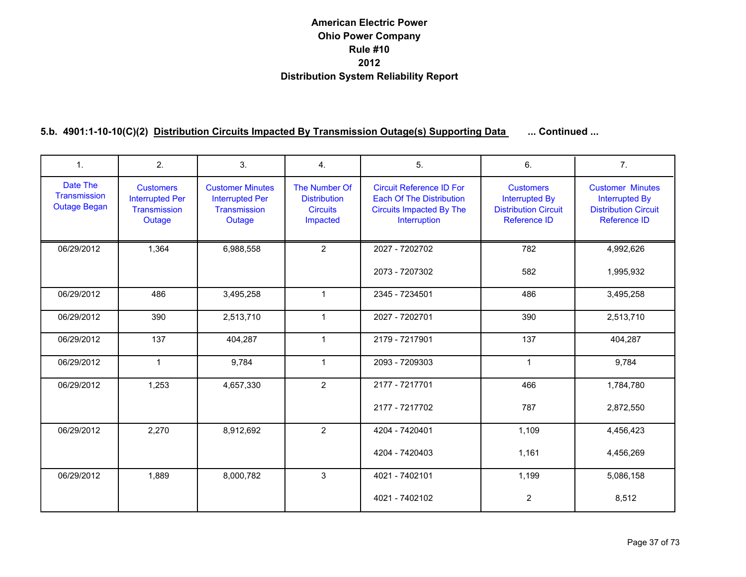| 1.                                              | 2.                                                                   | 3.                                                                          | $\overline{4}$ .                                                    | 5.                                                                                                                    | 6.                                                                                              | 7.                                                                                                     |
|-------------------------------------------------|----------------------------------------------------------------------|-----------------------------------------------------------------------------|---------------------------------------------------------------------|-----------------------------------------------------------------------------------------------------------------------|-------------------------------------------------------------------------------------------------|--------------------------------------------------------------------------------------------------------|
| Date The<br>Transmission<br><b>Outage Began</b> | <b>Customers</b><br><b>Interrupted Per</b><br>Transmission<br>Outage | <b>Customer Minutes</b><br><b>Interrupted Per</b><br>Transmission<br>Outage | The Number Of<br><b>Distribution</b><br><b>Circuits</b><br>Impacted | <b>Circuit Reference ID For</b><br><b>Each Of The Distribution</b><br><b>Circuits Impacted By The</b><br>Interruption | <b>Customers</b><br><b>Interrupted By</b><br><b>Distribution Circuit</b><br><b>Reference ID</b> | <b>Customer Minutes</b><br><b>Interrupted By</b><br><b>Distribution Circuit</b><br><b>Reference ID</b> |
| 06/29/2012                                      | 1,364                                                                | 6,988,558                                                                   | $\overline{2}$                                                      | 2027 - 7202702                                                                                                        | 782                                                                                             | 4,992,626                                                                                              |
|                                                 |                                                                      |                                                                             |                                                                     | 2073 - 7207302                                                                                                        | 582                                                                                             | 1,995,932                                                                                              |
| 06/29/2012                                      | 486                                                                  | 3,495,258                                                                   | $\mathbf{1}$                                                        | 2345 - 7234501                                                                                                        | 486                                                                                             | 3,495,258                                                                                              |
| 06/29/2012                                      | 390                                                                  | 2,513,710                                                                   | $\mathbf{1}$                                                        | 2027 - 7202701                                                                                                        | 390                                                                                             | 2,513,710                                                                                              |
| 06/29/2012                                      | 137                                                                  | 404,287                                                                     | $\mathbf{1}$                                                        | 2179 - 7217901                                                                                                        | 137                                                                                             | 404,287                                                                                                |
| 06/29/2012                                      | $\mathbf{1}$                                                         | 9,784                                                                       | $\mathbf{1}$                                                        | 2093 - 7209303                                                                                                        | $\mathbf{1}$                                                                                    | 9,784                                                                                                  |
| 06/29/2012                                      | 1,253                                                                | 4,657,330                                                                   | $\overline{2}$                                                      | 2177 - 7217701                                                                                                        | 466                                                                                             | 1,784,780                                                                                              |
|                                                 |                                                                      |                                                                             |                                                                     | 2177 - 7217702                                                                                                        | 787                                                                                             | 2,872,550                                                                                              |
| 06/29/2012                                      | 2,270                                                                | 8,912,692                                                                   | $\overline{2}$                                                      | 4204 - 7420401                                                                                                        | 1,109                                                                                           | 4,456,423                                                                                              |
|                                                 |                                                                      |                                                                             |                                                                     | 4204 - 7420403                                                                                                        | 1,161                                                                                           | 4,456,269                                                                                              |
| 06/29/2012                                      | 1,889                                                                | 8,000,782                                                                   | 3                                                                   | 4021 - 7402101                                                                                                        | 1,199                                                                                           | 5,086,158                                                                                              |
|                                                 |                                                                      |                                                                             |                                                                     | 4021 - 7402102                                                                                                        | $\overline{2}$                                                                                  | 8,512                                                                                                  |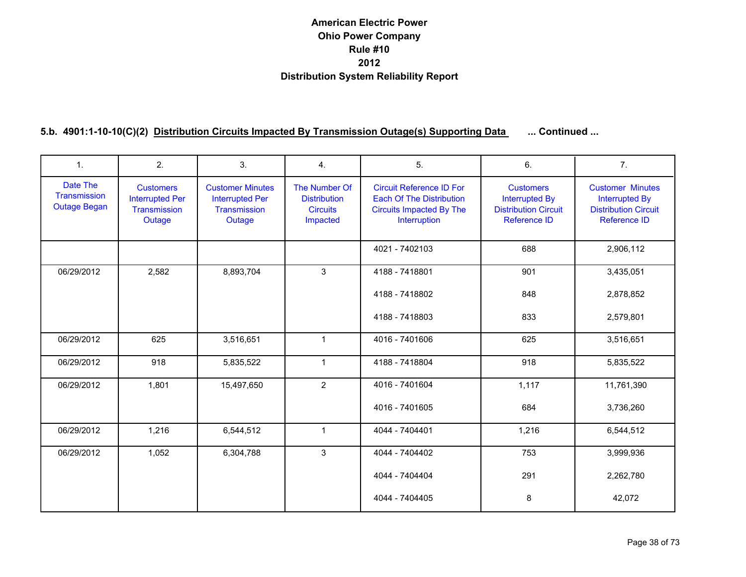| $\mathbf{1}$ .                                  | 2.                                                                   | 3.                                                                          | 4.                                                                  | 5.                                                                                                                    | 6.                                                                                              | 7.                                                                                                     |
|-------------------------------------------------|----------------------------------------------------------------------|-----------------------------------------------------------------------------|---------------------------------------------------------------------|-----------------------------------------------------------------------------------------------------------------------|-------------------------------------------------------------------------------------------------|--------------------------------------------------------------------------------------------------------|
| Date The<br>Transmission<br><b>Outage Began</b> | <b>Customers</b><br><b>Interrupted Per</b><br>Transmission<br>Outage | <b>Customer Minutes</b><br><b>Interrupted Per</b><br>Transmission<br>Outage | The Number Of<br><b>Distribution</b><br><b>Circuits</b><br>Impacted | <b>Circuit Reference ID For</b><br><b>Each Of The Distribution</b><br><b>Circuits Impacted By The</b><br>Interruption | <b>Customers</b><br><b>Interrupted By</b><br><b>Distribution Circuit</b><br><b>Reference ID</b> | <b>Customer Minutes</b><br><b>Interrupted By</b><br><b>Distribution Circuit</b><br><b>Reference ID</b> |
|                                                 |                                                                      |                                                                             |                                                                     | 4021 - 7402103                                                                                                        | 688                                                                                             | 2,906,112                                                                                              |
| 06/29/2012                                      | 2,582                                                                | 8,893,704                                                                   | 3                                                                   | 4188 - 7418801                                                                                                        | 901                                                                                             | 3,435,051                                                                                              |
|                                                 |                                                                      |                                                                             |                                                                     | 4188 - 7418802                                                                                                        | 848                                                                                             | 2,878,852                                                                                              |
|                                                 |                                                                      |                                                                             |                                                                     | 4188 - 7418803                                                                                                        | 833                                                                                             | 2,579,801                                                                                              |
| 06/29/2012                                      | 625                                                                  | 3,516,651                                                                   | $\mathbf{1}$                                                        | 4016 - 7401606                                                                                                        | 625                                                                                             | 3,516,651                                                                                              |
| 06/29/2012                                      | 918                                                                  | 5,835,522                                                                   | $\mathbf{1}$                                                        | 4188 - 7418804                                                                                                        | 918                                                                                             | 5,835,522                                                                                              |
| 06/29/2012                                      | 1,801                                                                | 15,497,650                                                                  | $\overline{2}$                                                      | 4016 - 7401604                                                                                                        | 1,117                                                                                           | 11,761,390                                                                                             |
|                                                 |                                                                      |                                                                             |                                                                     | 4016 - 7401605                                                                                                        | 684                                                                                             | 3,736,260                                                                                              |
| 06/29/2012                                      | 1,216                                                                | 6,544,512                                                                   | $\mathbf{1}$                                                        | 4044 - 7404401                                                                                                        | 1,216                                                                                           | 6,544,512                                                                                              |
| 06/29/2012                                      | 1,052                                                                | 6,304,788                                                                   | 3                                                                   | 4044 - 7404402                                                                                                        | 753                                                                                             | 3,999,936                                                                                              |
|                                                 |                                                                      |                                                                             |                                                                     | 4044 - 7404404                                                                                                        | 291                                                                                             | 2,262,780                                                                                              |
|                                                 |                                                                      |                                                                             |                                                                     | 4044 - 7404405                                                                                                        | 8                                                                                               | 42,072                                                                                                 |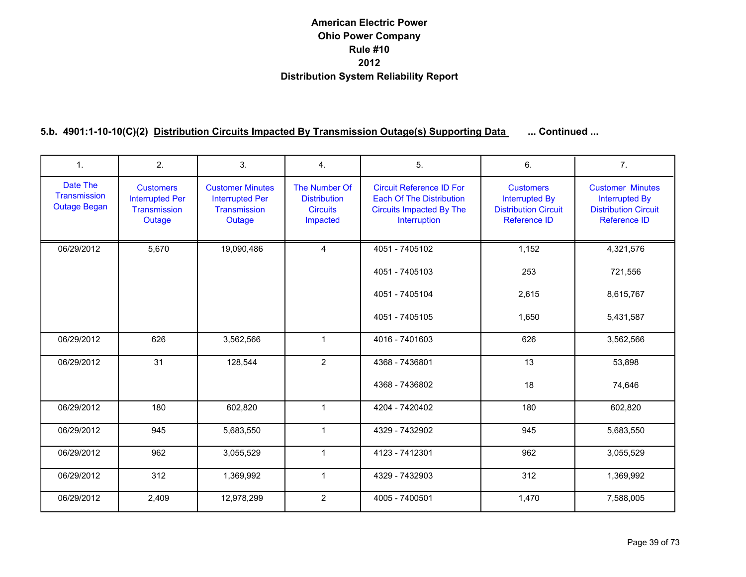| $\mathbf{1}$ .                                  | 2.                                                                          | 3.                                                                          | 4.                                                                  | 5.                                                                                                                    | 6.                                                                                              | 7 <sub>1</sub>                                                                                         |
|-------------------------------------------------|-----------------------------------------------------------------------------|-----------------------------------------------------------------------------|---------------------------------------------------------------------|-----------------------------------------------------------------------------------------------------------------------|-------------------------------------------------------------------------------------------------|--------------------------------------------------------------------------------------------------------|
| Date The<br>Transmission<br><b>Outage Began</b> | <b>Customers</b><br><b>Interrupted Per</b><br><b>Transmission</b><br>Outage | <b>Customer Minutes</b><br><b>Interrupted Per</b><br>Transmission<br>Outage | The Number Of<br><b>Distribution</b><br><b>Circuits</b><br>Impacted | <b>Circuit Reference ID For</b><br><b>Each Of The Distribution</b><br><b>Circuits Impacted By The</b><br>Interruption | <b>Customers</b><br><b>Interrupted By</b><br><b>Distribution Circuit</b><br><b>Reference ID</b> | <b>Customer Minutes</b><br><b>Interrupted By</b><br><b>Distribution Circuit</b><br><b>Reference ID</b> |
| 06/29/2012                                      | 5,670                                                                       | 19,090,486                                                                  | $\overline{4}$                                                      | 4051 - 7405102                                                                                                        | 1,152                                                                                           | 4,321,576                                                                                              |
|                                                 |                                                                             |                                                                             |                                                                     | 4051 - 7405103                                                                                                        | 253                                                                                             | 721,556                                                                                                |
|                                                 |                                                                             |                                                                             |                                                                     | 4051 - 7405104                                                                                                        | 2,615                                                                                           | 8,615,767                                                                                              |
|                                                 |                                                                             |                                                                             |                                                                     | 4051 - 7405105                                                                                                        | 1,650                                                                                           | 5,431,587                                                                                              |
| 06/29/2012                                      | 626                                                                         | 3,562,566                                                                   | $\mathbf{1}$                                                        | 4016 - 7401603                                                                                                        | 626                                                                                             | 3,562,566                                                                                              |
| 06/29/2012                                      | 31                                                                          | 128,544                                                                     | $\overline{2}$                                                      | 4368 - 7436801                                                                                                        | 13                                                                                              | 53,898                                                                                                 |
|                                                 |                                                                             |                                                                             |                                                                     | 4368 - 7436802                                                                                                        | 18                                                                                              | 74,646                                                                                                 |
| 06/29/2012                                      | 180                                                                         | 602,820                                                                     | $\mathbf{1}$                                                        | 4204 - 7420402                                                                                                        | 180                                                                                             | 602,820                                                                                                |
| 06/29/2012                                      | 945                                                                         | 5,683,550                                                                   | $\mathbf{1}$                                                        | 4329 - 7432902                                                                                                        | 945                                                                                             | 5,683,550                                                                                              |
| 06/29/2012                                      | 962                                                                         | 3,055,529                                                                   | $\mathbf{1}$                                                        | 4123 - 7412301                                                                                                        | 962                                                                                             | 3,055,529                                                                                              |
| 06/29/2012                                      | 312                                                                         | 1,369,992                                                                   | $\mathbf{1}$                                                        | 4329 - 7432903                                                                                                        | 312                                                                                             | 1,369,992                                                                                              |
| 06/29/2012                                      | 2,409                                                                       | 12,978,299                                                                  | $\overline{2}$                                                      | 4005 - 7400501                                                                                                        | 1,470                                                                                           | 7,588,005                                                                                              |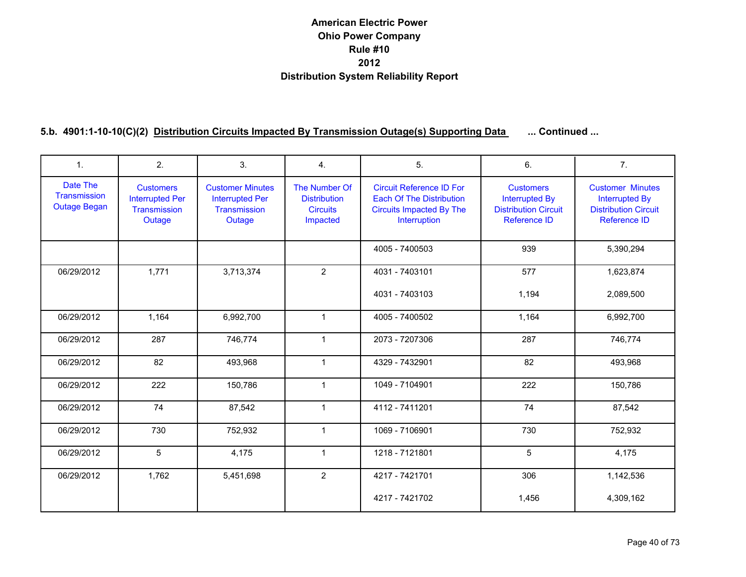| 1.                                              | 2.                                                                   | 3.                                                                          | 4.                                                                  | 5.                                                                                                                    | 6.                                                                                              | 7 <sub>1</sub>                                                                                         |
|-------------------------------------------------|----------------------------------------------------------------------|-----------------------------------------------------------------------------|---------------------------------------------------------------------|-----------------------------------------------------------------------------------------------------------------------|-------------------------------------------------------------------------------------------------|--------------------------------------------------------------------------------------------------------|
| Date The<br>Transmission<br><b>Outage Began</b> | <b>Customers</b><br><b>Interrupted Per</b><br>Transmission<br>Outage | <b>Customer Minutes</b><br><b>Interrupted Per</b><br>Transmission<br>Outage | The Number Of<br><b>Distribution</b><br><b>Circuits</b><br>Impacted | <b>Circuit Reference ID For</b><br><b>Each Of The Distribution</b><br><b>Circuits Impacted By The</b><br>Interruption | <b>Customers</b><br><b>Interrupted By</b><br><b>Distribution Circuit</b><br><b>Reference ID</b> | <b>Customer Minutes</b><br><b>Interrupted By</b><br><b>Distribution Circuit</b><br><b>Reference ID</b> |
|                                                 |                                                                      |                                                                             |                                                                     | 4005 - 7400503                                                                                                        | 939                                                                                             | 5,390,294                                                                                              |
| 06/29/2012                                      | 1,771                                                                | 3,713,374                                                                   | $\overline{2}$                                                      | 4031 - 7403101                                                                                                        | 577                                                                                             | 1,623,874                                                                                              |
|                                                 |                                                                      |                                                                             |                                                                     | 4031 - 7403103                                                                                                        | 1,194                                                                                           | 2,089,500                                                                                              |
| 06/29/2012                                      | 1,164                                                                | 6,992,700                                                                   | $\mathbf{1}$                                                        | 4005 - 7400502                                                                                                        | 1,164                                                                                           | 6,992,700                                                                                              |
| 06/29/2012                                      | 287                                                                  | 746,774                                                                     | $\mathbf{1}$                                                        | 2073 - 7207306                                                                                                        | 287                                                                                             | 746,774                                                                                                |
| 06/29/2012                                      | 82                                                                   | 493,968                                                                     | $\mathbf{1}$                                                        | 4329 - 7432901                                                                                                        | 82                                                                                              | 493,968                                                                                                |
| 06/29/2012                                      | 222                                                                  | 150,786                                                                     | $\mathbf{1}$                                                        | 1049 - 7104901                                                                                                        | 222                                                                                             | 150,786                                                                                                |
| 06/29/2012                                      | 74                                                                   | 87,542                                                                      | $\mathbf{1}$                                                        | 4112 - 7411201                                                                                                        | 74                                                                                              | 87,542                                                                                                 |
| 06/29/2012                                      | 730                                                                  | 752,932                                                                     | $\mathbf{1}$                                                        | 1069 - 7106901                                                                                                        | 730                                                                                             | 752,932                                                                                                |
| 06/29/2012                                      | 5                                                                    | 4.175                                                                       | $\mathbf{1}$                                                        | 1218 - 7121801                                                                                                        | 5                                                                                               | 4,175                                                                                                  |
| 06/29/2012                                      | 1,762                                                                | 5,451,698                                                                   | $\overline{2}$                                                      | 4217 - 7421701                                                                                                        | 306                                                                                             | 1,142,536                                                                                              |
|                                                 |                                                                      |                                                                             |                                                                     | 4217 - 7421702                                                                                                        | 1,456                                                                                           | 4,309,162                                                                                              |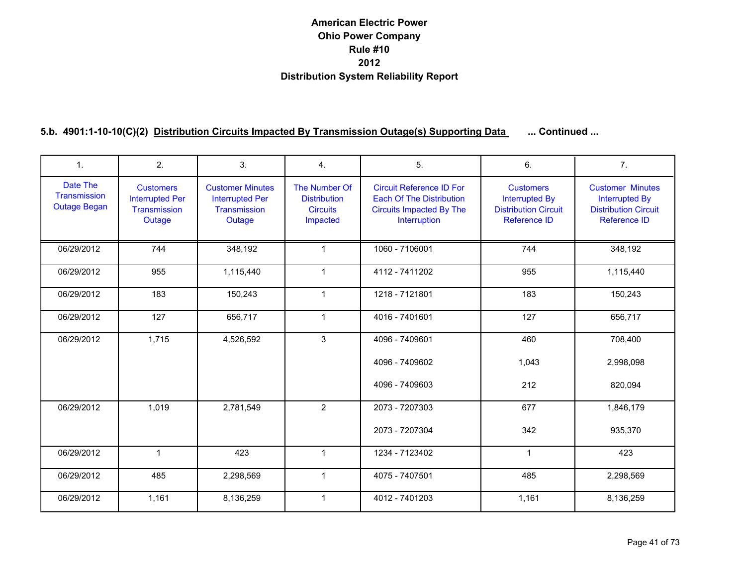| $\mathbf{1}$ .                                  | 2.                                                                   | 3.                                                                          | 4.                                                                  | 5.                                                                                                                    | 6.                                                                                              | 7 <sub>1</sub>                                                                                         |
|-------------------------------------------------|----------------------------------------------------------------------|-----------------------------------------------------------------------------|---------------------------------------------------------------------|-----------------------------------------------------------------------------------------------------------------------|-------------------------------------------------------------------------------------------------|--------------------------------------------------------------------------------------------------------|
| Date The<br>Transmission<br><b>Outage Began</b> | <b>Customers</b><br><b>Interrupted Per</b><br>Transmission<br>Outage | <b>Customer Minutes</b><br><b>Interrupted Per</b><br>Transmission<br>Outage | The Number Of<br><b>Distribution</b><br><b>Circuits</b><br>Impacted | <b>Circuit Reference ID For</b><br><b>Each Of The Distribution</b><br><b>Circuits Impacted By The</b><br>Interruption | <b>Customers</b><br><b>Interrupted By</b><br><b>Distribution Circuit</b><br><b>Reference ID</b> | <b>Customer Minutes</b><br><b>Interrupted By</b><br><b>Distribution Circuit</b><br><b>Reference ID</b> |
| 06/29/2012                                      | 744                                                                  | 348,192                                                                     | $\mathbf{1}$                                                        | 1060 - 7106001                                                                                                        | 744                                                                                             | 348,192                                                                                                |
| 06/29/2012                                      | 955                                                                  | 1,115,440                                                                   | $\mathbf{1}$                                                        | 4112 - 7411202                                                                                                        | 955                                                                                             | 1,115,440                                                                                              |
| 06/29/2012                                      | 183                                                                  | 150,243                                                                     | $\mathbf{1}$                                                        | 1218 - 7121801                                                                                                        | 183                                                                                             | 150,243                                                                                                |
| 06/29/2012                                      | 127                                                                  | 656,717                                                                     | $\mathbf{1}$                                                        | 4016 - 7401601                                                                                                        | 127                                                                                             | 656,717                                                                                                |
| 06/29/2012                                      | 1,715                                                                | 4,526,592                                                                   | 3                                                                   | 4096 - 7409601<br>4096 - 7409602                                                                                      | 460<br>1,043                                                                                    | 708,400<br>2,998,098                                                                                   |
|                                                 |                                                                      |                                                                             |                                                                     | 4096 - 7409603                                                                                                        | 212                                                                                             | 820,094                                                                                                |
| 06/29/2012                                      | 1,019                                                                | 2,781,549                                                                   | $\overline{2}$                                                      | 2073 - 7207303                                                                                                        | 677                                                                                             | 1,846,179                                                                                              |
|                                                 |                                                                      |                                                                             |                                                                     | 2073 - 7207304                                                                                                        | 342                                                                                             | 935,370                                                                                                |
| 06/29/2012                                      | $\mathbf{1}$                                                         | 423                                                                         | $\mathbf 1$                                                         | 1234 - 7123402                                                                                                        | $\mathbf{1}$                                                                                    | 423                                                                                                    |
| 06/29/2012                                      | 485                                                                  | 2,298,569                                                                   | $\mathbf{1}$                                                        | 4075 - 7407501                                                                                                        | 485                                                                                             | 2,298,569                                                                                              |
| 06/29/2012                                      | 1,161                                                                | 8,136,259                                                                   | $\mathbf{1}$                                                        | 4012 - 7401203                                                                                                        | 1,161                                                                                           | 8,136,259                                                                                              |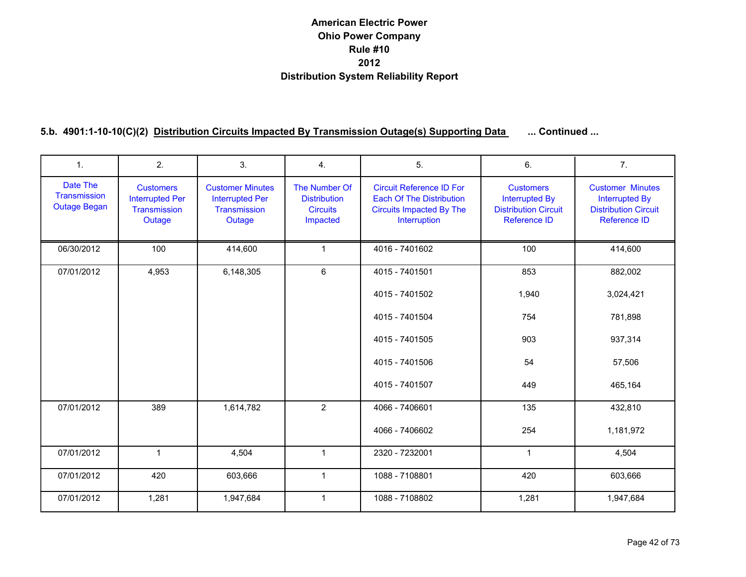| $\mathbf{1}$ .                                  | 2.                                                                   | 3.                                                                          | 4.                                                                  | 5.                                                                                                                    | 6.                                                                                              | 7 <sub>1</sub>                                                                                  |
|-------------------------------------------------|----------------------------------------------------------------------|-----------------------------------------------------------------------------|---------------------------------------------------------------------|-----------------------------------------------------------------------------------------------------------------------|-------------------------------------------------------------------------------------------------|-------------------------------------------------------------------------------------------------|
| Date The<br>Transmission<br><b>Outage Began</b> | <b>Customers</b><br><b>Interrupted Per</b><br>Transmission<br>Outage | <b>Customer Minutes</b><br><b>Interrupted Per</b><br>Transmission<br>Outage | The Number Of<br><b>Distribution</b><br><b>Circuits</b><br>Impacted | <b>Circuit Reference ID For</b><br><b>Each Of The Distribution</b><br><b>Circuits Impacted By The</b><br>Interruption | <b>Customers</b><br><b>Interrupted By</b><br><b>Distribution Circuit</b><br><b>Reference ID</b> | <b>Customer Minutes</b><br><b>Interrupted By</b><br><b>Distribution Circuit</b><br>Reference ID |
| 06/30/2012                                      | 100                                                                  | 414,600                                                                     | $\mathbf{1}$                                                        | 4016 - 7401602                                                                                                        | 100                                                                                             | 414,600                                                                                         |
| 07/01/2012                                      | 4,953                                                                | 6,148,305                                                                   | 6                                                                   | 4015 - 7401501                                                                                                        | 853                                                                                             | 882,002                                                                                         |
|                                                 |                                                                      |                                                                             |                                                                     | 4015 - 7401502                                                                                                        | 1,940                                                                                           | 3,024,421                                                                                       |
|                                                 |                                                                      |                                                                             |                                                                     | 4015 - 7401504                                                                                                        | 754                                                                                             | 781,898                                                                                         |
|                                                 |                                                                      |                                                                             |                                                                     | 4015 - 7401505                                                                                                        | 903                                                                                             | 937,314                                                                                         |
|                                                 |                                                                      |                                                                             |                                                                     | 4015 - 7401506                                                                                                        | 54                                                                                              | 57,506                                                                                          |
|                                                 |                                                                      |                                                                             |                                                                     | 4015 - 7401507                                                                                                        | 449                                                                                             | 465,164                                                                                         |
| 07/01/2012                                      | 389                                                                  | 1,614,782                                                                   | $\overline{2}$                                                      | 4066 - 7406601                                                                                                        | 135                                                                                             | 432,810                                                                                         |
|                                                 |                                                                      |                                                                             |                                                                     | 4066 - 7406602                                                                                                        | 254                                                                                             | 1,181,972                                                                                       |
| 07/01/2012                                      | $\mathbf{1}$                                                         | 4.504                                                                       | $\mathbf{1}$                                                        | 2320 - 7232001                                                                                                        | $\mathbf{1}$                                                                                    | 4,504                                                                                           |
| 07/01/2012                                      | 420                                                                  | 603,666                                                                     | $\mathbf{1}$                                                        | 1088 - 7108801                                                                                                        | 420                                                                                             | 603,666                                                                                         |
| 07/01/2012                                      | 1,281                                                                | 1,947,684                                                                   | $\mathbf{1}$                                                        | 1088 - 7108802                                                                                                        | 1,281                                                                                           | 1,947,684                                                                                       |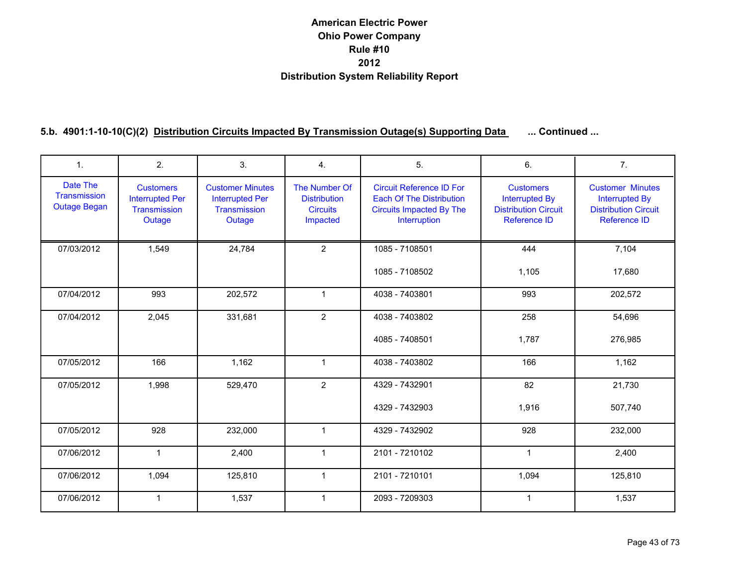| 1.                                              | 2.                                                                   | 3.                                                                          | 4.                                                                  | 5.                                                                                                                    | 6.                                                                                              | 7 <sub>1</sub>                                                                                         |
|-------------------------------------------------|----------------------------------------------------------------------|-----------------------------------------------------------------------------|---------------------------------------------------------------------|-----------------------------------------------------------------------------------------------------------------------|-------------------------------------------------------------------------------------------------|--------------------------------------------------------------------------------------------------------|
| Date The<br>Transmission<br><b>Outage Began</b> | <b>Customers</b><br><b>Interrupted Per</b><br>Transmission<br>Outage | <b>Customer Minutes</b><br><b>Interrupted Per</b><br>Transmission<br>Outage | The Number Of<br><b>Distribution</b><br><b>Circuits</b><br>Impacted | <b>Circuit Reference ID For</b><br><b>Each Of The Distribution</b><br><b>Circuits Impacted By The</b><br>Interruption | <b>Customers</b><br><b>Interrupted By</b><br><b>Distribution Circuit</b><br><b>Reference ID</b> | <b>Customer Minutes</b><br><b>Interrupted By</b><br><b>Distribution Circuit</b><br><b>Reference ID</b> |
| 07/03/2012                                      | 1,549                                                                | 24,784                                                                      | $\overline{2}$                                                      | 1085 - 7108501                                                                                                        | 444                                                                                             | 7,104                                                                                                  |
|                                                 |                                                                      |                                                                             |                                                                     | 1085 - 7108502                                                                                                        | 1,105                                                                                           | 17,680                                                                                                 |
| 07/04/2012                                      | 993                                                                  | 202,572                                                                     | $\mathbf{1}$                                                        | 4038 - 7403801                                                                                                        | 993                                                                                             | 202,572                                                                                                |
| 07/04/2012                                      | 2,045                                                                | 331,681                                                                     | $\overline{2}$                                                      | 4038 - 7403802                                                                                                        | 258                                                                                             | 54,696                                                                                                 |
|                                                 |                                                                      |                                                                             |                                                                     | 4085 - 7408501                                                                                                        | 1,787                                                                                           | 276,985                                                                                                |
| 07/05/2012                                      | 166                                                                  | 1,162                                                                       | $\mathbf{1}$                                                        | 4038 - 7403802                                                                                                        | 166                                                                                             | 1,162                                                                                                  |
| 07/05/2012                                      | 1,998                                                                | 529,470                                                                     | $\overline{2}$                                                      | 4329 - 7432901                                                                                                        | 82                                                                                              | 21,730                                                                                                 |
|                                                 |                                                                      |                                                                             |                                                                     | 4329 - 7432903                                                                                                        | 1,916                                                                                           | 507,740                                                                                                |
| 07/05/2012                                      | 928                                                                  | 232,000                                                                     | $\mathbf{1}$                                                        | 4329 - 7432902                                                                                                        | 928                                                                                             | 232,000                                                                                                |
| 07/06/2012                                      | $\mathbf{1}$                                                         | 2.400                                                                       | $\mathbf{1}$                                                        | 2101 - 7210102                                                                                                        | $\mathbf{1}$                                                                                    | 2,400                                                                                                  |
| 07/06/2012                                      | 1,094                                                                | 125,810                                                                     | $\mathbf{1}$                                                        | 2101 - 7210101                                                                                                        | 1,094                                                                                           | 125,810                                                                                                |
| 07/06/2012                                      | $\mathbf{1}$                                                         | 1,537                                                                       | $\mathbf{1}$                                                        | 2093 - 7209303                                                                                                        | $\mathbf{1}$                                                                                    | 1,537                                                                                                  |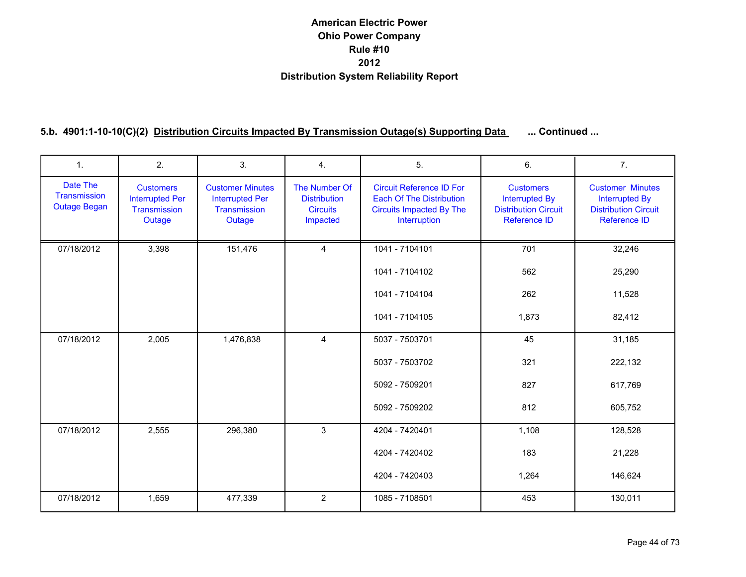| 1.                                              | 2.                                                                   | 3.                                                                          | 4.                                                                  | 5.                                                                                                                    | 6.                                                                                       | 7.                                                                                                     |
|-------------------------------------------------|----------------------------------------------------------------------|-----------------------------------------------------------------------------|---------------------------------------------------------------------|-----------------------------------------------------------------------------------------------------------------------|------------------------------------------------------------------------------------------|--------------------------------------------------------------------------------------------------------|
| Date The<br>Transmission<br><b>Outage Began</b> | <b>Customers</b><br><b>Interrupted Per</b><br>Transmission<br>Outage | <b>Customer Minutes</b><br><b>Interrupted Per</b><br>Transmission<br>Outage | The Number Of<br><b>Distribution</b><br><b>Circuits</b><br>Impacted | <b>Circuit Reference ID For</b><br><b>Each Of The Distribution</b><br><b>Circuits Impacted By The</b><br>Interruption | <b>Customers</b><br><b>Interrupted By</b><br><b>Distribution Circuit</b><br>Reference ID | <b>Customer Minutes</b><br><b>Interrupted By</b><br><b>Distribution Circuit</b><br><b>Reference ID</b> |
| 07/18/2012                                      | 3,398                                                                | 151,476                                                                     | $\overline{4}$                                                      | 1041 - 7104101                                                                                                        | 701                                                                                      | 32,246                                                                                                 |
|                                                 |                                                                      |                                                                             |                                                                     | 1041 - 7104102                                                                                                        | 562                                                                                      | 25,290                                                                                                 |
|                                                 |                                                                      |                                                                             |                                                                     | 1041 - 7104104                                                                                                        | 262                                                                                      | 11,528                                                                                                 |
|                                                 |                                                                      |                                                                             |                                                                     | 1041 - 7104105                                                                                                        | 1,873                                                                                    | 82,412                                                                                                 |
| 07/18/2012                                      | 2,005                                                                | 1,476,838                                                                   | $\overline{4}$                                                      | 5037 - 7503701                                                                                                        | 45                                                                                       | 31,185                                                                                                 |
|                                                 |                                                                      |                                                                             |                                                                     | 5037 - 7503702                                                                                                        | 321                                                                                      | 222,132                                                                                                |
|                                                 |                                                                      |                                                                             |                                                                     | 5092 - 7509201                                                                                                        | 827                                                                                      | 617,769                                                                                                |
|                                                 |                                                                      |                                                                             |                                                                     | 5092 - 7509202                                                                                                        | 812                                                                                      | 605,752                                                                                                |
| 07/18/2012                                      | 2,555                                                                | 296,380                                                                     | 3                                                                   | 4204 - 7420401                                                                                                        | 1,108                                                                                    | 128,528                                                                                                |
|                                                 |                                                                      |                                                                             |                                                                     | 4204 - 7420402                                                                                                        | 183                                                                                      | 21,228                                                                                                 |
|                                                 |                                                                      |                                                                             |                                                                     | 4204 - 7420403                                                                                                        | 1,264                                                                                    | 146,624                                                                                                |
| 07/18/2012                                      | 1,659                                                                | 477,339                                                                     | $\overline{2}$                                                      | 1085 - 7108501                                                                                                        | 453                                                                                      | 130,011                                                                                                |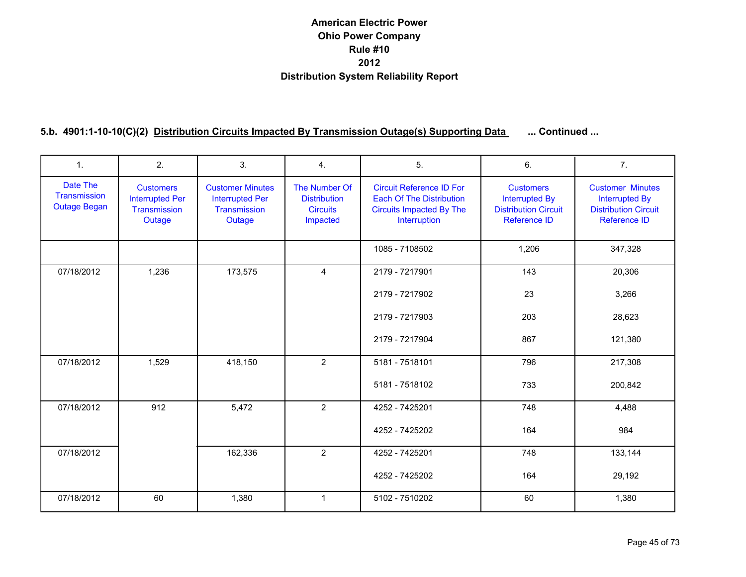| $\mathbf{1}$ .                                  | 2.                                                                   | 3.                                                                          | 4 <sub>1</sub>                                                      | 5.                                                                                                                    | 6.                                                                                       | 7 <sub>1</sub>                                                                                  |
|-------------------------------------------------|----------------------------------------------------------------------|-----------------------------------------------------------------------------|---------------------------------------------------------------------|-----------------------------------------------------------------------------------------------------------------------|------------------------------------------------------------------------------------------|-------------------------------------------------------------------------------------------------|
| Date The<br>Transmission<br><b>Outage Began</b> | <b>Customers</b><br><b>Interrupted Per</b><br>Transmission<br>Outage | <b>Customer Minutes</b><br><b>Interrupted Per</b><br>Transmission<br>Outage | The Number Of<br><b>Distribution</b><br><b>Circuits</b><br>Impacted | <b>Circuit Reference ID For</b><br><b>Each Of The Distribution</b><br><b>Circuits Impacted By The</b><br>Interruption | <b>Customers</b><br><b>Interrupted By</b><br><b>Distribution Circuit</b><br>Reference ID | <b>Customer Minutes</b><br><b>Interrupted By</b><br><b>Distribution Circuit</b><br>Reference ID |
|                                                 |                                                                      |                                                                             |                                                                     | 1085 - 7108502                                                                                                        | 1,206                                                                                    | 347,328                                                                                         |
| 07/18/2012                                      | 1,236                                                                | 173,575                                                                     | $\overline{4}$                                                      | 2179 - 7217901                                                                                                        | 143                                                                                      | 20,306                                                                                          |
|                                                 |                                                                      |                                                                             |                                                                     | 2179 - 7217902                                                                                                        | 23                                                                                       | 3,266                                                                                           |
|                                                 |                                                                      |                                                                             |                                                                     | 2179 - 7217903                                                                                                        | 203                                                                                      | 28,623                                                                                          |
|                                                 |                                                                      |                                                                             |                                                                     | 2179 - 7217904                                                                                                        | 867                                                                                      | 121,380                                                                                         |
| 07/18/2012                                      | 1,529                                                                | 418,150                                                                     | $\overline{2}$                                                      | 5181 - 7518101                                                                                                        | 796                                                                                      | 217,308                                                                                         |
|                                                 |                                                                      |                                                                             |                                                                     | 5181 - 7518102                                                                                                        | 733                                                                                      | 200,842                                                                                         |
| 07/18/2012                                      | 912                                                                  | 5,472                                                                       | $\overline{2}$                                                      | 4252 - 7425201                                                                                                        | 748                                                                                      | 4,488                                                                                           |
|                                                 |                                                                      |                                                                             |                                                                     | 4252 - 7425202                                                                                                        | 164                                                                                      | 984                                                                                             |
| 07/18/2012                                      |                                                                      | 162,336                                                                     | $\overline{2}$                                                      | 4252 - 7425201                                                                                                        | 748                                                                                      | 133,144                                                                                         |
|                                                 |                                                                      |                                                                             |                                                                     | 4252 - 7425202                                                                                                        | 164                                                                                      | 29,192                                                                                          |
| 07/18/2012                                      | 60                                                                   | 1,380                                                                       | $\mathbf{1}$                                                        | 5102 - 7510202                                                                                                        | 60                                                                                       | 1,380                                                                                           |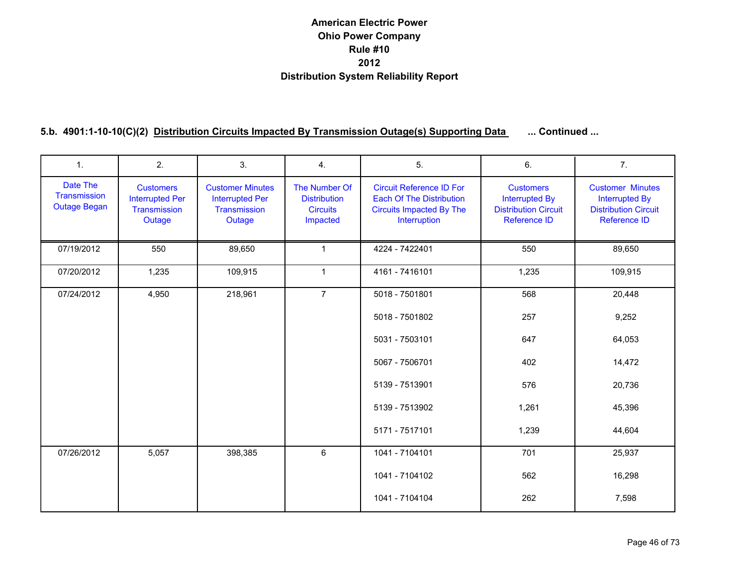| $\mathbf{1}$ .                                  | 2.                                                                   | 3.                                                                          | 4.                                                                  | 5.                                                                                                                    | 6.                                                                                              | 7.                                                                                                     |
|-------------------------------------------------|----------------------------------------------------------------------|-----------------------------------------------------------------------------|---------------------------------------------------------------------|-----------------------------------------------------------------------------------------------------------------------|-------------------------------------------------------------------------------------------------|--------------------------------------------------------------------------------------------------------|
| Date The<br>Transmission<br><b>Outage Began</b> | <b>Customers</b><br><b>Interrupted Per</b><br>Transmission<br>Outage | <b>Customer Minutes</b><br><b>Interrupted Per</b><br>Transmission<br>Outage | The Number Of<br><b>Distribution</b><br><b>Circuits</b><br>Impacted | <b>Circuit Reference ID For</b><br><b>Each Of The Distribution</b><br><b>Circuits Impacted By The</b><br>Interruption | <b>Customers</b><br><b>Interrupted By</b><br><b>Distribution Circuit</b><br><b>Reference ID</b> | <b>Customer Minutes</b><br><b>Interrupted By</b><br><b>Distribution Circuit</b><br><b>Reference ID</b> |
| 07/19/2012                                      | 550                                                                  | 89,650                                                                      | $\mathbf{1}$                                                        | 4224 - 7422401                                                                                                        | 550                                                                                             | 89,650                                                                                                 |
| 07/20/2012                                      | 1,235                                                                | 109,915                                                                     | $\mathbf{1}$                                                        | 4161 - 7416101                                                                                                        | 1,235                                                                                           | 109,915                                                                                                |
| 07/24/2012                                      | 4,950                                                                | 218,961                                                                     | $\overline{7}$                                                      | 5018 - 7501801                                                                                                        | 568                                                                                             | 20,448                                                                                                 |
|                                                 |                                                                      |                                                                             |                                                                     | 5018 - 7501802                                                                                                        | 257                                                                                             | 9,252                                                                                                  |
|                                                 |                                                                      |                                                                             |                                                                     | 5031 - 7503101                                                                                                        | 647                                                                                             | 64,053                                                                                                 |
|                                                 |                                                                      |                                                                             |                                                                     | 5067 - 7506701                                                                                                        | 402                                                                                             | 14,472                                                                                                 |
|                                                 |                                                                      |                                                                             |                                                                     | 5139 - 7513901                                                                                                        | 576                                                                                             | 20,736                                                                                                 |
|                                                 |                                                                      |                                                                             |                                                                     | 5139 - 7513902                                                                                                        | 1,261                                                                                           | 45,396                                                                                                 |
|                                                 |                                                                      |                                                                             |                                                                     | 5171 - 7517101                                                                                                        | 1,239                                                                                           | 44,604                                                                                                 |
| 07/26/2012                                      | 5,057                                                                | 398,385                                                                     | 6                                                                   | 1041 - 7104101                                                                                                        | 701                                                                                             | 25,937                                                                                                 |
|                                                 |                                                                      |                                                                             |                                                                     | 1041 - 7104102                                                                                                        | 562                                                                                             | 16,298                                                                                                 |
|                                                 |                                                                      |                                                                             |                                                                     | 1041 - 7104104                                                                                                        | 262                                                                                             | 7,598                                                                                                  |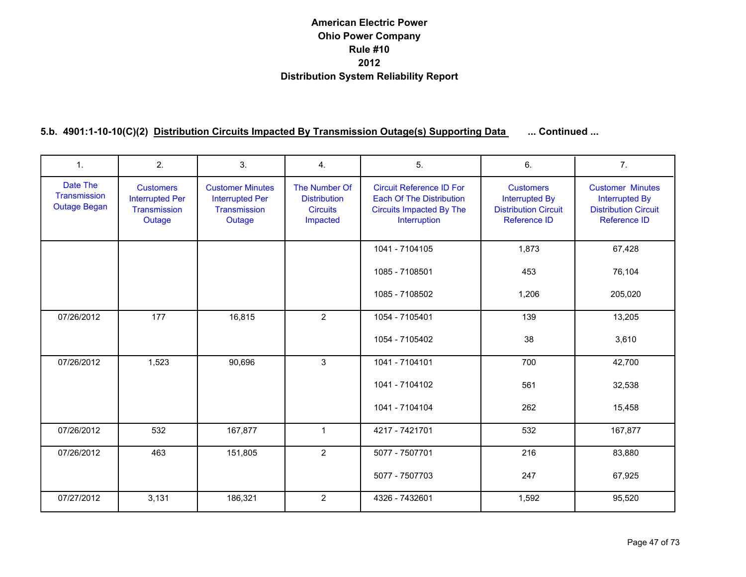| 1.                                              | 2.                                                                   | 3.                                                                          | 4.                                                                  | 5.                                                                                                                    | 6.                                                                                              | 7 <sub>1</sub>                                                                                         |
|-------------------------------------------------|----------------------------------------------------------------------|-----------------------------------------------------------------------------|---------------------------------------------------------------------|-----------------------------------------------------------------------------------------------------------------------|-------------------------------------------------------------------------------------------------|--------------------------------------------------------------------------------------------------------|
| Date The<br>Transmission<br><b>Outage Began</b> | <b>Customers</b><br><b>Interrupted Per</b><br>Transmission<br>Outage | <b>Customer Minutes</b><br><b>Interrupted Per</b><br>Transmission<br>Outage | The Number Of<br><b>Distribution</b><br><b>Circuits</b><br>Impacted | <b>Circuit Reference ID For</b><br><b>Each Of The Distribution</b><br><b>Circuits Impacted By The</b><br>Interruption | <b>Customers</b><br><b>Interrupted By</b><br><b>Distribution Circuit</b><br><b>Reference ID</b> | <b>Customer Minutes</b><br><b>Interrupted By</b><br><b>Distribution Circuit</b><br><b>Reference ID</b> |
|                                                 |                                                                      |                                                                             |                                                                     | 1041 - 7104105                                                                                                        | 1,873                                                                                           | 67,428                                                                                                 |
|                                                 |                                                                      |                                                                             |                                                                     | 1085 - 7108501                                                                                                        | 453                                                                                             | 76,104                                                                                                 |
|                                                 |                                                                      |                                                                             |                                                                     | 1085 - 7108502                                                                                                        | 1,206                                                                                           | 205,020                                                                                                |
| 07/26/2012                                      | 177                                                                  | 16,815                                                                      | $\overline{2}$                                                      | 1054 - 7105401                                                                                                        | 139                                                                                             | 13,205                                                                                                 |
|                                                 |                                                                      |                                                                             |                                                                     | 1054 - 7105402                                                                                                        | 38                                                                                              | 3,610                                                                                                  |
| 07/26/2012                                      | 1,523                                                                | 90,696                                                                      | 3                                                                   | 1041 - 7104101                                                                                                        | 700                                                                                             | 42,700                                                                                                 |
|                                                 |                                                                      |                                                                             |                                                                     | 1041 - 7104102                                                                                                        | 561                                                                                             | 32,538                                                                                                 |
|                                                 |                                                                      |                                                                             |                                                                     | 1041 - 7104104                                                                                                        | 262                                                                                             | 15,458                                                                                                 |
| 07/26/2012                                      | 532                                                                  | 167,877                                                                     | $\mathbf{1}$                                                        | 4217 - 7421701                                                                                                        | 532                                                                                             | 167,877                                                                                                |
| 07/26/2012                                      | 463                                                                  | 151,805                                                                     | $\overline{2}$                                                      | 5077 - 7507701                                                                                                        | 216                                                                                             | 83,880                                                                                                 |
|                                                 |                                                                      |                                                                             |                                                                     | 5077 - 7507703                                                                                                        | 247                                                                                             | 67,925                                                                                                 |
| 07/27/2012                                      | 3,131                                                                | 186,321                                                                     | $\overline{2}$                                                      | 4326 - 7432601                                                                                                        | 1,592                                                                                           | 95,520                                                                                                 |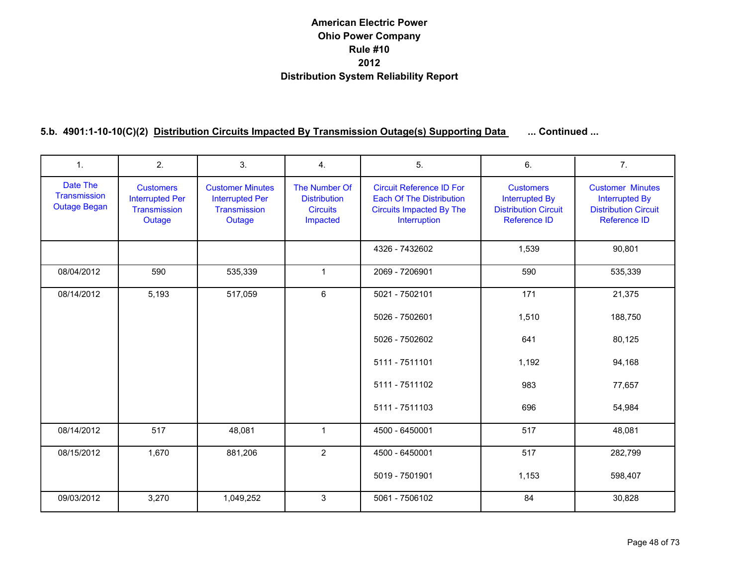| $\mathbf{1}$ .                                  | 2.                                                                   | 3.                                                                          | 4.                                                                  | 5.                                                                                                                    | 6.                                                                                              | 7 <sub>1</sub>                                                                                         |
|-------------------------------------------------|----------------------------------------------------------------------|-----------------------------------------------------------------------------|---------------------------------------------------------------------|-----------------------------------------------------------------------------------------------------------------------|-------------------------------------------------------------------------------------------------|--------------------------------------------------------------------------------------------------------|
| Date The<br>Transmission<br><b>Outage Began</b> | <b>Customers</b><br><b>Interrupted Per</b><br>Transmission<br>Outage | <b>Customer Minutes</b><br><b>Interrupted Per</b><br>Transmission<br>Outage | The Number Of<br><b>Distribution</b><br><b>Circuits</b><br>Impacted | <b>Circuit Reference ID For</b><br><b>Each Of The Distribution</b><br><b>Circuits Impacted By The</b><br>Interruption | <b>Customers</b><br><b>Interrupted By</b><br><b>Distribution Circuit</b><br><b>Reference ID</b> | <b>Customer Minutes</b><br><b>Interrupted By</b><br><b>Distribution Circuit</b><br><b>Reference ID</b> |
|                                                 |                                                                      |                                                                             |                                                                     | 4326 - 7432602                                                                                                        | 1,539                                                                                           | 90,801                                                                                                 |
| 08/04/2012                                      | 590                                                                  | 535,339                                                                     | $\mathbf{1}$                                                        | 2069 - 7206901                                                                                                        | 590                                                                                             | 535,339                                                                                                |
| 08/14/2012                                      | 5,193                                                                | 517,059                                                                     | 6                                                                   | 5021 - 7502101                                                                                                        | 171                                                                                             | 21,375                                                                                                 |
|                                                 |                                                                      |                                                                             |                                                                     | 5026 - 7502601                                                                                                        | 1,510                                                                                           | 188,750                                                                                                |
|                                                 |                                                                      |                                                                             |                                                                     | 5026 - 7502602                                                                                                        | 641                                                                                             | 80,125                                                                                                 |
|                                                 |                                                                      |                                                                             |                                                                     | 5111 - 7511101                                                                                                        | 1,192                                                                                           | 94,168                                                                                                 |
|                                                 |                                                                      |                                                                             |                                                                     | 5111 - 7511102                                                                                                        | 983                                                                                             | 77,657                                                                                                 |
|                                                 |                                                                      |                                                                             |                                                                     | 5111 - 7511103                                                                                                        | 696                                                                                             | 54,984                                                                                                 |
| 08/14/2012                                      | 517                                                                  | 48,081                                                                      | $\mathbf{1}$                                                        | 4500 - 6450001                                                                                                        | 517                                                                                             | 48,081                                                                                                 |
| 08/15/2012                                      | 1,670                                                                | 881,206                                                                     | 2                                                                   | 4500 - 6450001                                                                                                        | 517                                                                                             | 282,799                                                                                                |
|                                                 |                                                                      |                                                                             |                                                                     | 5019 - 7501901                                                                                                        | 1,153                                                                                           | 598,407                                                                                                |
| 09/03/2012                                      | 3,270                                                                | 1,049,252                                                                   | 3                                                                   | 5061 - 7506102                                                                                                        | 84                                                                                              | 30,828                                                                                                 |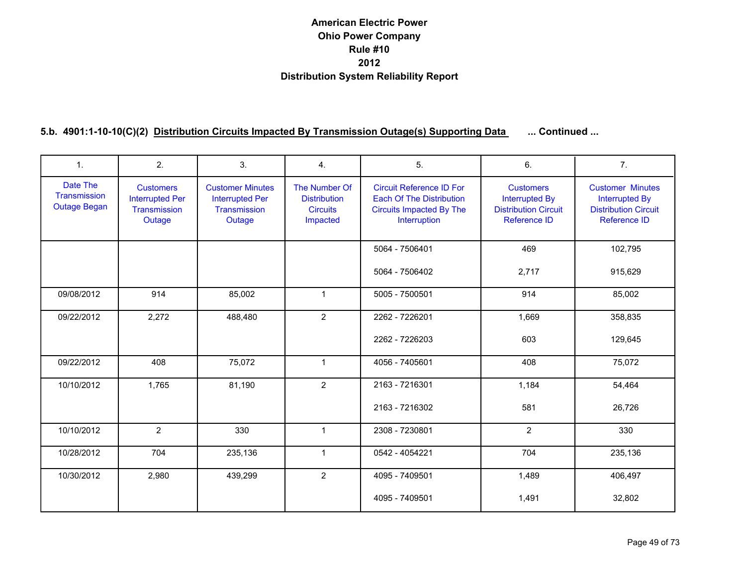| $\mathbf{1}$ .                                  | 2.                                                                   | 3.                                                                          | 4.                                                                  | 5.                                                                                                                    | 6.                                                                                              | 7 <sub>1</sub>                                                                                         |
|-------------------------------------------------|----------------------------------------------------------------------|-----------------------------------------------------------------------------|---------------------------------------------------------------------|-----------------------------------------------------------------------------------------------------------------------|-------------------------------------------------------------------------------------------------|--------------------------------------------------------------------------------------------------------|
| Date The<br>Transmission<br><b>Outage Began</b> | <b>Customers</b><br><b>Interrupted Per</b><br>Transmission<br>Outage | <b>Customer Minutes</b><br><b>Interrupted Per</b><br>Transmission<br>Outage | The Number Of<br><b>Distribution</b><br><b>Circuits</b><br>Impacted | <b>Circuit Reference ID For</b><br><b>Each Of The Distribution</b><br><b>Circuits Impacted By The</b><br>Interruption | <b>Customers</b><br><b>Interrupted By</b><br><b>Distribution Circuit</b><br><b>Reference ID</b> | <b>Customer Minutes</b><br><b>Interrupted By</b><br><b>Distribution Circuit</b><br><b>Reference ID</b> |
|                                                 |                                                                      |                                                                             |                                                                     | 5064 - 7506401                                                                                                        | 469                                                                                             | 102,795                                                                                                |
|                                                 |                                                                      |                                                                             |                                                                     | 5064 - 7506402                                                                                                        | 2,717                                                                                           | 915,629                                                                                                |
| 09/08/2012                                      | 914                                                                  | 85,002                                                                      | $\mathbf{1}$                                                        | 5005 - 7500501                                                                                                        | 914                                                                                             | 85,002                                                                                                 |
| 09/22/2012                                      | 2,272                                                                | 488,480                                                                     | $\overline{2}$                                                      | 2262 - 7226201                                                                                                        | 1,669                                                                                           | 358,835                                                                                                |
|                                                 |                                                                      |                                                                             |                                                                     | 2262 - 7226203                                                                                                        | 603                                                                                             | 129,645                                                                                                |
| 09/22/2012                                      | 408                                                                  | 75,072                                                                      | $\mathbf{1}$                                                        | 4056 - 7405601                                                                                                        | 408                                                                                             | 75,072                                                                                                 |
| 10/10/2012                                      | 1,765                                                                | 81,190                                                                      | $\overline{2}$                                                      | 2163 - 7216301                                                                                                        | 1,184                                                                                           | 54,464                                                                                                 |
|                                                 |                                                                      |                                                                             |                                                                     | 2163 - 7216302                                                                                                        | 581                                                                                             | 26,726                                                                                                 |
| 10/10/2012                                      | $\overline{2}$                                                       | 330                                                                         | $\mathbf{1}$                                                        | 2308 - 7230801                                                                                                        | $\overline{2}$                                                                                  | 330                                                                                                    |
| 10/28/2012                                      | 704                                                                  | 235,136                                                                     | $\mathbf{1}$                                                        | 0542 - 4054221                                                                                                        | 704                                                                                             | 235,136                                                                                                |
| 10/30/2012                                      | 2,980                                                                | 439,299                                                                     | $\overline{2}$                                                      | 4095 - 7409501                                                                                                        | 1,489                                                                                           | 406,497                                                                                                |
|                                                 |                                                                      |                                                                             |                                                                     | 4095 - 7409501                                                                                                        | 1,491                                                                                           | 32,802                                                                                                 |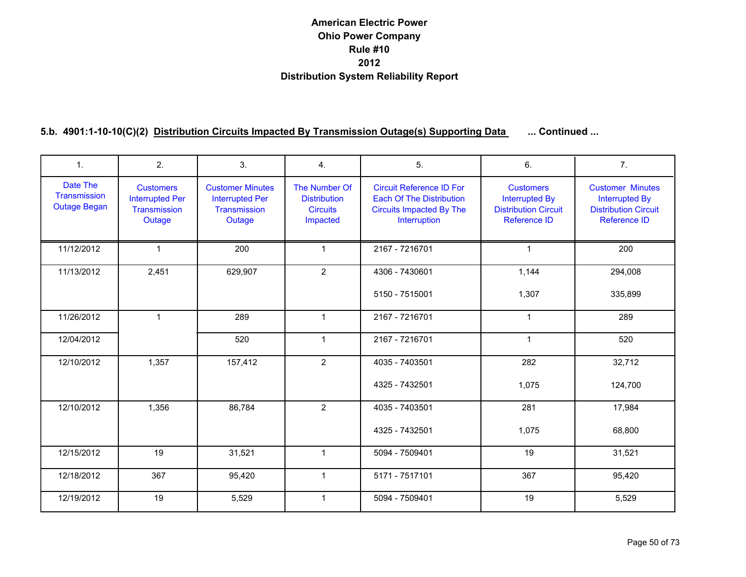| 1.                                              | 2.                                                                   | 3.                                                                          | 4.                                                                  | 5.                                                                                                                    | 6.                                                                                              | 7 <sub>1</sub>                                                                                         |
|-------------------------------------------------|----------------------------------------------------------------------|-----------------------------------------------------------------------------|---------------------------------------------------------------------|-----------------------------------------------------------------------------------------------------------------------|-------------------------------------------------------------------------------------------------|--------------------------------------------------------------------------------------------------------|
| Date The<br>Transmission<br><b>Outage Began</b> | <b>Customers</b><br><b>Interrupted Per</b><br>Transmission<br>Outage | <b>Customer Minutes</b><br><b>Interrupted Per</b><br>Transmission<br>Outage | The Number Of<br><b>Distribution</b><br><b>Circuits</b><br>Impacted | <b>Circuit Reference ID For</b><br><b>Each Of The Distribution</b><br><b>Circuits Impacted By The</b><br>Interruption | <b>Customers</b><br><b>Interrupted By</b><br><b>Distribution Circuit</b><br><b>Reference ID</b> | <b>Customer Minutes</b><br><b>Interrupted By</b><br><b>Distribution Circuit</b><br><b>Reference ID</b> |
| 11/12/2012                                      | $\mathbf{1}$                                                         | 200                                                                         | $\mathbf{1}$                                                        | 2167 - 7216701                                                                                                        | 1                                                                                               | 200                                                                                                    |
| 11/13/2012                                      | 2,451                                                                | 629,907                                                                     | $\overline{2}$                                                      | 4306 - 7430601                                                                                                        | 1,144                                                                                           | 294,008                                                                                                |
|                                                 |                                                                      |                                                                             |                                                                     | 5150 - 7515001                                                                                                        | 1,307                                                                                           | 335,899                                                                                                |
| 11/26/2012                                      | $\mathbf{1}$                                                         | 289                                                                         | $\mathbf{1}$                                                        | 2167 - 7216701                                                                                                        | $\mathbf{1}$                                                                                    | 289                                                                                                    |
| 12/04/2012                                      |                                                                      | 520                                                                         | $\mathbf{1}$                                                        | 2167 - 7216701                                                                                                        | $\mathbf{1}$                                                                                    | 520                                                                                                    |
| 12/10/2012                                      | 1,357                                                                | 157,412                                                                     | $\overline{2}$                                                      | 4035 - 7403501                                                                                                        | 282                                                                                             | 32,712                                                                                                 |
|                                                 |                                                                      |                                                                             |                                                                     | 4325 - 7432501                                                                                                        | 1,075                                                                                           | 124,700                                                                                                |
| 12/10/2012                                      | 1,356                                                                | 86,784                                                                      | $\overline{2}$                                                      | 4035 - 7403501                                                                                                        | 281                                                                                             | 17,984                                                                                                 |
|                                                 |                                                                      |                                                                             |                                                                     | 4325 - 7432501                                                                                                        | 1,075                                                                                           | 68,800                                                                                                 |
| 12/15/2012                                      | 19                                                                   | 31,521                                                                      | $\mathbf{1}$                                                        | 5094 - 7509401                                                                                                        | 19                                                                                              | 31,521                                                                                                 |
| 12/18/2012                                      | 367                                                                  | 95,420                                                                      | $\mathbf{1}$                                                        | 5171 - 7517101                                                                                                        | 367                                                                                             | 95,420                                                                                                 |
| 12/19/2012                                      | 19                                                                   | 5,529                                                                       | $\mathbf{1}$                                                        | 5094 - 7509401                                                                                                        | 19                                                                                              | 5,529                                                                                                  |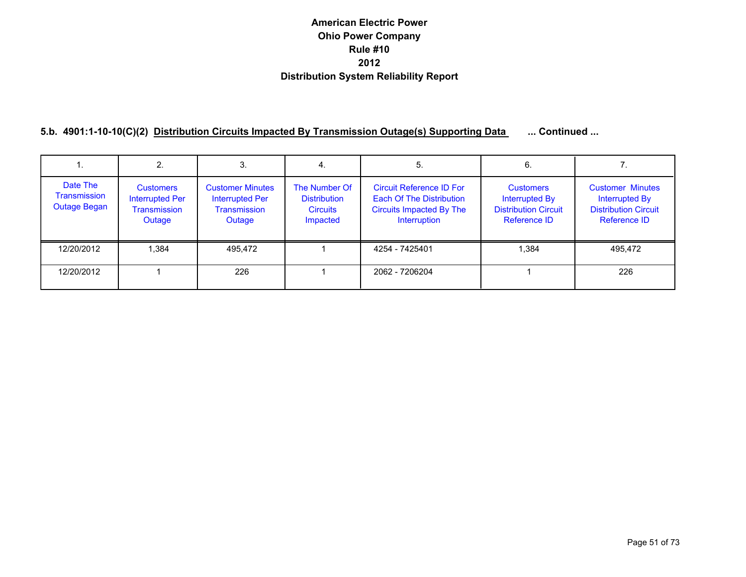|                                                        | 2.                                                                          |                                                                                    | 4.                                                                  | 5.                                                                                                                    | 6.                                                                                |                                                                                                 |
|--------------------------------------------------------|-----------------------------------------------------------------------------|------------------------------------------------------------------------------------|---------------------------------------------------------------------|-----------------------------------------------------------------------------------------------------------------------|-----------------------------------------------------------------------------------|-------------------------------------------------------------------------------------------------|
| Date The<br><b>Transmission</b><br><b>Outage Began</b> | <b>Customers</b><br><b>Interrupted Per</b><br><b>Transmission</b><br>Outage | <b>Customer Minutes</b><br><b>Interrupted Per</b><br><b>Transmission</b><br>Outage | The Number Of<br><b>Distribution</b><br><b>Circuits</b><br>Impacted | <b>Circuit Reference ID For</b><br><b>Each Of The Distribution</b><br><b>Circuits Impacted By The</b><br>Interruption | <b>Customers</b><br>Interrupted By<br><b>Distribution Circuit</b><br>Reference ID | <b>Customer Minutes</b><br><b>Interrupted By</b><br><b>Distribution Circuit</b><br>Reference ID |
| 12/20/2012                                             | 1,384                                                                       | 495,472                                                                            |                                                                     | 4254 - 7425401                                                                                                        | 1,384                                                                             | 495,472                                                                                         |
| 12/20/2012                                             |                                                                             | 226                                                                                |                                                                     | 2062 - 7206204                                                                                                        |                                                                                   | 226                                                                                             |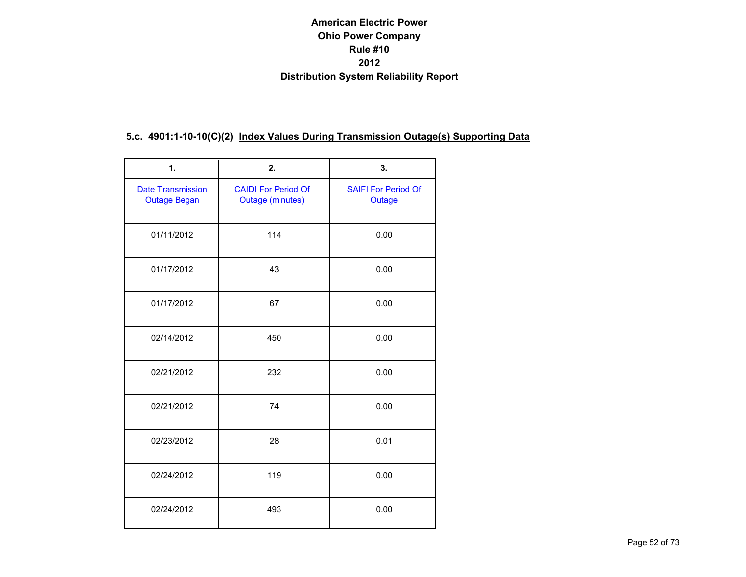### **5.c. 4901:1-10-10(C)(2) Index Values During Transmission Outage(s) Supporting Data**

| 1.                                              | 2.                                                    | 3.                                   |
|-------------------------------------------------|-------------------------------------------------------|--------------------------------------|
| <b>Date Transmission</b><br><b>Outage Began</b> | <b>CAIDI For Period Of</b><br><b>Outage (minutes)</b> | <b>SAIFI For Period Of</b><br>Outage |
| 01/11/2012                                      | 114                                                   | 0.00                                 |
| 01/17/2012                                      | 43                                                    | 0.00                                 |
| 01/17/2012                                      | 67                                                    | 0.00                                 |
| 02/14/2012                                      | 450                                                   | 0.00                                 |
| 02/21/2012                                      | 232                                                   | 0.00                                 |
| 02/21/2012                                      | 74                                                    | 0.00                                 |
| 02/23/2012                                      | 28                                                    | 0.01                                 |
| 02/24/2012                                      | 119                                                   | 0.00                                 |
| 02/24/2012                                      | 493                                                   | 0.00                                 |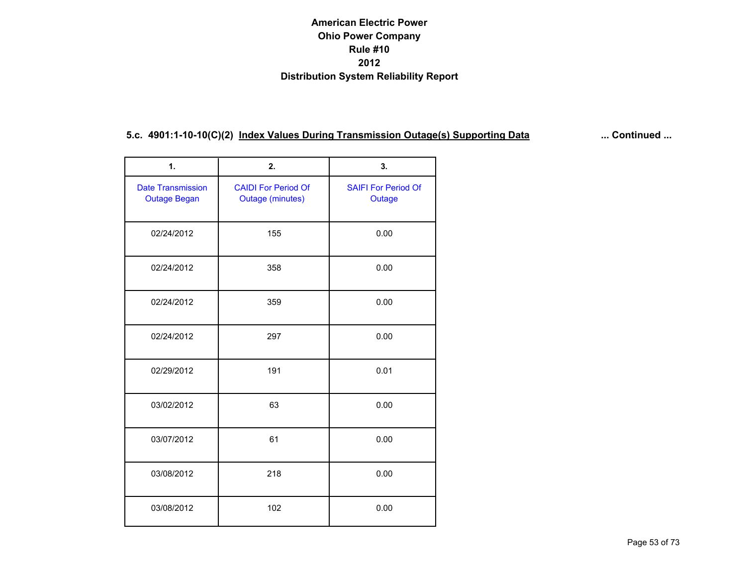| 1.                                              | 2.                                                    | 3.                                   |
|-------------------------------------------------|-------------------------------------------------------|--------------------------------------|
| <b>Date Transmission</b><br><b>Outage Began</b> | <b>CAIDI For Period Of</b><br><b>Outage (minutes)</b> | <b>SAIFI For Period Of</b><br>Outage |
| 02/24/2012                                      | 155                                                   | 0.00                                 |
| 02/24/2012                                      | 358                                                   | 0.00                                 |
| 02/24/2012                                      | 359                                                   | 0.00                                 |
| 02/24/2012                                      | 297                                                   | 0.00                                 |
| 02/29/2012                                      | 191                                                   | 0.01                                 |
| 03/02/2012                                      | 63                                                    | 0.00                                 |
| 03/07/2012                                      | 61                                                    | 0.00                                 |
| 03/08/2012                                      | 218                                                   | 0.00                                 |
| 03/08/2012                                      | 102                                                   | 0.00                                 |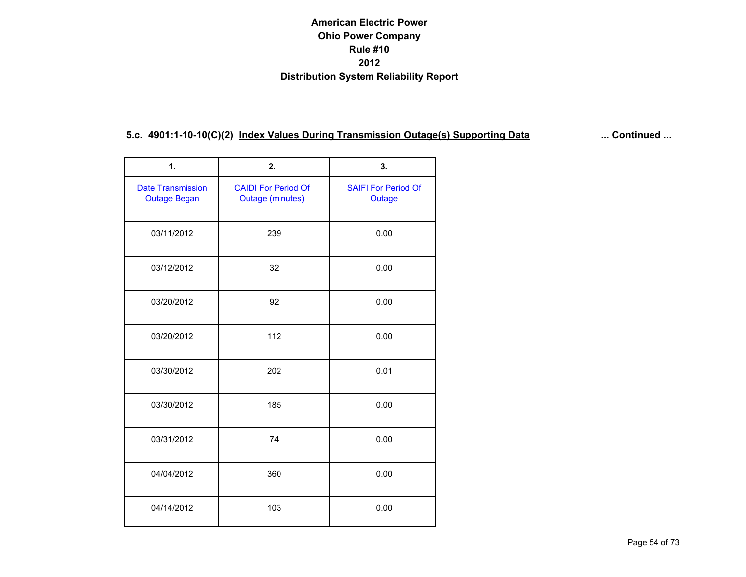| 1.                                              | 2.                                                    | 3.                                   |
|-------------------------------------------------|-------------------------------------------------------|--------------------------------------|
| <b>Date Transmission</b><br><b>Outage Began</b> | <b>CAIDI For Period Of</b><br><b>Outage (minutes)</b> | <b>SAIFI For Period Of</b><br>Outage |
| 03/11/2012                                      | 239                                                   | 0.00                                 |
| 03/12/2012                                      | 32                                                    | 0.00                                 |
| 03/20/2012                                      | 92                                                    | 0.00                                 |
| 03/20/2012                                      | 112                                                   | 0.00                                 |
| 03/30/2012                                      | 202                                                   | 0.01                                 |
| 03/30/2012                                      | 185                                                   | 0.00                                 |
| 03/31/2012                                      | 74                                                    | 0.00                                 |
| 04/04/2012                                      | 360                                                   | 0.00                                 |
| 04/14/2012                                      | 103                                                   | 0.00                                 |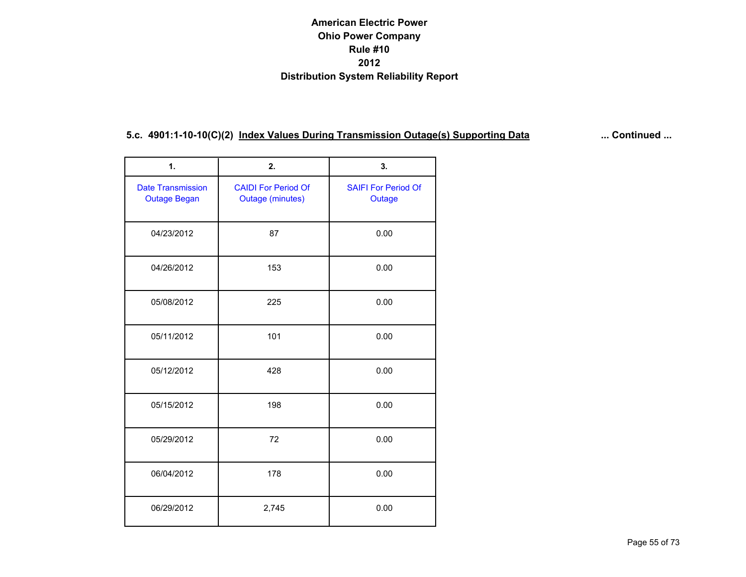| 1.                                              | 2.                                                    | 3.                                   |
|-------------------------------------------------|-------------------------------------------------------|--------------------------------------|
| <b>Date Transmission</b><br><b>Outage Began</b> | <b>CAIDI For Period Of</b><br><b>Outage (minutes)</b> | <b>SAIFI For Period Of</b><br>Outage |
| 04/23/2012                                      | 87                                                    | 0.00                                 |
| 04/26/2012                                      | 153                                                   | 0.00                                 |
| 05/08/2012                                      | 225                                                   | 0.00                                 |
| 05/11/2012                                      | 101                                                   | 0.00                                 |
| 05/12/2012                                      | 428                                                   | 0.00                                 |
| 05/15/2012                                      | 198                                                   | 0.00                                 |
| 05/29/2012                                      | 72                                                    | 0.00                                 |
| 06/04/2012                                      | 178                                                   | 0.00                                 |
| 06/29/2012                                      | 2,745                                                 | 0.00                                 |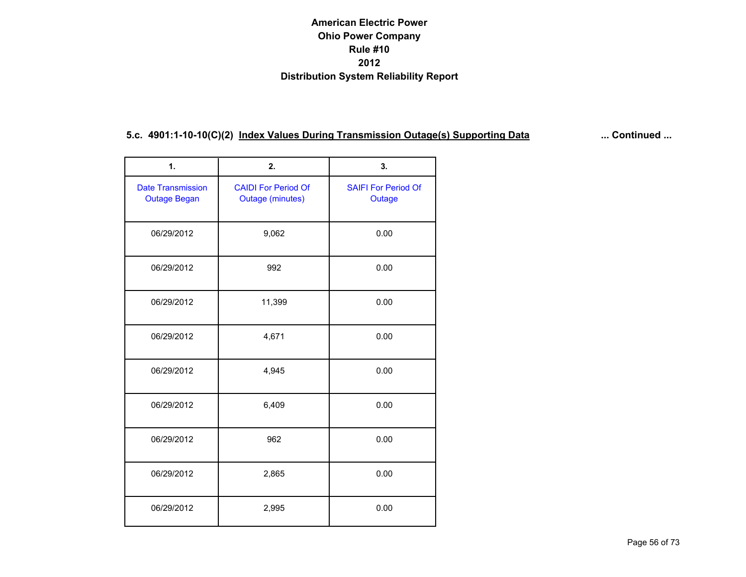| 1.                                              | 2.                                                    | 3.                                   |
|-------------------------------------------------|-------------------------------------------------------|--------------------------------------|
| <b>Date Transmission</b><br><b>Outage Began</b> | <b>CAIDI For Period Of</b><br><b>Outage (minutes)</b> | <b>SAIFI For Period Of</b><br>Outage |
| 06/29/2012                                      | 9,062                                                 | 0.00                                 |
| 06/29/2012                                      | 992                                                   | 0.00                                 |
| 06/29/2012                                      | 11,399                                                | 0.00                                 |
| 06/29/2012                                      | 4,671                                                 | 0.00                                 |
| 06/29/2012                                      | 4,945                                                 | 0.00                                 |
| 06/29/2012                                      | 6,409                                                 | 0.00                                 |
| 06/29/2012                                      | 962                                                   | 0.00                                 |
| 06/29/2012                                      | 2,865                                                 | 0.00                                 |
| 06/29/2012                                      | 2,995                                                 | 0.00                                 |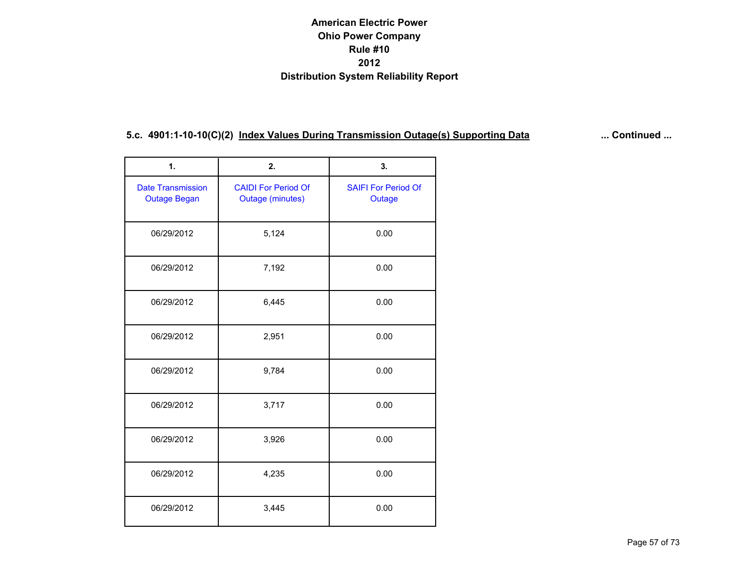| 1.                                              | 2.                                                    | 3.                                   |
|-------------------------------------------------|-------------------------------------------------------|--------------------------------------|
| <b>Date Transmission</b><br><b>Outage Began</b> | <b>CAIDI For Period Of</b><br><b>Outage (minutes)</b> | <b>SAIFI For Period Of</b><br>Outage |
| 06/29/2012                                      | 5,124                                                 | 0.00                                 |
| 06/29/2012                                      | 7,192                                                 | 0.00                                 |
| 06/29/2012                                      | 6,445                                                 | 0.00                                 |
| 06/29/2012                                      | 2,951                                                 | 0.00                                 |
| 06/29/2012                                      | 9,784                                                 | 0.00                                 |
| 06/29/2012                                      | 3,717                                                 | 0.00                                 |
| 06/29/2012                                      | 3,926                                                 | 0.00                                 |
| 06/29/2012                                      | 4,235                                                 | 0.00                                 |
| 06/29/2012                                      | 3,445                                                 | 0.00                                 |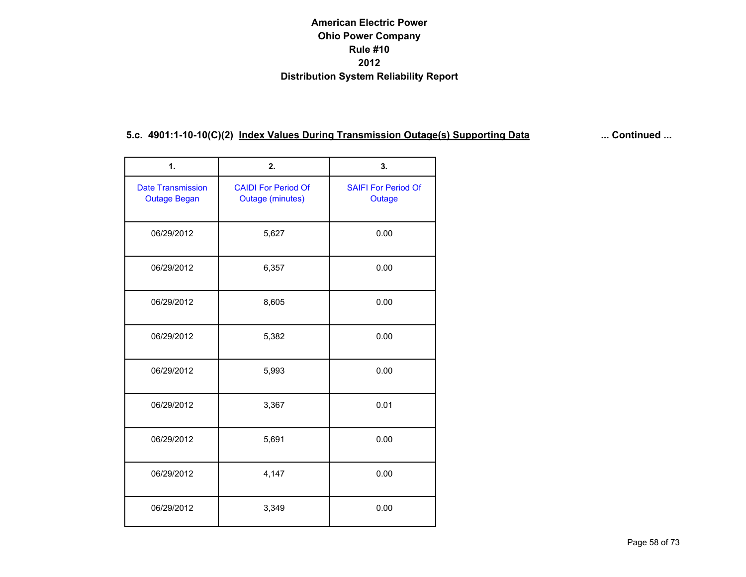| 1.                                              | 2.                                                    | 3.                                   |
|-------------------------------------------------|-------------------------------------------------------|--------------------------------------|
| <b>Date Transmission</b><br><b>Outage Began</b> | <b>CAIDI For Period Of</b><br><b>Outage (minutes)</b> | <b>SAIFI For Period Of</b><br>Outage |
| 06/29/2012                                      | 5,627                                                 | 0.00                                 |
| 06/29/2012                                      | 6,357                                                 | 0.00                                 |
| 06/29/2012                                      | 8,605                                                 | 0.00                                 |
| 06/29/2012                                      | 5,382                                                 | 0.00                                 |
| 06/29/2012                                      | 5,993                                                 | 0.00                                 |
| 06/29/2012                                      | 3,367                                                 | 0.01                                 |
| 06/29/2012                                      | 5,691                                                 | 0.00                                 |
| 06/29/2012                                      | 4,147                                                 | 0.00                                 |
| 06/29/2012                                      | 3,349                                                 | 0.00                                 |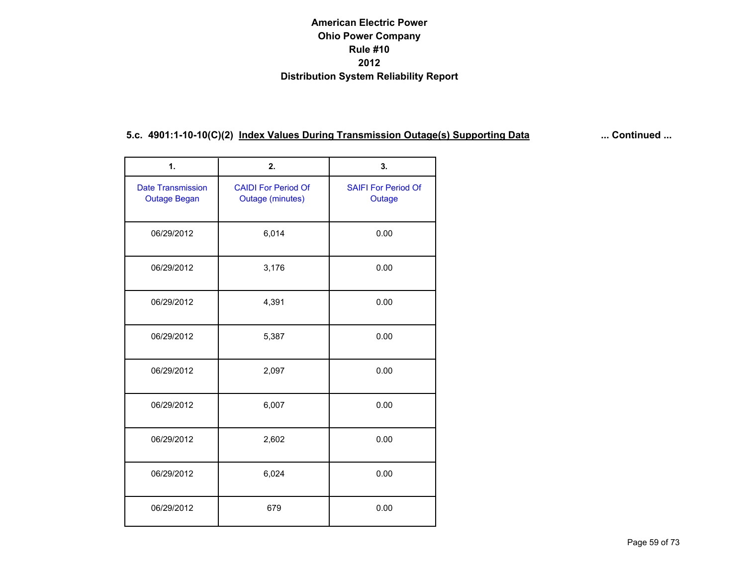| 1.                                              | 2.                                                    | 3.                                   |
|-------------------------------------------------|-------------------------------------------------------|--------------------------------------|
| <b>Date Transmission</b><br><b>Outage Began</b> | <b>CAIDI For Period Of</b><br><b>Outage (minutes)</b> | <b>SAIFI For Period Of</b><br>Outage |
| 06/29/2012                                      | 6,014                                                 | 0.00                                 |
| 06/29/2012                                      | 3,176                                                 | 0.00                                 |
| 06/29/2012                                      | 4,391                                                 | 0.00                                 |
| 06/29/2012                                      | 5,387                                                 | 0.00                                 |
| 06/29/2012                                      | 2,097                                                 | 0.00                                 |
| 06/29/2012                                      | 6,007                                                 | 0.00                                 |
| 06/29/2012                                      | 2,602                                                 | 0.00                                 |
| 06/29/2012                                      | 6,024                                                 | 0.00                                 |
| 06/29/2012                                      | 679                                                   | 0.00                                 |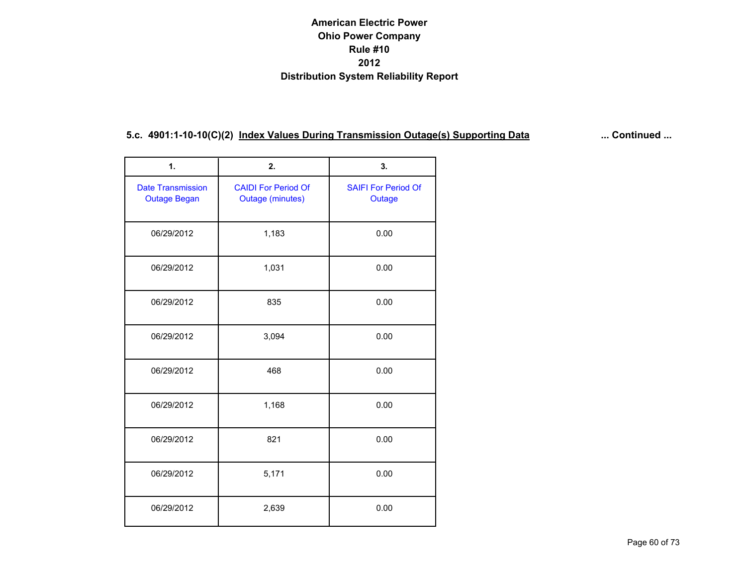| 1.                                              | 2.                                                    | 3.                                   |
|-------------------------------------------------|-------------------------------------------------------|--------------------------------------|
| <b>Date Transmission</b><br><b>Outage Began</b> | <b>CAIDI For Period Of</b><br><b>Outage (minutes)</b> | <b>SAIFI For Period Of</b><br>Outage |
| 06/29/2012                                      | 1,183                                                 | 0.00                                 |
| 06/29/2012                                      | 1,031                                                 | 0.00                                 |
| 06/29/2012                                      | 835                                                   | 0.00                                 |
| 06/29/2012                                      | 3,094                                                 | 0.00                                 |
| 06/29/2012                                      | 468                                                   | 0.00                                 |
| 06/29/2012                                      | 1,168                                                 | 0.00                                 |
| 06/29/2012                                      | 821                                                   | 0.00                                 |
| 06/29/2012                                      | 5,171                                                 | 0.00                                 |
| 06/29/2012                                      | 2,639                                                 | 0.00                                 |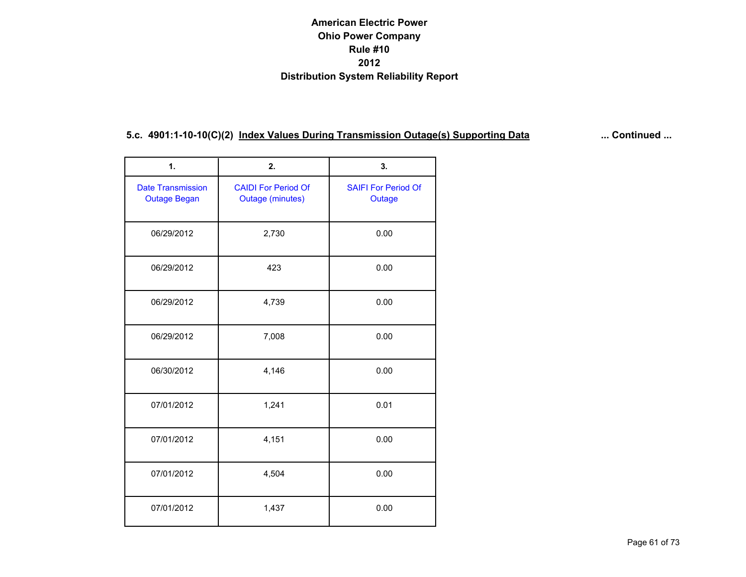| 1.                                              | 2.                                                    | 3.                                   |
|-------------------------------------------------|-------------------------------------------------------|--------------------------------------|
| <b>Date Transmission</b><br><b>Outage Began</b> | <b>CAIDI For Period Of</b><br><b>Outage (minutes)</b> | <b>SAIFI For Period Of</b><br>Outage |
| 06/29/2012                                      | 2,730                                                 | 0.00                                 |
| 06/29/2012                                      | 423                                                   | 0.00                                 |
| 06/29/2012                                      | 4,739                                                 | 0.00                                 |
| 06/29/2012                                      | 7,008                                                 | 0.00                                 |
| 06/30/2012                                      | 4,146                                                 | 0.00                                 |
| 07/01/2012                                      | 1,241                                                 | 0.01                                 |
| 07/01/2012                                      | 4,151                                                 | 0.00                                 |
| 07/01/2012                                      | 4,504                                                 | 0.00                                 |
| 07/01/2012                                      | 1,437                                                 | 0.00                                 |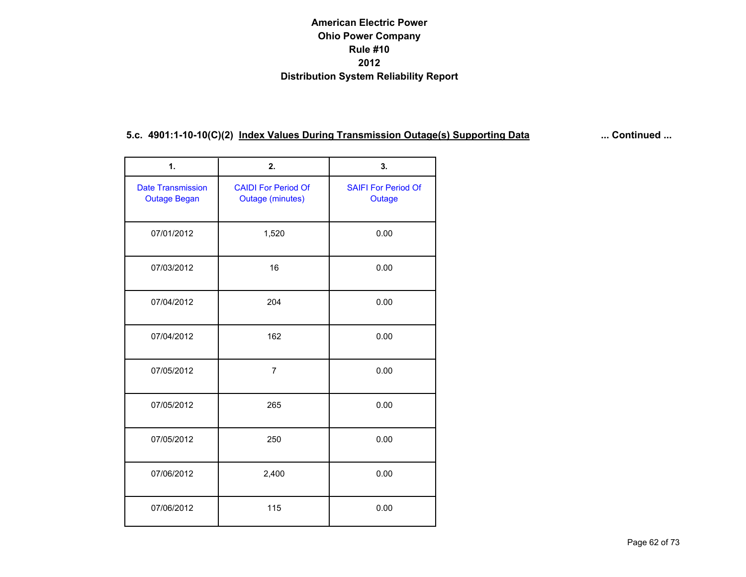| 1.                                              | 2.                                                    | 3.                                   |
|-------------------------------------------------|-------------------------------------------------------|--------------------------------------|
| <b>Date Transmission</b><br><b>Outage Began</b> | <b>CAIDI For Period Of</b><br><b>Outage (minutes)</b> | <b>SAIFI For Period Of</b><br>Outage |
| 07/01/2012                                      | 1,520                                                 | 0.00                                 |
| 07/03/2012                                      | 16                                                    | 0.00                                 |
| 07/04/2012                                      | 204                                                   | 0.00                                 |
| 07/04/2012                                      | 162                                                   | 0.00                                 |
| 07/05/2012                                      | $\overline{7}$                                        | 0.00                                 |
| 07/05/2012                                      | 265                                                   | 0.00                                 |
| 07/05/2012                                      | 250                                                   | 0.00                                 |
| 07/06/2012                                      | 2,400                                                 | 0.00                                 |
| 07/06/2012                                      | 115                                                   | 0.00                                 |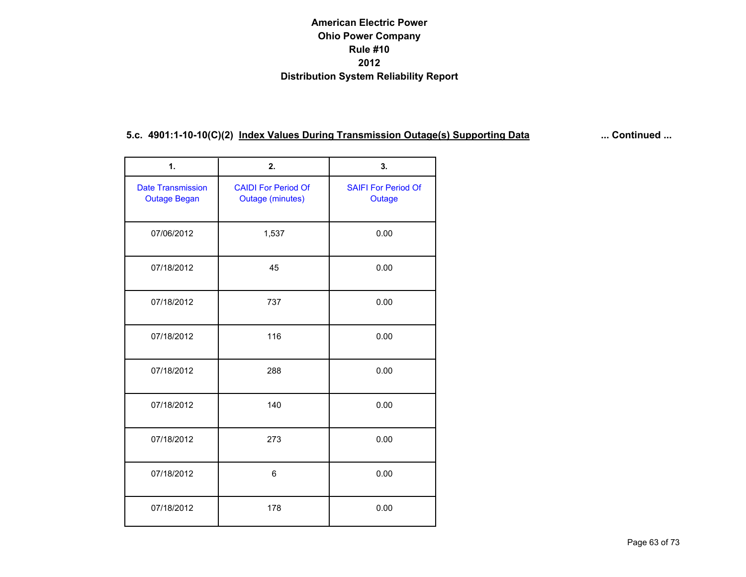| 1.                                              | 2.                                                    | 3.                                   |
|-------------------------------------------------|-------------------------------------------------------|--------------------------------------|
| <b>Date Transmission</b><br><b>Outage Began</b> | <b>CAIDI For Period Of</b><br><b>Outage (minutes)</b> | <b>SAIFI For Period Of</b><br>Outage |
| 07/06/2012                                      | 1,537                                                 | 0.00                                 |
| 07/18/2012                                      | 45                                                    | 0.00                                 |
| 07/18/2012                                      | 737                                                   | 0.00                                 |
| 07/18/2012                                      | 116                                                   | 0.00                                 |
| 07/18/2012                                      | 288                                                   | 0.00                                 |
| 07/18/2012                                      | 140                                                   | 0.00                                 |
| 07/18/2012                                      | 273                                                   | 0.00                                 |
| 07/18/2012                                      | 6                                                     | 0.00                                 |
| 07/18/2012                                      | 178                                                   | 0.00                                 |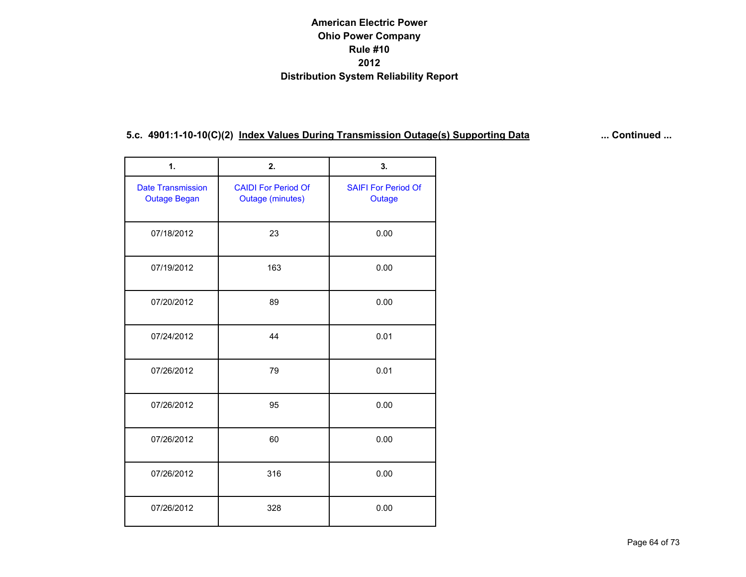| 1.                                              | 2.                                                    | 3.                                   |
|-------------------------------------------------|-------------------------------------------------------|--------------------------------------|
| <b>Date Transmission</b><br><b>Outage Began</b> | <b>CAIDI For Period Of</b><br><b>Outage (minutes)</b> | <b>SAIFI For Period Of</b><br>Outage |
| 07/18/2012                                      | 23                                                    | 0.00                                 |
| 07/19/2012                                      | 163                                                   | 0.00                                 |
| 07/20/2012                                      | 89                                                    | 0.00                                 |
| 07/24/2012                                      | 44                                                    | 0.01                                 |
| 07/26/2012                                      | 79                                                    | 0.01                                 |
| 07/26/2012                                      | 95                                                    | 0.00                                 |
| 07/26/2012                                      | 60                                                    | 0.00                                 |
| 07/26/2012                                      | 316                                                   | 0.00                                 |
| 07/26/2012                                      | 328                                                   | 0.00                                 |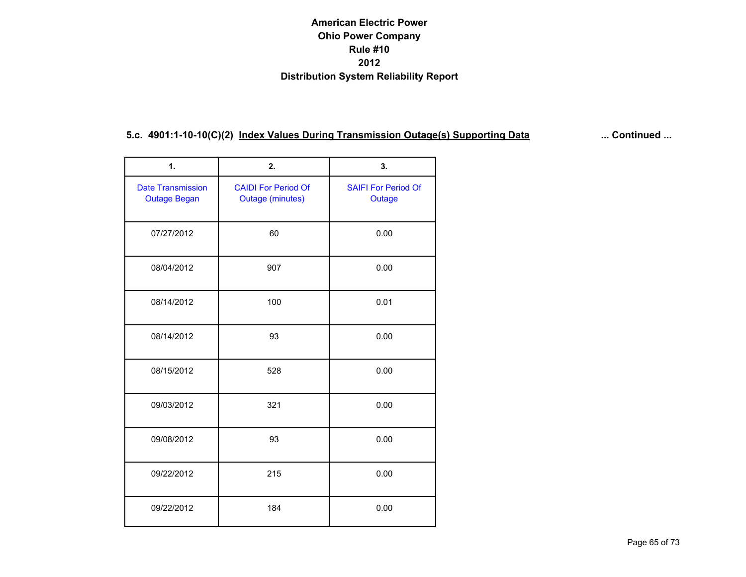| 1.                                              | 2.                                                    | 3.                                   |
|-------------------------------------------------|-------------------------------------------------------|--------------------------------------|
| <b>Date Transmission</b><br><b>Outage Began</b> | <b>CAIDI For Period Of</b><br><b>Outage (minutes)</b> | <b>SAIFI For Period Of</b><br>Outage |
| 07/27/2012                                      | 60                                                    | 0.00                                 |
| 08/04/2012                                      | 907                                                   | 0.00                                 |
| 08/14/2012                                      | 100                                                   | 0.01                                 |
| 08/14/2012                                      | 93                                                    | 0.00                                 |
| 08/15/2012                                      | 528                                                   | 0.00                                 |
| 09/03/2012                                      | 321                                                   | 0.00                                 |
| 09/08/2012                                      | 93                                                    | 0.00                                 |
| 09/22/2012                                      | 215                                                   | 0.00                                 |
| 09/22/2012                                      | 184                                                   | 0.00                                 |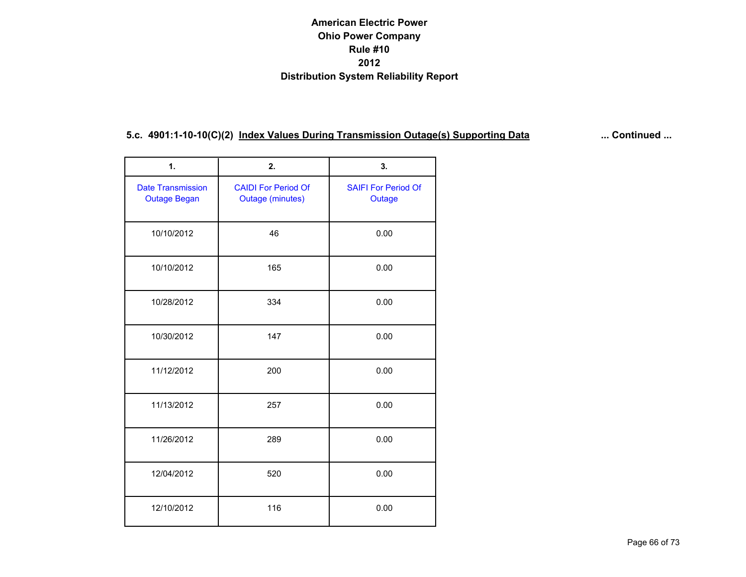| 1.                                              | 2.                                                    | 3.                                   |
|-------------------------------------------------|-------------------------------------------------------|--------------------------------------|
| <b>Date Transmission</b><br><b>Outage Began</b> | <b>CAIDI For Period Of</b><br><b>Outage (minutes)</b> | <b>SAIFI For Period Of</b><br>Outage |
| 10/10/2012                                      | 46                                                    | 0.00                                 |
| 10/10/2012                                      | 165                                                   | 0.00                                 |
| 10/28/2012                                      | 334                                                   | 0.00                                 |
| 10/30/2012                                      | 147                                                   | 0.00                                 |
| 11/12/2012                                      | 200                                                   | 0.00                                 |
| 11/13/2012                                      | 257                                                   | 0.00                                 |
| 11/26/2012                                      | 289                                                   | 0.00                                 |
| 12/04/2012                                      | 520                                                   | 0.00                                 |
| 12/10/2012                                      | 116                                                   | 0.00                                 |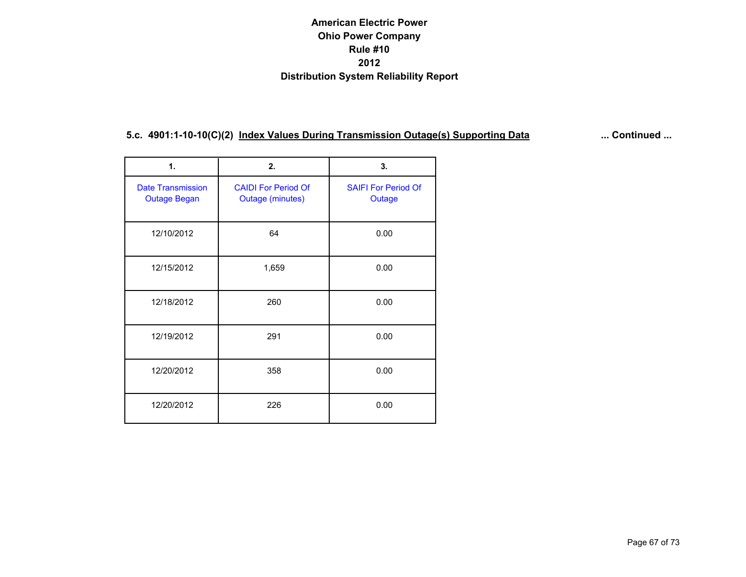| 1.                                              | 2.                                                    | 3.   |
|-------------------------------------------------|-------------------------------------------------------|------|
| <b>Date Transmission</b><br><b>Outage Began</b> | <b>CAIDI For Period Of</b><br><b>Outage (minutes)</b> |      |
| 12/10/2012                                      | 64                                                    | 0.00 |
| 12/15/2012                                      | 1,659                                                 | 0.00 |
| 12/18/2012                                      | 260                                                   | 0.00 |
| 12/19/2012                                      | 291                                                   | 0.00 |
| 12/20/2012                                      | 358                                                   | 0.00 |
| 12/20/2012                                      | 226                                                   | 0.00 |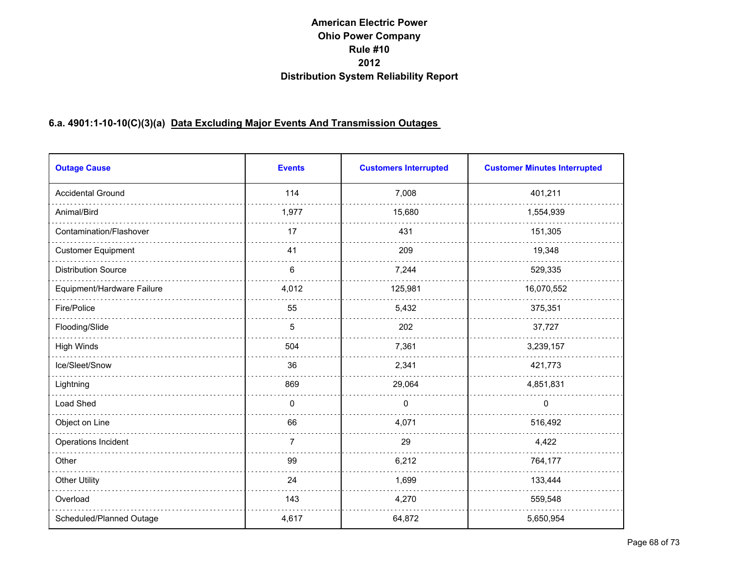# **6.a. 4901:1-10-10(C)(3)(a) Data Excluding Major Events And Transmission Outages**

| <b>Outage Cause</b>        | <b>Events</b>  | <b>Customers Interrupted</b> | <b>Customer Minutes Interrupted</b> |
|----------------------------|----------------|------------------------------|-------------------------------------|
| <b>Accidental Ground</b>   | 114            | 7,008                        | 401,211                             |
| Animal/Bird                | 1,977          | 15,680                       | 1,554,939                           |
| Contamination/Flashover    | 17             | 431                          | 151,305                             |
| <b>Customer Equipment</b>  | 41             | 209                          | 19,348                              |
| <b>Distribution Source</b> | 6              | 7,244                        | 529,335                             |
| Equipment/Hardware Failure | 4,012          | 125,981                      | 16,070,552                          |
| Fire/Police                | 55             | 5,432                        | 375,351                             |
| Flooding/Slide             | 5              | 202                          | 37,727                              |
| <b>High Winds</b>          | 504            | 7,361                        | 3,239,157                           |
| Ice/Sleet/Snow             | 36             | 2,341                        | 421,773                             |
| Lightning                  | 869            | 29,064                       | 4,851,831                           |
| Load Shed                  | $\mathbf{0}$   | $\mathbf 0$                  | $\mathbf 0$                         |
| Object on Line             | 66             | 4,071                        | 516,492                             |
| Operations Incident        | $\overline{7}$ | 29                           | 4,422                               |
| Other                      | 99             | 6,212                        | 764,177                             |
| <b>Other Utility</b>       | 24             | 1,699                        | 133,444                             |
| Overload                   | 143            | 4,270                        | 559,548                             |
| Scheduled/Planned Outage   | 4,617          | 64,872                       | 5,650,954                           |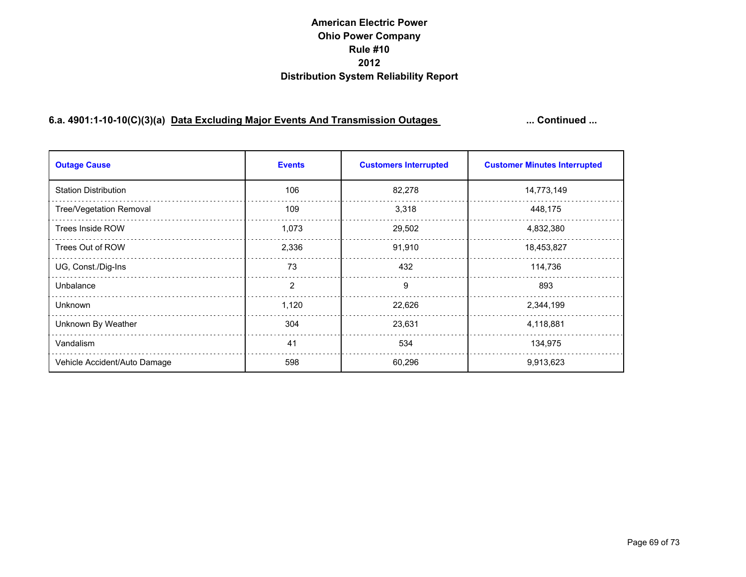# **6.a. 4901:1-10-10(C)(3)(a) Data Excluding Major Events And Transmission Outages ... Continued ...**

| <b>Outage Cause</b>          | <b>Events</b> | <b>Customers Interrupted</b> | <b>Customer Minutes Interrupted</b> |
|------------------------------|---------------|------------------------------|-------------------------------------|
| <b>Station Distribution</b>  | 106           | 82,278                       | 14,773,149                          |
| Tree/Vegetation Removal      | 109           | 3,318                        | 448,175                             |
| Trees Inside ROW             | 1,073         | 29,502                       | 4,832,380                           |
| Trees Out of ROW             | 2,336         | 91,910                       | 18,453,827                          |
| UG, Const./Dig-Ins           | 73            | 432                          | 114,736                             |
| Unbalance                    | 2             | 9                            | 893                                 |
| <b>Unknown</b>               | 1,120         | 22,626                       | 2,344,199                           |
| Unknown By Weather           | 304           | 23,631                       | 4,118,881                           |
| Vandalism                    | 41            | 534                          | 134,975                             |
| Vehicle Accident/Auto Damage | 598           | 60,296                       | 9,913,623                           |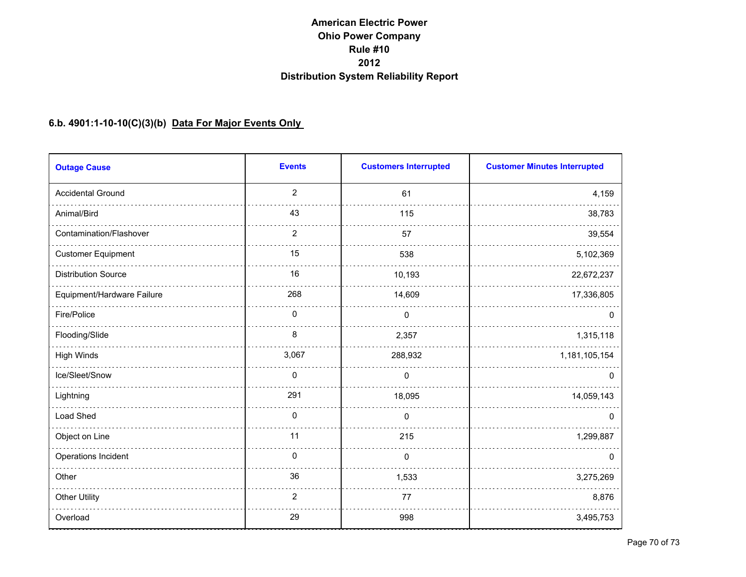#### **6.b. 4901:1-10-10(C)(3)(b) Data For Major Events Only**

| <b>Outage Cause</b>        | <b>Events</b>  | <b>Customers Interrupted</b> | <b>Customer Minutes Interrupted</b> |
|----------------------------|----------------|------------------------------|-------------------------------------|
| <b>Accidental Ground</b>   | $\overline{2}$ | 61                           | 4,159                               |
| Animal/Bird                | 43             | 115                          | 38,783                              |
| Contamination/Flashover    | $\overline{2}$ | 57                           | 39,554                              |
| <b>Customer Equipment</b>  | 15             | 538                          | 5,102,369                           |
| <b>Distribution Source</b> | 16             | 10,193                       | 22,672,237                          |
| Equipment/Hardware Failure | 268            | 14,609                       | 17,336,805                          |
| Fire/Police                | 0              | $\mathbf{0}$                 | 0                                   |
| Flooding/Slide             | 8              | 2,357                        | 1,315,118                           |
| <b>High Winds</b>          | 3,067          | 288,932                      | 1,181,105,154                       |
| Ice/Sleet/Snow             | 0              | $\Omega$                     | <sup>0</sup>                        |
| Lightning                  | 291            | 18,095                       | 14,059,143                          |
| Load Shed                  | 0              | $\Omega$                     | 0                                   |
| Object on Line             | 11             | 215                          | 1,299,887                           |
| Operations Incident        | $\mathbf{0}$   | $\mathbf{0}$                 | $\Omega$                            |
| Other                      | 36             | 1,533                        | 3,275,269                           |
| <b>Other Utility</b>       | 2              | 77                           | 8,876                               |
| Overload                   | 29             | 998                          | 3,495,753                           |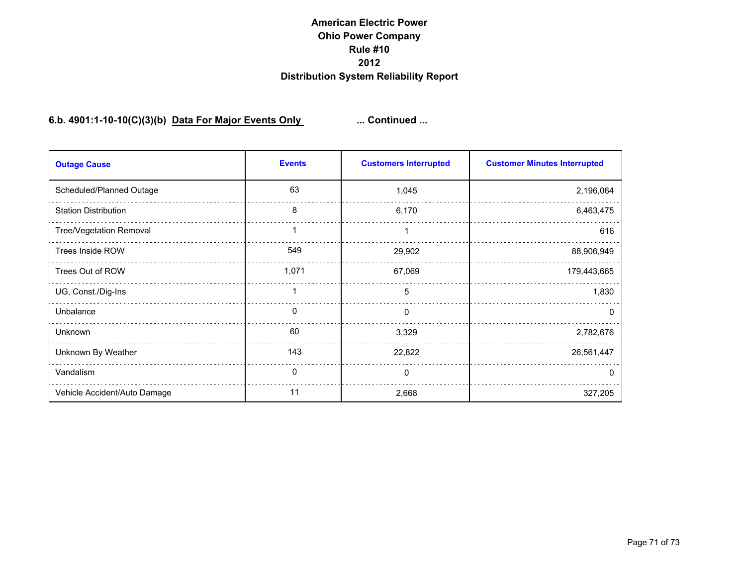### **6.b. 4901:1-10-10(C)(3)(b) Data For Major Events Only ... Continued ...**

| <b>Outage Cause</b>          | <b>Events</b> | <b>Customers Interrupted</b> | <b>Customer Minutes Interrupted</b> |
|------------------------------|---------------|------------------------------|-------------------------------------|
| Scheduled/Planned Outage     | 63            | 1,045                        | 2,196,064                           |
| <b>Station Distribution</b>  | 8             | 6,170                        | 6,463,475                           |
| Tree/Vegetation Removal      |               |                              | 616                                 |
| <b>Trees Inside ROW</b>      | 549           | 29,902                       | 88,906,949                          |
| Trees Out of ROW             | 1,071         | 67,069                       | 179,443,665                         |
| UG, Const./Dig-Ins           | 1             | 5                            | 1,830                               |
| Unbalance                    | 0             | 0                            | <sup>0</sup>                        |
| Unknown                      | 60            | 3,329                        | 2,782,676                           |
| Unknown By Weather           | 143           | 22,822                       | 26,561,447                          |
| Vandalism                    | 0             | $\Omega$                     | $\mathbf{U}$                        |
| Vehicle Accident/Auto Damage | 11            | 2,668                        | 327,205                             |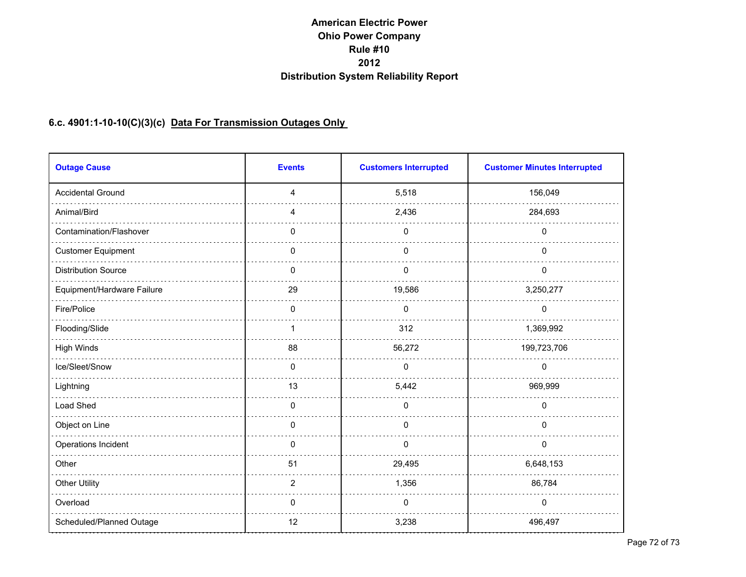# **6.c. 4901:1-10-10(C)(3)(c) Data For Transmission Outages Only**

| <b>Outage Cause</b>        | <b>Events</b>  | <b>Customers Interrupted</b> | <b>Customer Minutes Interrupted</b> |
|----------------------------|----------------|------------------------------|-------------------------------------|
| <b>Accidental Ground</b>   | $\overline{4}$ | 5,518                        | 156,049                             |
| Animal/Bird                | 4              | 2,436                        | 284,693                             |
| Contamination/Flashover    | 0              | 0                            | 0                                   |
| <b>Customer Equipment</b>  | 0              | 0                            | 0                                   |
| <b>Distribution Source</b> | $\mathbf{0}$   | $\Omega$                     | 0                                   |
| Equipment/Hardware Failure | 29             | 19,586                       | 3,250,277                           |
| Fire/Police                | $\Omega$       | $\Omega$                     | $\mathbf{0}$                        |
| Flooding/Slide             | 1              | 312                          | 1,369,992                           |
| High Winds                 | 88             | 56,272                       | 199,723,706                         |
| Ice/Sleet/Snow             | $\mathbf{0}$   | $\mathbf 0$                  | $\mathbf 0$                         |
| Lightning                  | 13             | 5,442                        | 969,999                             |
| Load Shed                  | $\mathbf 0$    | 0                            | 0                                   |
| Object on Line             | 0              | $\pmb{0}$                    | 0                                   |
| Operations Incident        | 0              | 0                            | 0                                   |
| Other                      | 51             | 29,495                       | 6,648,153                           |
| <b>Other Utility</b>       | $\overline{2}$ | 1,356                        | 86,784                              |
| Overload                   | $\mathbf{0}$   | 0                            | 0                                   |
| Scheduled/Planned Outage   | 12             | 3,238                        | 496,497                             |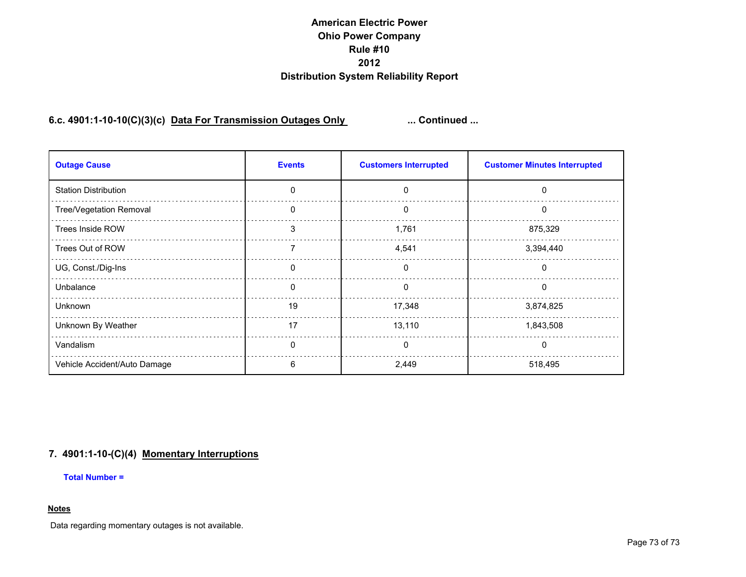## **American Electric Power Ohio Power Company Rule #10 2012 Distribution System Reliability Report**

## **6.c. 4901:1-10-10(C)(3)(c) Data For Transmission Outages Only ... Continued ...**

| <b>Outage Cause</b>          | <b>Events</b> | <b>Customers Interrupted</b> | <b>Customer Minutes Interrupted</b> |
|------------------------------|---------------|------------------------------|-------------------------------------|
| <b>Station Distribution</b>  | $\Omega$      | $\Omega$                     | $\mathbf{0}$                        |
| Tree/Vegetation Removal      | 0             | 0                            | 0                                   |
| Trees Inside ROW             | 3             | 1,761                        | 875,329                             |
| Trees Out of ROW             | 7             | 4,541                        | 3,394,440                           |
| UG, Const./Dig-Ins           | $\Omega$      | $\mathbf{0}$                 | 0                                   |
| Unbalance                    | $\Omega$      | 0                            | 0                                   |
| Unknown                      | 19            | 17,348                       | 3,874,825                           |
| Unknown By Weather           | 17            | 13,110                       | 1,843,508                           |
| Vandalism                    | $\Omega$      | $\mathbf{0}$                 | 0                                   |
| Vehicle Accident/Auto Damage | n             | 2,449                        | 518,495                             |

## **7. 4901:1-10-(C)(4) Momentary Interruptions**

**Total Number =** 

## **Notes**

Data regarding momentary outages is not available.